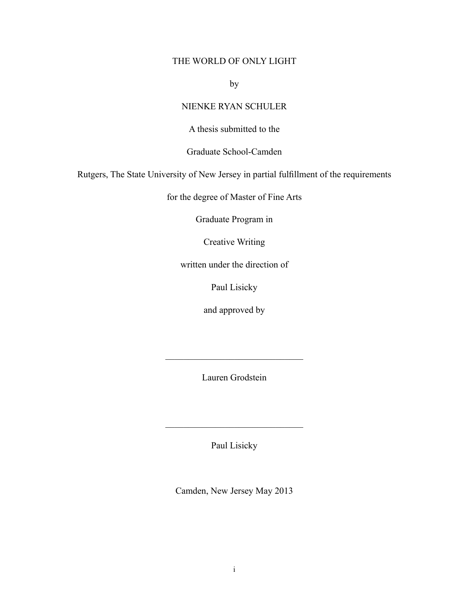# THE WORLD OF ONLY LIGHT

by

# NIENKE RYAN SCHULER

A thesis submitted to the

Graduate School-Camden

Rutgers, The State University of New Jersey in partial fulfillment of the requirements

for the degree of Master of Fine Arts

Graduate Program in

Creative Writing

written under the direction of

Paul Lisicky

and approved by

Lauren Grodstein

 $\mathcal{L}_\text{max}$  , where  $\mathcal{L}_\text{max}$  and  $\mathcal{L}_\text{max}$ 

Paul Lisicky

 $\mathcal{L}_\text{max}$  , where  $\mathcal{L}_\text{max}$  and  $\mathcal{L}_\text{max}$ 

Camden, New Jersey May 2013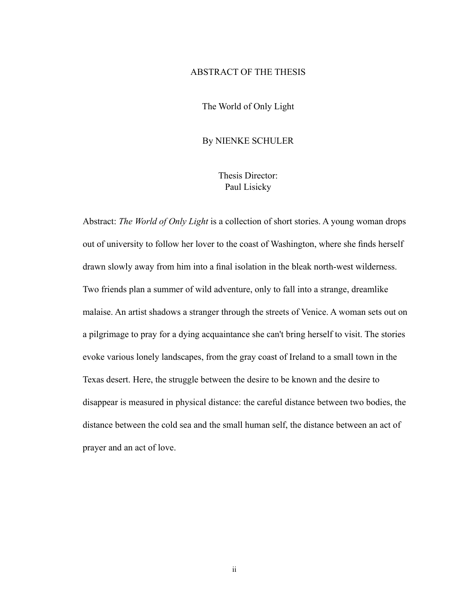# ABSTRACT OF THE THESIS

The World of Only Light

## By NIENKE SCHULER

Thesis Director: Paul Lisicky

Abstract: *The World of Only Light* is a collection of short stories. A young woman drops out of university to follow her lover to the coast of Washington, where she finds herself drawn slowly away from him into a final isolation in the bleak north-west wilderness. Two friends plan a summer of wild adventure, only to fall into a strange, dreamlike malaise. An artist shadows a stranger through the streets of Venice. A woman sets out on a pilgrimage to pray for a dying acquaintance she can't bring herself to visit. The stories evoke various lonely landscapes, from the gray coast of Ireland to a small town in the Texas desert. Here, the struggle between the desire to be known and the desire to disappear is measured in physical distance: the careful distance between two bodies, the distance between the cold sea and the small human self, the distance between an act of prayer and an act of love.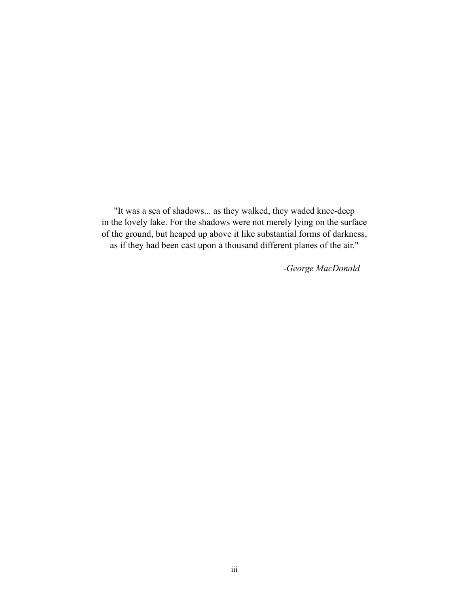"It was a sea of shadows... as they walked, they waded knee-deep in the lovely lake. For the shadows were not merely lying on the surface of the ground, but heaped up above it like substantial forms of darkness, as if they had been cast upon a thousand different planes of the air."

 *-George MacDonald*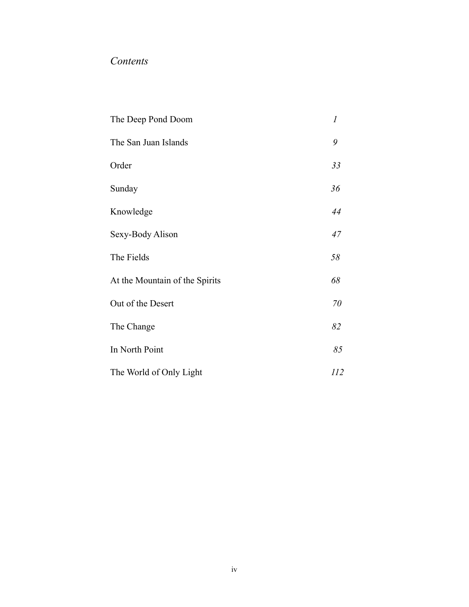# *Contents*

| The Deep Pond Doom             | 1   |
|--------------------------------|-----|
| The San Juan Islands           | 9   |
| Order                          | 33  |
| Sunday                         | 36  |
| Knowledge                      | 44  |
| Sexy-Body Alison               | 47  |
| The Fields                     | 58  |
| At the Mountain of the Spirits | 68  |
| Out of the Desert              | 70  |
| The Change                     | 82  |
| In North Point                 | 85  |
| The World of Only Light        | 112 |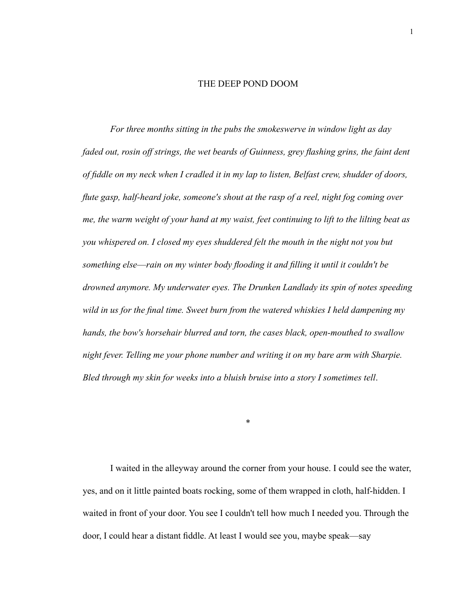#### THE DEEP POND DOOM

 *For three months sitting in the pubs the smokeswerve in window light as day faded out, rosin off strings, the wet beards of Guinness, grey flashing grins, the faint dent of fiddle on my neck when I cradled it in my lap to listen, Belfast crew, shudder of doors, flute gasp, half-heard joke, someone's shout at the rasp of a reel, night fog coming over me, the warm weight of your hand at my waist, feet continuing to lift to the lilting beat as you whispered on. I closed my eyes shuddered felt the mouth in the night not you but something else*—*rain on my winter body flooding it and filling it until it couldn't be drowned anymore. My underwater eyes. The Drunken Landlady its spin of notes speeding wild in us for the final time. Sweet burn from the watered whiskies I held dampening my hands, the bow's horsehair blurred and torn, the cases black, open-mouthed to swallow night fever. Telling me your phone number and writing it on my bare arm with Sharpie. Bled through my skin for weeks into a bluish bruise into a story I sometimes tell*.

 I waited in the alleyway around the corner from your house. I could see the water, yes, and on it little painted boats rocking, some of them wrapped in cloth, half-hidden. I waited in front of your door. You see I couldn't tell how much I needed you. Through the door, I could hear a distant fiddle. At least I would see you, maybe speak—say

\*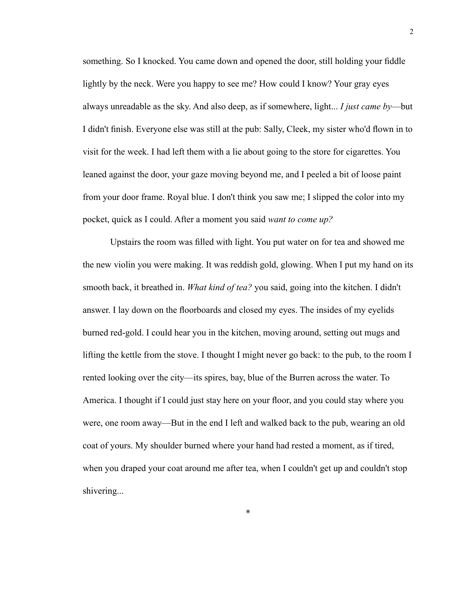something. So I knocked. You came down and opened the door, still holding your fiddle lightly by the neck. Were you happy to see me? How could I know? Your gray eyes always unreadable as the sky. And also deep, as if somewhere, light... *I just came by*—but I didn't finish. Everyone else was still at the pub: Sally, Cleek, my sister who'd flown in to visit for the week. I had left them with a lie about going to the store for cigarettes. You leaned against the door, your gaze moving beyond me, and I peeled a bit of loose paint from your door frame. Royal blue. I don't think you saw me; I slipped the color into my pocket, quick as I could. After a moment you said *want to come up?*

 Upstairs the room was filled with light. You put water on for tea and showed me the new violin you were making. It was reddish gold, glowing. When I put my hand on its smooth back, it breathed in. *What kind of tea?* you said, going into the kitchen. I didn't answer. I lay down on the floorboards and closed my eyes. The insides of my eyelids burned red-gold. I could hear you in the kitchen, moving around, setting out mugs and lifting the kettle from the stove. I thought I might never go back: to the pub, to the room I rented looking over the city—its spires, bay, blue of the Burren across the water. To America. I thought if I could just stay here on your floor, and you could stay where you were, one room away—But in the end I left and walked back to the pub, wearing an old coat of yours. My shoulder burned where your hand had rested a moment, as if tired, when you draped your coat around me after tea, when I couldn't get up and couldn't stop shivering...

\*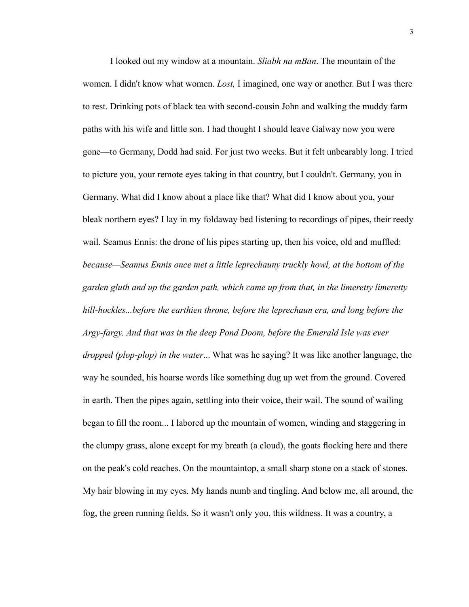I looked out my window at a mountain. *Sliabh na mBan*. The mountain of the women. I didn't know what women. *Lost,* I imagined, one way or another. But I was there to rest. Drinking pots of black tea with second-cousin John and walking the muddy farm paths with his wife and little son. I had thought I should leave Galway now you were gone—to Germany, Dodd had said. For just two weeks. But it felt unbearably long. I tried to picture you, your remote eyes taking in that country, but I couldn't. Germany, you in Germany. What did I know about a place like that? What did I know about you, your bleak northern eyes? I lay in my foldaway bed listening to recordings of pipes, their reedy wail. Seamus Ennis: the drone of his pipes starting up, then his voice, old and muffled: *because—Seamus Ennis once met a little leprechauny truckly howl, at the bottom of the garden gluth and up the garden path, which came up from that, in the limeretty limeretty hill-hockles...before the earthien throne, before the leprechaun era, and long before the Argy-fargy. And that was in the deep Pond Doom, before the Emerald Isle was ever dropped (plop-plop) in the water*... What was he saying? It was like another language, the way he sounded, his hoarse words like something dug up wet from the ground. Covered in earth. Then the pipes again, settling into their voice, their wail. The sound of wailing began to fill the room... I labored up the mountain of women, winding and staggering in the clumpy grass, alone except for my breath (a cloud), the goats flocking here and there on the peak's cold reaches. On the mountaintop, a small sharp stone on a stack of stones. My hair blowing in my eyes. My hands numb and tingling. And below me, all around, the fog, the green running fields. So it wasn't only you, this wildness. It was a country, a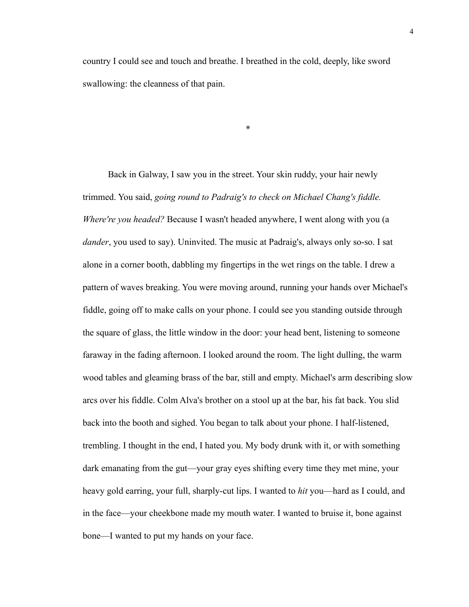country I could see and touch and breathe. I breathed in the cold, deeply, like sword swallowing: the cleanness of that pain.

\*

 Back in Galway, I saw you in the street. Your skin ruddy, your hair newly trimmed. You said, *going round to Padraig's to check on Michael Chang's fiddle. Where're you headed?* Because I wasn't headed anywhere, I went along with you (a *dander*, you used to say). Uninvited. The music at Padraig's, always only so-so. I sat alone in a corner booth, dabbling my fingertips in the wet rings on the table. I drew a pattern of waves breaking. You were moving around, running your hands over Michael's fiddle, going off to make calls on your phone. I could see you standing outside through the square of glass, the little window in the door: your head bent, listening to someone faraway in the fading afternoon. I looked around the room. The light dulling, the warm wood tables and gleaming brass of the bar, still and empty. Michael's arm describing slow arcs over his fiddle. Colm Alva's brother on a stool up at the bar, his fat back. You slid back into the booth and sighed. You began to talk about your phone. I half-listened, trembling. I thought in the end, I hated you. My body drunk with it, or with something dark emanating from the gut—your gray eyes shifting every time they met mine, your heavy gold earring, your full, sharply-cut lips. I wanted to *hit* you—hard as I could, and in the face—your cheekbone made my mouth water. I wanted to bruise it, bone against bone—I wanted to put my hands on your face.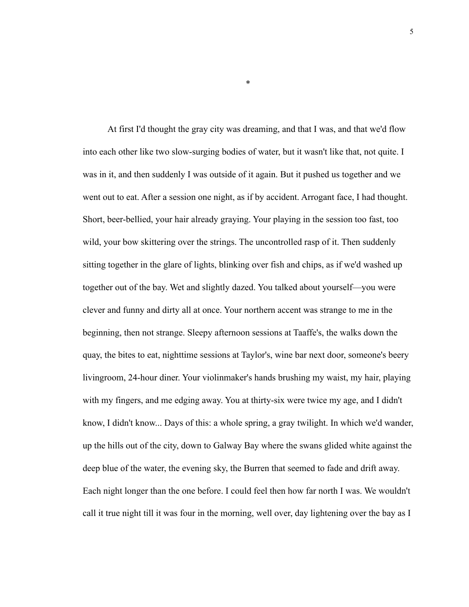At first I'd thought the gray city was dreaming, and that I was, and that we'd flow into each other like two slow-surging bodies of water, but it wasn't like that, not quite. I was in it, and then suddenly I was outside of it again. But it pushed us together and we went out to eat. After a session one night, as if by accident. Arrogant face, I had thought. Short, beer-bellied, your hair already graying. Your playing in the session too fast, too wild, your bow skittering over the strings. The uncontrolled rasp of it. Then suddenly sitting together in the glare of lights, blinking over fish and chips, as if we'd washed up together out of the bay. Wet and slightly dazed. You talked about yourself—you were clever and funny and dirty all at once. Your northern accent was strange to me in the beginning, then not strange. Sleepy afternoon sessions at Taaffe's, the walks down the quay, the bites to eat, nighttime sessions at Taylor's, wine bar next door, someone's beery livingroom, 24-hour diner. Your violinmaker's hands brushing my waist, my hair, playing with my fingers, and me edging away. You at thirty-six were twice my age, and I didn't know, I didn't know... Days of this: a whole spring, a gray twilight. In which we'd wander, up the hills out of the city, down to Galway Bay where the swans glided white against the deep blue of the water, the evening sky, the Burren that seemed to fade and drift away. Each night longer than the one before. I could feel then how far north I was. We wouldn't call it true night till it was four in the morning, well over, day lightening over the bay as I

\*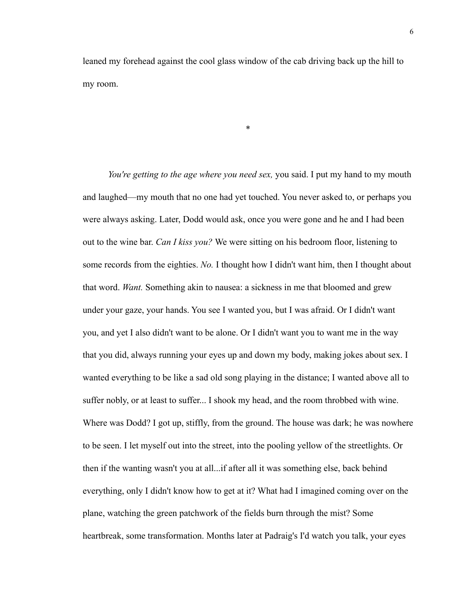leaned my forehead against the cool glass window of the cab driving back up the hill to my room.

\*

 *You're getting to the age where you need sex,* you said. I put my hand to my mouth and laughed—my mouth that no one had yet touched. You never asked to, or perhaps you were always asking. Later, Dodd would ask, once you were gone and he and I had been out to the wine bar. *Can I kiss you?* We were sitting on his bedroom floor, listening to some records from the eighties. *No.* I thought how I didn't want him, then I thought about that word. *Want.* Something akin to nausea: a sickness in me that bloomed and grew under your gaze, your hands. You see I wanted you, but I was afraid. Or I didn't want you, and yet I also didn't want to be alone. Or I didn't want you to want me in the way that you did, always running your eyes up and down my body, making jokes about sex. I wanted everything to be like a sad old song playing in the distance; I wanted above all to suffer nobly, or at least to suffer... I shook my head, and the room throbbed with wine. Where was Dodd? I got up, stiffly, from the ground. The house was dark; he was nowhere to be seen. I let myself out into the street, into the pooling yellow of the streetlights. Or then if the wanting wasn't you at all...if after all it was something else, back behind everything, only I didn't know how to get at it? What had I imagined coming over on the plane, watching the green patchwork of the fields burn through the mist? Some heartbreak, some transformation. Months later at Padraig's I'd watch you talk, your eyes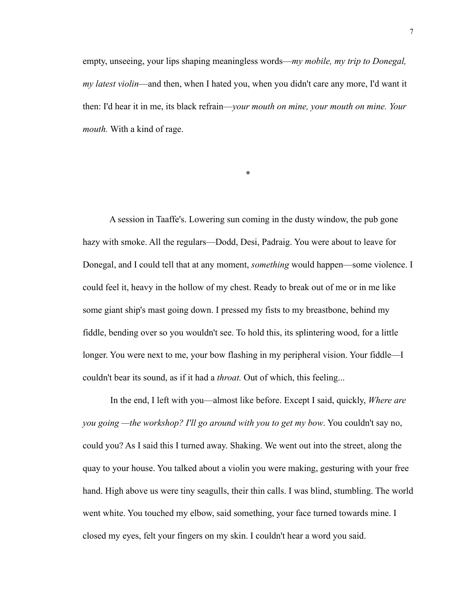empty, unseeing, your lips shaping meaningless words—*my mobile, my trip to Donegal, my latest violin*—and then, when I hated you, when you didn't care any more, I'd want it then: I'd hear it in me, its black refrain—*your mouth on mine, your mouth on mine. Your mouth.* With a kind of rage.

\*

A session in Taaffe's. Lowering sun coming in the dusty window, the pub gone hazy with smoke. All the regulars—Dodd, Desi, Padraig. You were about to leave for Donegal, and I could tell that at any moment, *something* would happen—some violence. I could feel it, heavy in the hollow of my chest. Ready to break out of me or in me like some giant ship's mast going down. I pressed my fists to my breastbone, behind my fiddle, bending over so you wouldn't see. To hold this, its splintering wood, for a little longer. You were next to me, your bow flashing in my peripheral vision. Your fiddle—I couldn't bear its sound, as if it had a *throat.* Out of which, this feeling...

 In the end, I left with you—almost like before. Except I said, quickly, *Where are you going —the workshop? I'll go around with you to get my bow*. You couldn't say no, could you? As I said this I turned away. Shaking. We went out into the street, along the quay to your house. You talked about a violin you were making, gesturing with your free hand. High above us were tiny seagulls, their thin calls. I was blind, stumbling. The world went white. You touched my elbow, said something, your face turned towards mine. I closed my eyes, felt your fingers on my skin. I couldn't hear a word you said.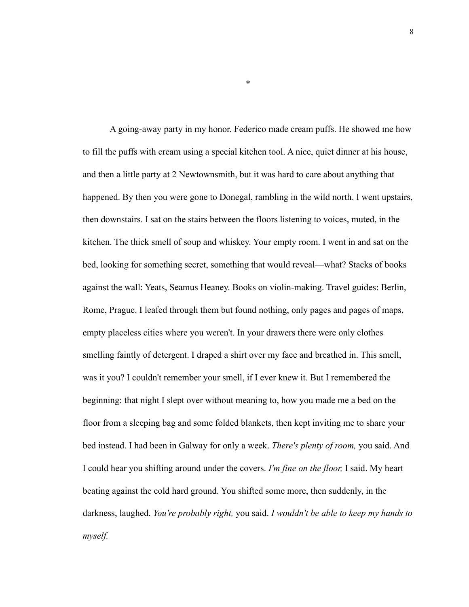A going-away party in my honor. Federico made cream puffs. He showed me how to fill the puffs with cream using a special kitchen tool. A nice, quiet dinner at his house, and then a little party at 2 Newtownsmith, but it was hard to care about anything that happened. By then you were gone to Donegal, rambling in the wild north. I went upstairs, then downstairs. I sat on the stairs between the floors listening to voices, muted, in the kitchen. The thick smell of soup and whiskey. Your empty room. I went in and sat on the bed, looking for something secret, something that would reveal—what? Stacks of books against the wall: Yeats, Seamus Heaney. Books on violin-making. Travel guides: Berlin, Rome, Prague. I leafed through them but found nothing, only pages and pages of maps, empty placeless cities where you weren't. In your drawers there were only clothes smelling faintly of detergent. I draped a shirt over my face and breathed in. This smell, was it you? I couldn't remember your smell, if I ever knew it. But I remembered the beginning: that night I slept over without meaning to, how you made me a bed on the floor from a sleeping bag and some folded blankets, then kept inviting me to share your bed instead. I had been in Galway for only a week. *There's plenty of room,* you said. And I could hear you shifting around under the covers. *I'm fine on the floor,* I said. My heart beating against the cold hard ground. You shifted some more, then suddenly, in the darkness, laughed. *You're probably right,* you said. *I wouldn't be able to keep my hands to myself.*

\*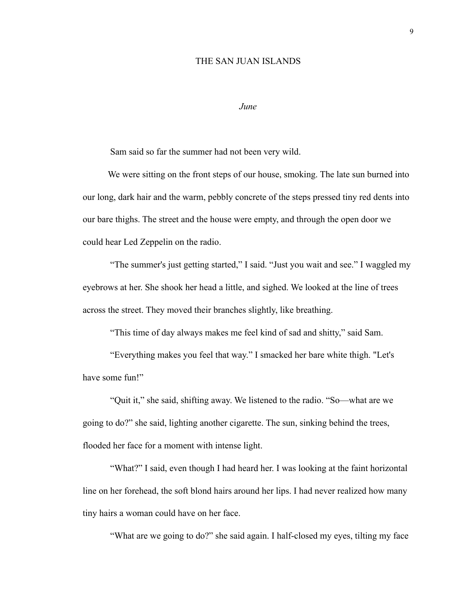## THE SAN JUAN ISLANDS

#### *June*

Sam said so far the summer had not been very wild.

 We were sitting on the front steps of our house, smoking. The late sun burned into our long, dark hair and the warm, pebbly concrete of the steps pressed tiny red dents into our bare thighs. The street and the house were empty, and through the open door we could hear Led Zeppelin on the radio.

"The summer's just getting started," I said. "Just you wait and see." I waggled my eyebrows at her. She shook her head a little, and sighed. We looked at the line of trees across the street. They moved their branches slightly, like breathing.

"This time of day always makes me feel kind of sad and shitty," said Sam.

"Everything makes you feel that way." I smacked her bare white thigh. "Let's have some fun!"

"Quit it," she said, shifting away. We listened to the radio. "So—what are we going to do?" she said, lighting another cigarette. The sun, sinking behind the trees, flooded her face for a moment with intense light.

"What?" I said, even though I had heard her. I was looking at the faint horizontal line on her forehead, the soft blond hairs around her lips. I had never realized how many tiny hairs a woman could have on her face.

"What are we going to do?" she said again. I half-closed my eyes, tilting my face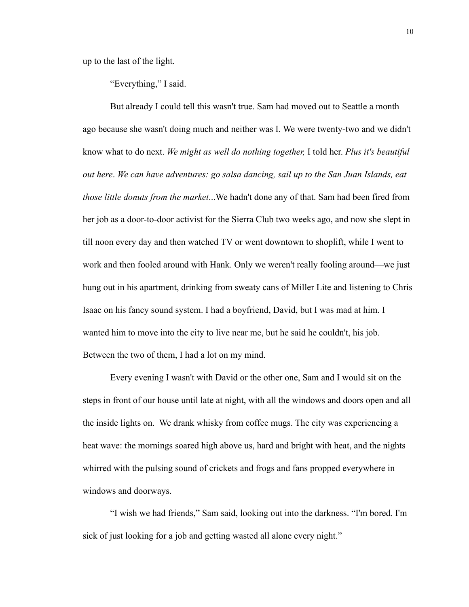up to the last of the light.

"Everything," I said.

But already I could tell this wasn't true. Sam had moved out to Seattle a month ago because she wasn't doing much and neither was I. We were twenty-two and we didn't know what to do next. *We might as well do nothing together,* I told her. *Plus it's beautiful out here*. *We can have adventures: go salsa dancing, sail up to the San Juan Islands, eat those little donuts from the market*...We hadn't done any of that. Sam had been fired from her job as a door-to-door activist for the Sierra Club two weeks ago, and now she slept in till noon every day and then watched TV or went downtown to shoplift, while I went to work and then fooled around with Hank. Only we weren't really fooling around—we just hung out in his apartment, drinking from sweaty cans of Miller Lite and listening to Chris Isaac on his fancy sound system. I had a boyfriend, David, but I was mad at him. I wanted him to move into the city to live near me, but he said he couldn't, his job. Between the two of them, I had a lot on my mind.

Every evening I wasn't with David or the other one, Sam and I would sit on the steps in front of our house until late at night, with all the windows and doors open and all the inside lights on. We drank whisky from coffee mugs. The city was experiencing a heat wave: the mornings soared high above us, hard and bright with heat, and the nights whirred with the pulsing sound of crickets and frogs and fans propped everywhere in windows and doorways.

"I wish we had friends," Sam said, looking out into the darkness. "I'm bored. I'm sick of just looking for a job and getting wasted all alone every night."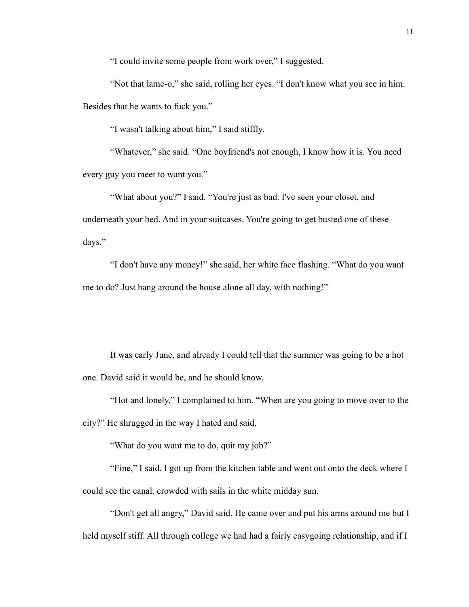"I could invite some people from work over," I suggested.

"Not that lame-o," she said, rolling her eyes. "I don't know what you see in him. Besides that he wants to fuck you."

"I wasn't talking about him," I said stiffly.

"Whatever," she said. "One boyfriend's not enough, I know how it is. You need every guy you meet to want you."

"What about you?" I said. "You're just as bad. I've seen your closet, and underneath your bed. And in your suitcases. You're going to get busted one of these days."

"I don't have any money!" she said, her white face flashing. "What do you want me to do? Just hang around the house alone all day, with nothing!"

It was early June, and already I could tell that the summer was going to be a hot one. David said it would be, and he should know.

"Hot and lonely," I complained to him. "When are you going to move over to the city?" He shrugged in the way I hated and said,

"What do you want me to do, quit my job?"

"Fine," I said. I got up from the kitchen table and went out onto the deck where I could see the canal, crowded with sails in the white midday sun.

"Don't get all angry," David said. He came over and put his arms around me but I held myself stiff. All through college we had had a fairly easygoing relationship, and if I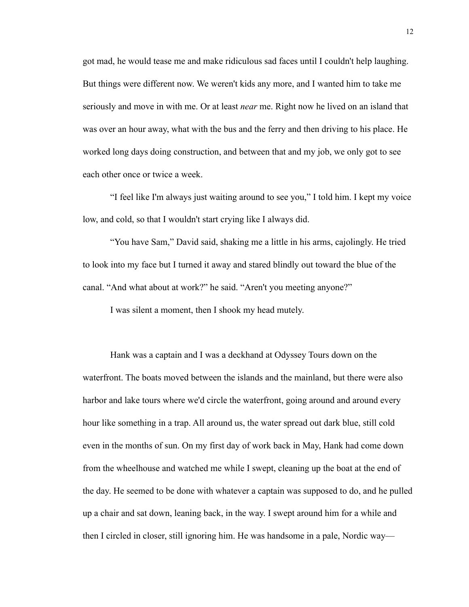got mad, he would tease me and make ridiculous sad faces until I couldn't help laughing. But things were different now. We weren't kids any more, and I wanted him to take me seriously and move in with me. Or at least *near* me. Right now he lived on an island that was over an hour away, what with the bus and the ferry and then driving to his place. He worked long days doing construction, and between that and my job, we only got to see each other once or twice a week.

"I feel like I'm always just waiting around to see you," I told him. I kept my voice low, and cold, so that I wouldn't start crying like I always did.

"You have Sam," David said, shaking me a little in his arms, cajolingly. He tried to look into my face but I turned it away and stared blindly out toward the blue of the canal. "And what about at work?" he said. "Aren't you meeting anyone?"

I was silent a moment, then I shook my head mutely.

Hank was a captain and I was a deckhand at Odyssey Tours down on the waterfront. The boats moved between the islands and the mainland, but there were also harbor and lake tours where we'd circle the waterfront, going around and around every hour like something in a trap. All around us, the water spread out dark blue, still cold even in the months of sun. On my first day of work back in May, Hank had come down from the wheelhouse and watched me while I swept, cleaning up the boat at the end of the day. He seemed to be done with whatever a captain was supposed to do, and he pulled up a chair and sat down, leaning back, in the way. I swept around him for a while and then I circled in closer, still ignoring him. He was handsome in a pale, Nordic way—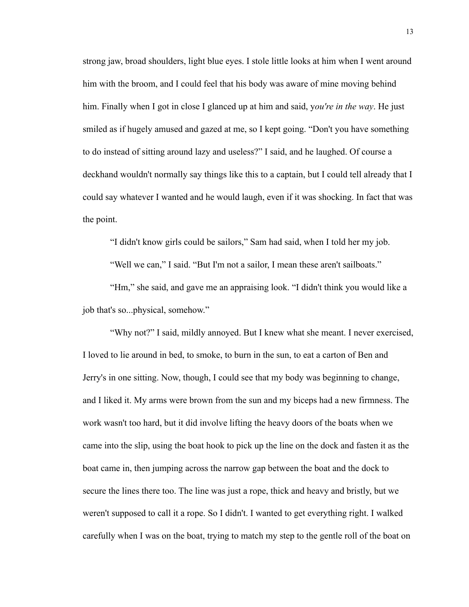strong jaw, broad shoulders, light blue eyes. I stole little looks at him when I went around him with the broom, and I could feel that his body was aware of mine moving behind him. Finally when I got in close I glanced up at him and said, y*ou're in the way*. He just smiled as if hugely amused and gazed at me, so I kept going. "Don't you have something to do instead of sitting around lazy and useless?" I said, and he laughed. Of course a deckhand wouldn't normally say things like this to a captain, but I could tell already that I could say whatever I wanted and he would laugh, even if it was shocking. In fact that was the point.

"I didn't know girls could be sailors," Sam had said, when I told her my job.

"Well we can," I said. "But I'm not a sailor, I mean these aren't sailboats."

"Hm," she said, and gave me an appraising look. "I didn't think you would like a job that's so...physical, somehow."

"Why not?" I said, mildly annoyed. But I knew what she meant. I never exercised, I loved to lie around in bed, to smoke, to burn in the sun, to eat a carton of Ben and Jerry's in one sitting. Now, though, I could see that my body was beginning to change, and I liked it. My arms were brown from the sun and my biceps had a new firmness. The work wasn't too hard, but it did involve lifting the heavy doors of the boats when we came into the slip, using the boat hook to pick up the line on the dock and fasten it as the boat came in, then jumping across the narrow gap between the boat and the dock to secure the lines there too. The line was just a rope, thick and heavy and bristly, but we weren't supposed to call it a rope. So I didn't. I wanted to get everything right. I walked carefully when I was on the boat, trying to match my step to the gentle roll of the boat on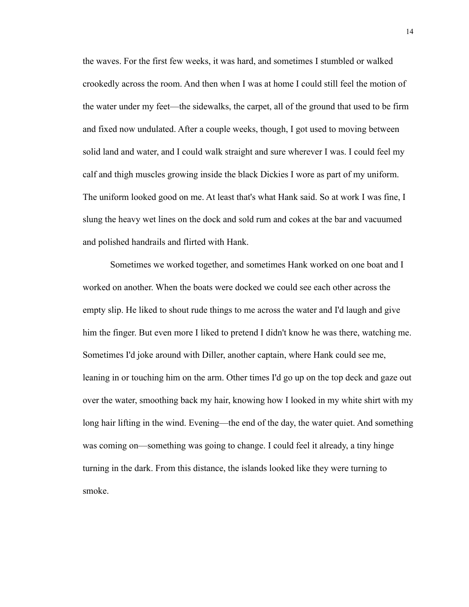the waves. For the first few weeks, it was hard, and sometimes I stumbled or walked crookedly across the room. And then when I was at home I could still feel the motion of the water under my feet—the sidewalks, the carpet, all of the ground that used to be firm and fixed now undulated. After a couple weeks, though, I got used to moving between solid land and water, and I could walk straight and sure wherever I was. I could feel my calf and thigh muscles growing inside the black Dickies I wore as part of my uniform. The uniform looked good on me. At least that's what Hank said. So at work I was fine, I slung the heavy wet lines on the dock and sold rum and cokes at the bar and vacuumed and polished handrails and flirted with Hank.

Sometimes we worked together, and sometimes Hank worked on one boat and I worked on another. When the boats were docked we could see each other across the empty slip. He liked to shout rude things to me across the water and I'd laugh and give him the finger. But even more I liked to pretend I didn't know he was there, watching me. Sometimes I'd joke around with Diller, another captain, where Hank could see me, leaning in or touching him on the arm. Other times I'd go up on the top deck and gaze out over the water, smoothing back my hair, knowing how I looked in my white shirt with my long hair lifting in the wind. Evening—the end of the day, the water quiet. And something was coming on—something was going to change. I could feel it already, a tiny hinge turning in the dark. From this distance, the islands looked like they were turning to smoke.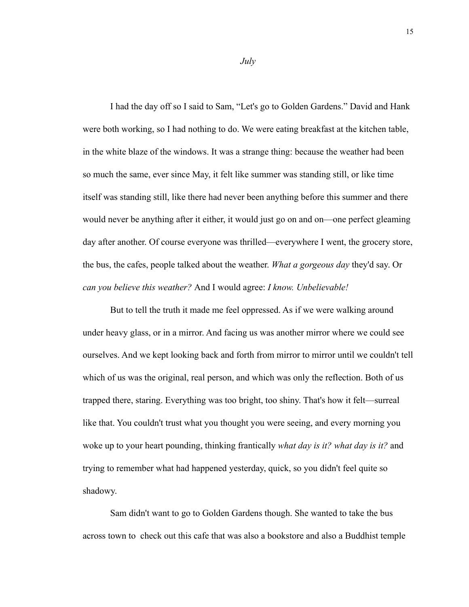I had the day off so I said to Sam, "Let's go to Golden Gardens." David and Hank were both working, so I had nothing to do. We were eating breakfast at the kitchen table, in the white blaze of the windows. It was a strange thing: because the weather had been so much the same, ever since May, it felt like summer was standing still, or like time itself was standing still, like there had never been anything before this summer and there would never be anything after it either, it would just go on and on—one perfect gleaming day after another. Of course everyone was thrilled—everywhere I went, the grocery store, the bus, the cafes, people talked about the weather. *What a gorgeous day* they'd say. Or *can you believe this weather?* And I would agree: *I know. Unbelievable!* 

But to tell the truth it made me feel oppressed. As if we were walking around under heavy glass, or in a mirror. And facing us was another mirror where we could see ourselves. And we kept looking back and forth from mirror to mirror until we couldn't tell which of us was the original, real person, and which was only the reflection. Both of us trapped there, staring. Everything was too bright, too shiny. That's how it felt—surreal like that. You couldn't trust what you thought you were seeing, and every morning you woke up to your heart pounding, thinking frantically *what day is it? what day is it?* and trying to remember what had happened yesterday, quick, so you didn't feel quite so shadowy.

Sam didn't want to go to Golden Gardens though. She wanted to take the bus across town to check out this cafe that was also a bookstore and also a Buddhist temple

*July*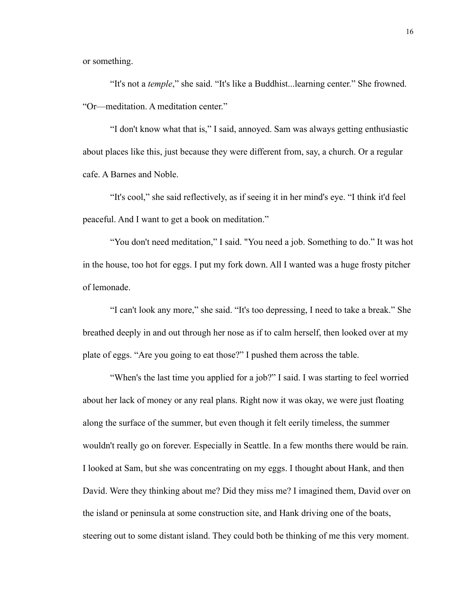or something.

"It's not a *temple*," she said. "It's like a Buddhist...learning center." She frowned. "Or—meditation. A meditation center."

"I don't know what that is," I said, annoyed. Sam was always getting enthusiastic about places like this, just because they were different from, say, a church. Or a regular cafe. A Barnes and Noble.

"It's cool," she said reflectively, as if seeing it in her mind's eye. "I think it'd feel peaceful. And I want to get a book on meditation."

"You don't need meditation," I said. "You need a job. Something to do." It was hot in the house, too hot for eggs. I put my fork down. All I wanted was a huge frosty pitcher of lemonade.

"I can't look any more," she said. "It's too depressing, I need to take a break." She breathed deeply in and out through her nose as if to calm herself, then looked over at my plate of eggs. "Are you going to eat those?" I pushed them across the table.

"When's the last time you applied for a job?" I said. I was starting to feel worried about her lack of money or any real plans. Right now it was okay, we were just floating along the surface of the summer, but even though it felt eerily timeless, the summer wouldn't really go on forever. Especially in Seattle. In a few months there would be rain. I looked at Sam, but she was concentrating on my eggs. I thought about Hank, and then David. Were they thinking about me? Did they miss me? I imagined them, David over on the island or peninsula at some construction site, and Hank driving one of the boats, steering out to some distant island. They could both be thinking of me this very moment.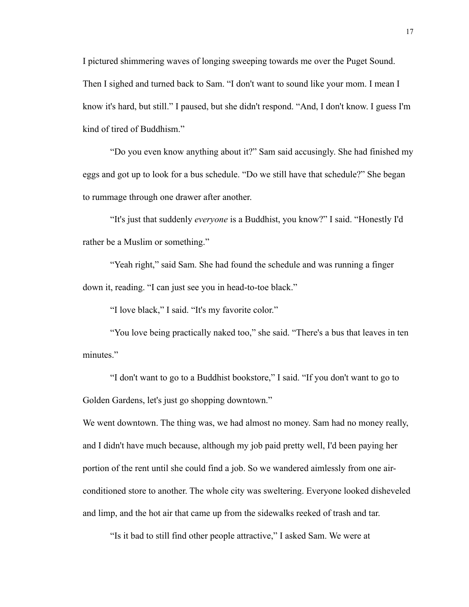I pictured shimmering waves of longing sweeping towards me over the Puget Sound. Then I sighed and turned back to Sam. "I don't want to sound like your mom. I mean I know it's hard, but still." I paused, but she didn't respond. "And, I don't know. I guess I'm kind of tired of Buddhism."

"Do you even know anything about it?" Sam said accusingly. She had finished my eggs and got up to look for a bus schedule. "Do we still have that schedule?" She began to rummage through one drawer after another.

"It's just that suddenly *everyone* is a Buddhist, you know?" I said. "Honestly I'd rather be a Muslim or something."

"Yeah right," said Sam. She had found the schedule and was running a finger down it, reading. "I can just see you in head-to-toe black."

"I love black," I said. "It's my favorite color."

"You love being practically naked too," she said. "There's a bus that leaves in ten minutes."

"I don't want to go to a Buddhist bookstore," I said. "If you don't want to go to Golden Gardens, let's just go shopping downtown."

We went downtown. The thing was, we had almost no money. Sam had no money really, and I didn't have much because, although my job paid pretty well, I'd been paying her portion of the rent until she could find a job. So we wandered aimlessly from one airconditioned store to another. The whole city was sweltering. Everyone looked disheveled and limp, and the hot air that came up from the sidewalks reeked of trash and tar.

"Is it bad to still find other people attractive," I asked Sam. We were at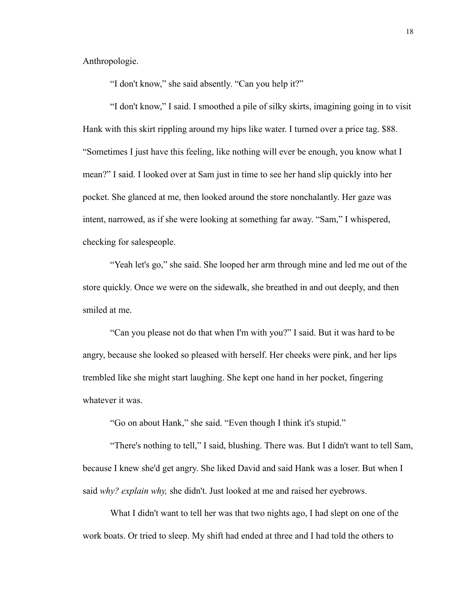Anthropologie.

"I don't know," she said absently. "Can you help it?"

"I don't know," I said. I smoothed a pile of silky skirts, imagining going in to visit Hank with this skirt rippling around my hips like water. I turned over a price tag. \$88. "Sometimes I just have this feeling, like nothing will ever be enough, you know what I mean?" I said. I looked over at Sam just in time to see her hand slip quickly into her pocket. She glanced at me, then looked around the store nonchalantly. Her gaze was intent, narrowed, as if she were looking at something far away. "Sam," I whispered, checking for salespeople.

"Yeah let's go," she said. She looped her arm through mine and led me out of the store quickly. Once we were on the sidewalk, she breathed in and out deeply, and then smiled at me.

"Can you please not do that when I'm with you?" I said. But it was hard to be angry, because she looked so pleased with herself. Her cheeks were pink, and her lips trembled like she might start laughing. She kept one hand in her pocket, fingering whatever it was.

"Go on about Hank," she said. "Even though I think it's stupid."

"There's nothing to tell," I said, blushing. There was. But I didn't want to tell Sam, because I knew she'd get angry. She liked David and said Hank was a loser. But when I said *why? explain why,* she didn't. Just looked at me and raised her eyebrows.

What I didn't want to tell her was that two nights ago, I had slept on one of the work boats. Or tried to sleep. My shift had ended at three and I had told the others to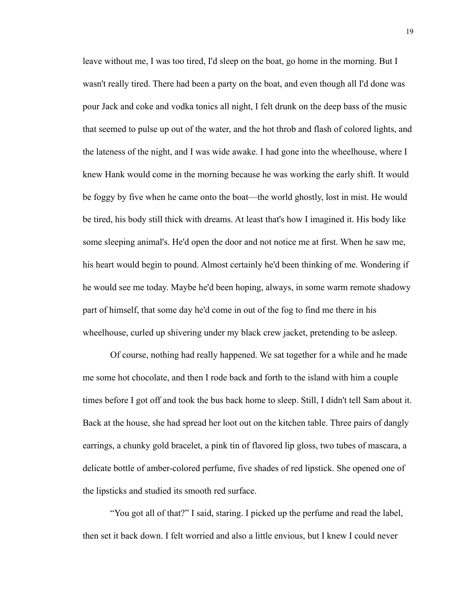leave without me, I was too tired, I'd sleep on the boat, go home in the morning. But I wasn't really tired. There had been a party on the boat, and even though all I'd done was pour Jack and coke and vodka tonics all night, I felt drunk on the deep bass of the music that seemed to pulse up out of the water, and the hot throb and flash of colored lights, and the lateness of the night, and I was wide awake. I had gone into the wheelhouse, where I knew Hank would come in the morning because he was working the early shift. It would be foggy by five when he came onto the boat—the world ghostly, lost in mist. He would be tired, his body still thick with dreams. At least that's how I imagined it. His body like some sleeping animal's. He'd open the door and not notice me at first. When he saw me, his heart would begin to pound. Almost certainly he'd been thinking of me. Wondering if he would see me today. Maybe he'd been hoping, always, in some warm remote shadowy part of himself, that some day he'd come in out of the fog to find me there in his wheelhouse, curled up shivering under my black crew jacket, pretending to be asleep.

Of course, nothing had really happened. We sat together for a while and he made me some hot chocolate, and then I rode back and forth to the island with him a couple times before I got off and took the bus back home to sleep. Still, I didn't tell Sam about it. Back at the house, she had spread her loot out on the kitchen table. Three pairs of dangly earrings, a chunky gold bracelet, a pink tin of flavored lip gloss, two tubes of mascara, a delicate bottle of amber-colored perfume, five shades of red lipstick. She opened one of the lipsticks and studied its smooth red surface.

"You got all of that?" I said, staring. I picked up the perfume and read the label, then set it back down. I felt worried and also a little envious, but I knew I could never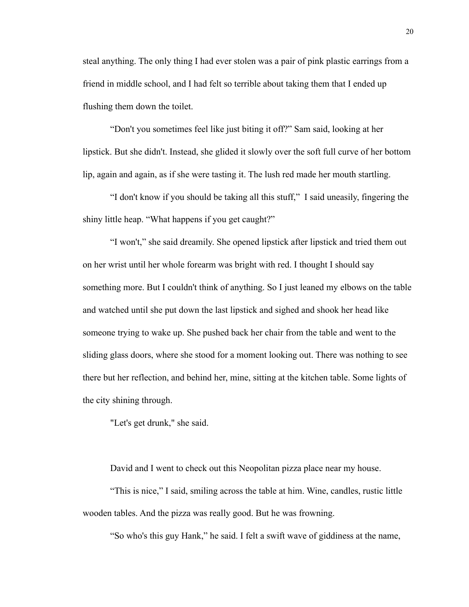steal anything. The only thing I had ever stolen was a pair of pink plastic earrings from a friend in middle school, and I had felt so terrible about taking them that I ended up flushing them down the toilet.

"Don't you sometimes feel like just biting it off?" Sam said, looking at her lipstick. But she didn't. Instead, she glided it slowly over the soft full curve of her bottom lip, again and again, as if she were tasting it. The lush red made her mouth startling.

"I don't know if you should be taking all this stuff," I said uneasily, fingering the shiny little heap. "What happens if you get caught?"

"I won't," she said dreamily. She opened lipstick after lipstick and tried them out on her wrist until her whole forearm was bright with red. I thought I should say something more. But I couldn't think of anything. So I just leaned my elbows on the table and watched until she put down the last lipstick and sighed and shook her head like someone trying to wake up. She pushed back her chair from the table and went to the sliding glass doors, where she stood for a moment looking out. There was nothing to see there but her reflection, and behind her, mine, sitting at the kitchen table. Some lights of the city shining through.

"Let's get drunk," she said.

David and I went to check out this Neopolitan pizza place near my house.

"This is nice," I said, smiling across the table at him. Wine, candles, rustic little wooden tables. And the pizza was really good. But he was frowning.

"So who's this guy Hank," he said. I felt a swift wave of giddiness at the name,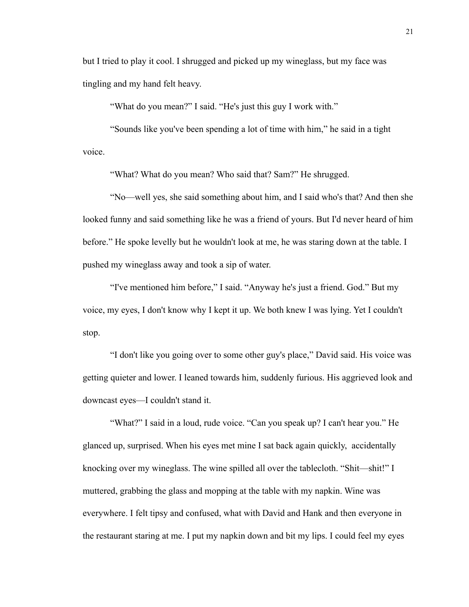but I tried to play it cool. I shrugged and picked up my wineglass, but my face was tingling and my hand felt heavy.

"What do you mean?" I said. "He's just this guy I work with."

"Sounds like you've been spending a lot of time with him," he said in a tight voice.

"What? What do you mean? Who said that? Sam?" He shrugged.

"No—well yes, she said something about him, and I said who's that? And then she looked funny and said something like he was a friend of yours. But I'd never heard of him before." He spoke levelly but he wouldn't look at me, he was staring down at the table. I pushed my wineglass away and took a sip of water.

"I've mentioned him before," I said. "Anyway he's just a friend. God." But my voice, my eyes, I don't know why I kept it up. We both knew I was lying. Yet I couldn't stop.

"I don't like you going over to some other guy's place," David said. His voice was getting quieter and lower. I leaned towards him, suddenly furious. His aggrieved look and downcast eyes—I couldn't stand it.

"What?" I said in a loud, rude voice. "Can you speak up? I can't hear you." He glanced up, surprised. When his eyes met mine I sat back again quickly, accidentally knocking over my wineglass. The wine spilled all over the tablecloth. "Shit—shit!" I muttered, grabbing the glass and mopping at the table with my napkin. Wine was everywhere. I felt tipsy and confused, what with David and Hank and then everyone in the restaurant staring at me. I put my napkin down and bit my lips. I could feel my eyes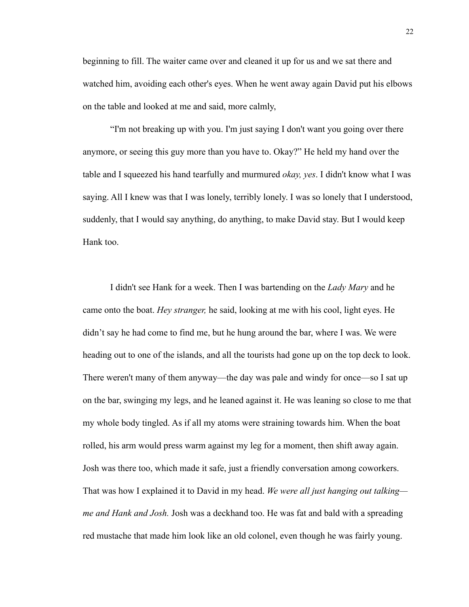beginning to fill. The waiter came over and cleaned it up for us and we sat there and watched him, avoiding each other's eyes. When he went away again David put his elbows on the table and looked at me and said, more calmly,

"I'm not breaking up with you. I'm just saying I don't want you going over there anymore, or seeing this guy more than you have to. Okay?" He held my hand over the table and I squeezed his hand tearfully and murmured *okay, yes*. I didn't know what I was saying. All I knew was that I was lonely, terribly lonely. I was so lonely that I understood, suddenly, that I would say anything, do anything, to make David stay. But I would keep Hank too.

I didn't see Hank for a week. Then I was bartending on the *Lady Mary* and he came onto the boat. *Hey stranger,* he said, looking at me with his cool, light eyes. He didn't say he had come to find me, but he hung around the bar, where I was. We were heading out to one of the islands, and all the tourists had gone up on the top deck to look. There weren't many of them anyway—the day was pale and windy for once—so I sat up on the bar, swinging my legs, and he leaned against it. He was leaning so close to me that my whole body tingled. As if all my atoms were straining towards him. When the boat rolled, his arm would press warm against my leg for a moment, then shift away again. Josh was there too, which made it safe, just a friendly conversation among coworkers. That was how I explained it to David in my head. *We were all just hanging out talking me and Hank and Josh.* Josh was a deckhand too. He was fat and bald with a spreading red mustache that made him look like an old colonel, even though he was fairly young.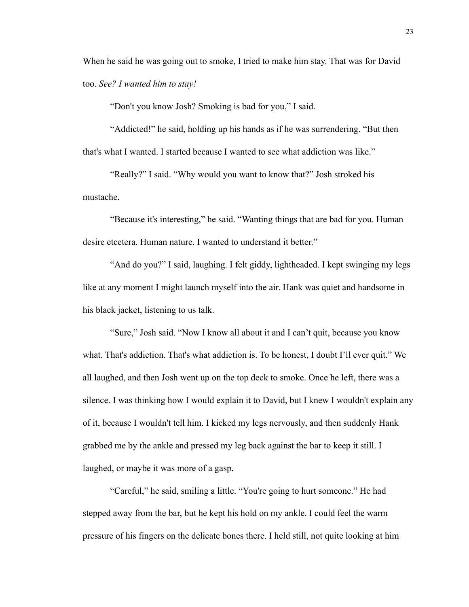When he said he was going out to smoke, I tried to make him stay. That was for David too. *See? I wanted him to stay!* 

"Don't you know Josh? Smoking is bad for you," I said.

"Addicted!" he said, holding up his hands as if he was surrendering. "But then that's what I wanted. I started because I wanted to see what addiction was like."

"Really?" I said. "Why would you want to know that?" Josh stroked his mustache.

"Because it's interesting," he said. "Wanting things that are bad for you. Human desire etcetera. Human nature. I wanted to understand it better."

"And do you?" I said, laughing. I felt giddy, lightheaded. I kept swinging my legs like at any moment I might launch myself into the air. Hank was quiet and handsome in his black jacket, listening to us talk.

"Sure," Josh said. "Now I know all about it and I can't quit, because you know what. That's addiction. That's what addiction is. To be honest, I doubt I'll ever quit." We all laughed, and then Josh went up on the top deck to smoke. Once he left, there was a silence. I was thinking how I would explain it to David, but I knew I wouldn't explain any of it, because I wouldn't tell him. I kicked my legs nervously, and then suddenly Hank grabbed me by the ankle and pressed my leg back against the bar to keep it still. I laughed, or maybe it was more of a gasp.

"Careful," he said, smiling a little. "You're going to hurt someone." He had stepped away from the bar, but he kept his hold on my ankle. I could feel the warm pressure of his fingers on the delicate bones there. I held still, not quite looking at him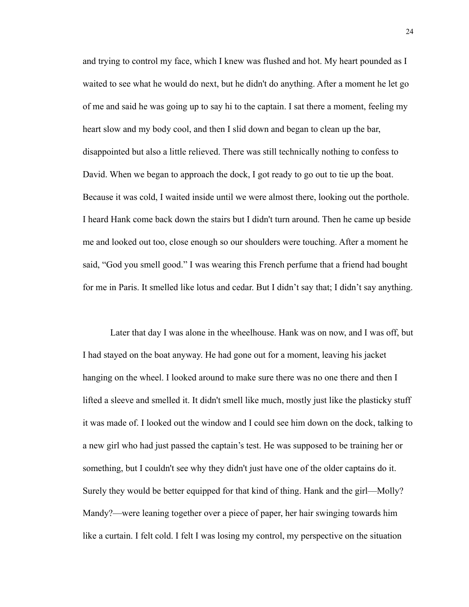and trying to control my face, which I knew was flushed and hot. My heart pounded as I waited to see what he would do next, but he didn't do anything. After a moment he let go of me and said he was going up to say hi to the captain. I sat there a moment, feeling my heart slow and my body cool, and then I slid down and began to clean up the bar, disappointed but also a little relieved. There was still technically nothing to confess to David. When we began to approach the dock, I got ready to go out to tie up the boat. Because it was cold, I waited inside until we were almost there, looking out the porthole. I heard Hank come back down the stairs but I didn't turn around. Then he came up beside me and looked out too, close enough so our shoulders were touching. After a moment he said, "God you smell good." I was wearing this French perfume that a friend had bought for me in Paris. It smelled like lotus and cedar. But I didn't say that; I didn't say anything.

Later that day I was alone in the wheelhouse. Hank was on now, and I was off, but I had stayed on the boat anyway. He had gone out for a moment, leaving his jacket hanging on the wheel. I looked around to make sure there was no one there and then I lifted a sleeve and smelled it. It didn't smell like much, mostly just like the plasticky stuff it was made of. I looked out the window and I could see him down on the dock, talking to a new girl who had just passed the captain's test. He was supposed to be training her or something, but I couldn't see why they didn't just have one of the older captains do it. Surely they would be better equipped for that kind of thing. Hank and the girl—Molly? Mandy?—were leaning together over a piece of paper, her hair swinging towards him like a curtain. I felt cold. I felt I was losing my control, my perspective on the situation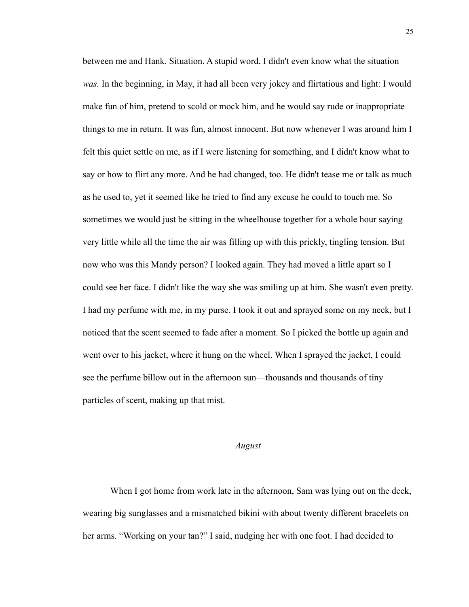between me and Hank. Situation. A stupid word. I didn't even know what the situation *was.* In the beginning, in May, it had all been very jokey and flirtatious and light: I would make fun of him, pretend to scold or mock him, and he would say rude or inappropriate things to me in return. It was fun, almost innocent. But now whenever I was around him I felt this quiet settle on me, as if I were listening for something, and I didn't know what to say or how to flirt any more. And he had changed, too. He didn't tease me or talk as much as he used to, yet it seemed like he tried to find any excuse he could to touch me. So sometimes we would just be sitting in the wheelhouse together for a whole hour saying very little while all the time the air was filling up with this prickly, tingling tension. But now who was this Mandy person? I looked again. They had moved a little apart so I could see her face. I didn't like the way she was smiling up at him. She wasn't even pretty. I had my perfume with me, in my purse. I took it out and sprayed some on my neck, but I noticed that the scent seemed to fade after a moment. So I picked the bottle up again and went over to his jacket, where it hung on the wheel. When I sprayed the jacket, I could see the perfume billow out in the afternoon sun—thousands and thousands of tiny particles of scent, making up that mist.

#### *August*

When I got home from work late in the afternoon, Sam was lying out on the deck, wearing big sunglasses and a mismatched bikini with about twenty different bracelets on her arms. "Working on your tan?" I said, nudging her with one foot. I had decided to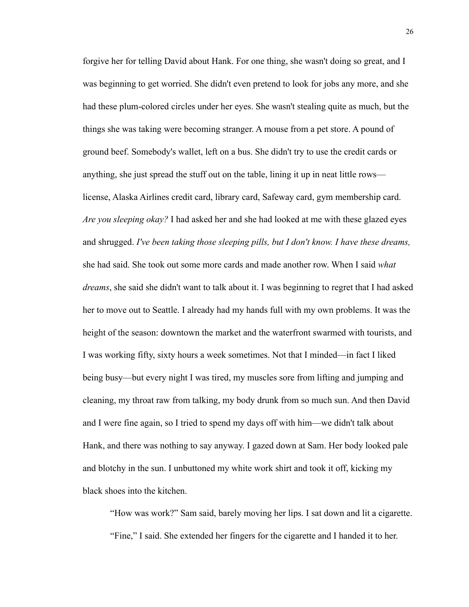forgive her for telling David about Hank. For one thing, she wasn't doing so great, and I was beginning to get worried. She didn't even pretend to look for jobs any more, and she had these plum-colored circles under her eyes. She wasn't stealing quite as much, but the things she was taking were becoming stranger. A mouse from a pet store. A pound of ground beef. Somebody's wallet, left on a bus. She didn't try to use the credit cards or anything, she just spread the stuff out on the table, lining it up in neat little rows license, Alaska Airlines credit card, library card, Safeway card, gym membership card. *Are you sleeping okay?* I had asked her and she had looked at me with these glazed eyes and shrugged. *I've been taking those sleeping pills, but I don't know. I have these dreams,*  she had said. She took out some more cards and made another row. When I said *what dreams*, she said she didn't want to talk about it. I was beginning to regret that I had asked her to move out to Seattle. I already had my hands full with my own problems. It was the height of the season: downtown the market and the waterfront swarmed with tourists, and I was working fifty, sixty hours a week sometimes. Not that I minded—in fact I liked being busy—but every night I was tired, my muscles sore from lifting and jumping and cleaning, my throat raw from talking, my body drunk from so much sun. And then David and I were fine again, so I tried to spend my days off with him—we didn't talk about Hank, and there was nothing to say anyway. I gazed down at Sam. Her body looked pale and blotchy in the sun. I unbuttoned my white work shirt and took it off, kicking my black shoes into the kitchen.

"How was work?" Sam said, barely moving her lips. I sat down and lit a cigarette. "Fine," I said. She extended her fingers for the cigarette and I handed it to her.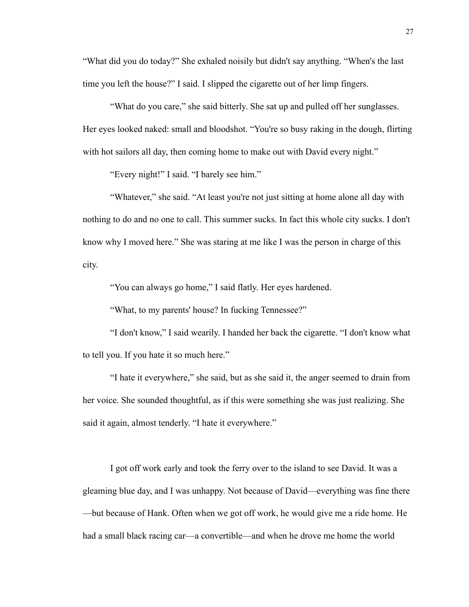"What did you do today?" She exhaled noisily but didn't say anything. "When's the last time you left the house?" I said. I slipped the cigarette out of her limp fingers.

"What do you care," she said bitterly. She sat up and pulled off her sunglasses. Her eyes looked naked: small and bloodshot. "You're so busy raking in the dough, flirting with hot sailors all day, then coming home to make out with David every night."

"Every night!" I said. "I barely see him."

"Whatever," she said. "At least you're not just sitting at home alone all day with nothing to do and no one to call. This summer sucks. In fact this whole city sucks. I don't know why I moved here." She was staring at me like I was the person in charge of this city.

"You can always go home," I said flatly. Her eyes hardened.

"What, to my parents' house? In fucking Tennessee?"

"I don't know," I said wearily. I handed her back the cigarette. "I don't know what to tell you. If you hate it so much here."

"I hate it everywhere," she said, but as she said it, the anger seemed to drain from her voice. She sounded thoughtful, as if this were something she was just realizing. She said it again, almost tenderly. "I hate it everywhere."

I got off work early and took the ferry over to the island to see David. It was a gleaming blue day, and I was unhappy. Not because of David—everything was fine there —but because of Hank. Often when we got off work, he would give me a ride home. He had a small black racing car—a convertible—and when he drove me home the world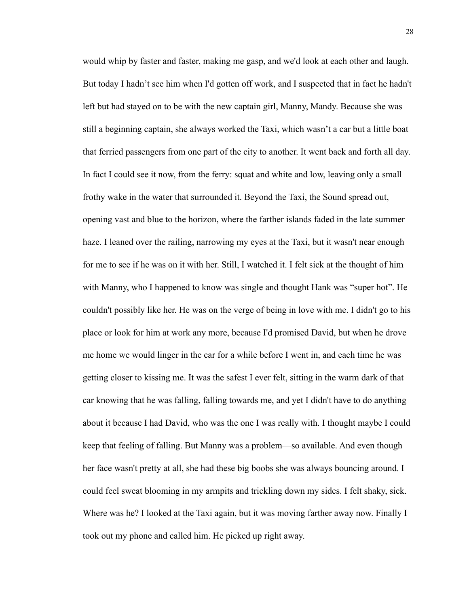would whip by faster and faster, making me gasp, and we'd look at each other and laugh. But today I hadn't see him when I'd gotten off work, and I suspected that in fact he hadn't left but had stayed on to be with the new captain girl, Manny, Mandy. Because she was still a beginning captain, she always worked the Taxi, which wasn't a car but a little boat that ferried passengers from one part of the city to another. It went back and forth all day. In fact I could see it now, from the ferry: squat and white and low, leaving only a small frothy wake in the water that surrounded it. Beyond the Taxi, the Sound spread out, opening vast and blue to the horizon, where the farther islands faded in the late summer haze. I leaned over the railing, narrowing my eyes at the Taxi, but it wasn't near enough for me to see if he was on it with her. Still, I watched it. I felt sick at the thought of him with Manny, who I happened to know was single and thought Hank was "super hot". He couldn't possibly like her. He was on the verge of being in love with me. I didn't go to his place or look for him at work any more, because I'd promised David, but when he drove me home we would linger in the car for a while before I went in, and each time he was getting closer to kissing me. It was the safest I ever felt, sitting in the warm dark of that car knowing that he was falling, falling towards me, and yet I didn't have to do anything about it because I had David, who was the one I was really with. I thought maybe I could keep that feeling of falling. But Manny was a problem—so available. And even though her face wasn't pretty at all, she had these big boobs she was always bouncing around. I could feel sweat blooming in my armpits and trickling down my sides. I felt shaky, sick. Where was he? I looked at the Taxi again, but it was moving farther away now. Finally I took out my phone and called him. He picked up right away.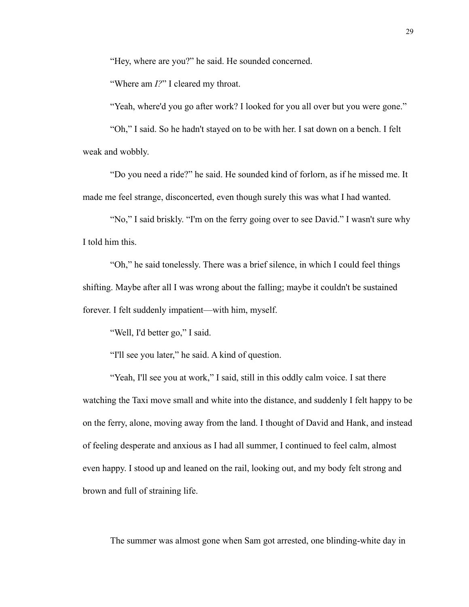"Hey, where are you?" he said. He sounded concerned.

"Where am *I?*" I cleared my throat.

"Yeah, where'd you go after work? I looked for you all over but you were gone."

 "Oh," I said. So he hadn't stayed on to be with her. I sat down on a bench. I felt weak and wobbly.

"Do you need a ride?" he said. He sounded kind of forlorn, as if he missed me. It made me feel strange, disconcerted, even though surely this was what I had wanted.

"No," I said briskly. "I'm on the ferry going over to see David." I wasn't sure why I told him this.

"Oh," he said tonelessly. There was a brief silence, in which I could feel things shifting. Maybe after all I was wrong about the falling; maybe it couldn't be sustained forever. I felt suddenly impatient—with him, myself.

"Well, I'd better go," I said.

"I'll see you later," he said. A kind of question.

"Yeah, I'll see you at work," I said, still in this oddly calm voice. I sat there watching the Taxi move small and white into the distance, and suddenly I felt happy to be on the ferry, alone, moving away from the land. I thought of David and Hank, and instead of feeling desperate and anxious as I had all summer, I continued to feel calm, almost even happy. I stood up and leaned on the rail, looking out, and my body felt strong and brown and full of straining life.

The summer was almost gone when Sam got arrested, one blinding-white day in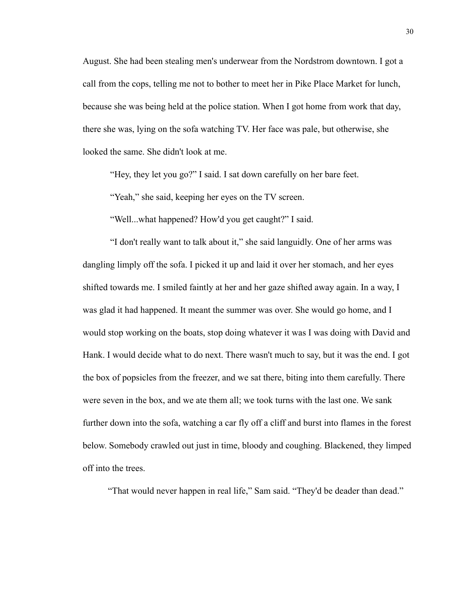August. She had been stealing men's underwear from the Nordstrom downtown. I got a call from the cops, telling me not to bother to meet her in Pike Place Market for lunch, because she was being held at the police station. When I got home from work that day, there she was, lying on the sofa watching TV. Her face was pale, but otherwise, she looked the same. She didn't look at me.

"Hey, they let you go?" I said. I sat down carefully on her bare feet.

"Yeah," she said, keeping her eyes on the TV screen.

"Well...what happened? How'd you get caught?" I said.

"I don't really want to talk about it," she said languidly. One of her arms was dangling limply off the sofa. I picked it up and laid it over her stomach, and her eyes shifted towards me. I smiled faintly at her and her gaze shifted away again. In a way, I was glad it had happened. It meant the summer was over. She would go home, and I would stop working on the boats, stop doing whatever it was I was doing with David and Hank. I would decide what to do next. There wasn't much to say, but it was the end. I got the box of popsicles from the freezer, and we sat there, biting into them carefully. There were seven in the box, and we ate them all; we took turns with the last one. We sank further down into the sofa, watching a car fly off a cliff and burst into flames in the forest below. Somebody crawled out just in time, bloody and coughing. Blackened, they limped off into the trees.

"That would never happen in real life," Sam said. "They'd be deader than dead."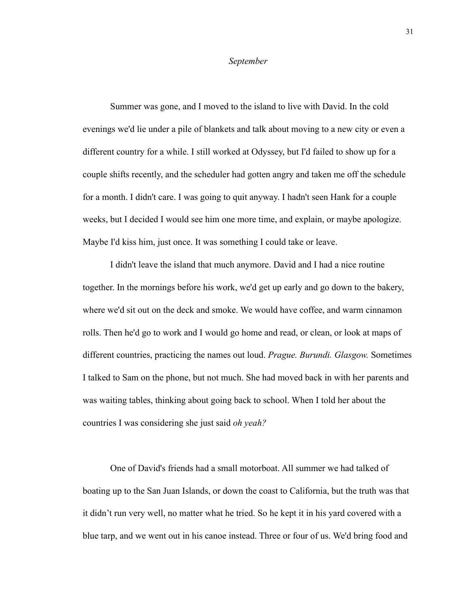#### *September*

Summer was gone, and I moved to the island to live with David. In the cold evenings we'd lie under a pile of blankets and talk about moving to a new city or even a different country for a while. I still worked at Odyssey, but I'd failed to show up for a couple shifts recently, and the scheduler had gotten angry and taken me off the schedule for a month. I didn't care. I was going to quit anyway. I hadn't seen Hank for a couple weeks, but I decided I would see him one more time, and explain, or maybe apologize. Maybe I'd kiss him, just once. It was something I could take or leave.

I didn't leave the island that much anymore. David and I had a nice routine together. In the mornings before his work, we'd get up early and go down to the bakery, where we'd sit out on the deck and smoke. We would have coffee, and warm cinnamon rolls. Then he'd go to work and I would go home and read, or clean, or look at maps of different countries, practicing the names out loud. *Prague. Burundi. Glasgow.* Sometimes I talked to Sam on the phone, but not much. She had moved back in with her parents and was waiting tables, thinking about going back to school. When I told her about the countries I was considering she just said *oh yeah?*

One of David's friends had a small motorboat. All summer we had talked of boating up to the San Juan Islands, or down the coast to California, but the truth was that it didn't run very well, no matter what he tried. So he kept it in his yard covered with a blue tarp, and we went out in his canoe instead. Three or four of us. We'd bring food and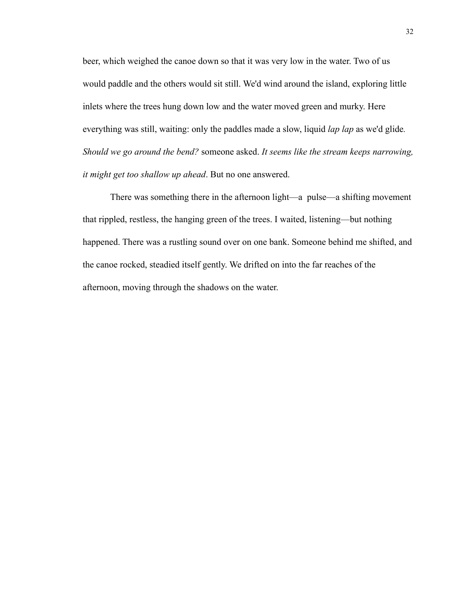beer, which weighed the canoe down so that it was very low in the water. Two of us would paddle and the others would sit still. We'd wind around the island, exploring little inlets where the trees hung down low and the water moved green and murky. Here everything was still, waiting: only the paddles made a slow, liquid *lap lap* as we'd glide*. Should we go around the bend?* someone asked. *It seems like the stream keeps narrowing, it might get too shallow up ahead*. But no one answered.

There was something there in the afternoon light—a pulse—a shifting movement that rippled, restless, the hanging green of the trees. I waited, listening—but nothing happened. There was a rustling sound over on one bank. Someone behind me shifted, and the canoe rocked, steadied itself gently. We drifted on into the far reaches of the afternoon, moving through the shadows on the water.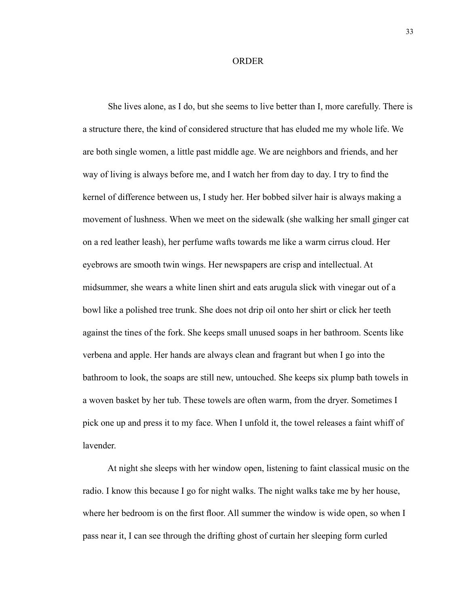### ORDER

 She lives alone, as I do, but she seems to live better than I, more carefully. There is a structure there, the kind of considered structure that has eluded me my whole life. We are both single women, a little past middle age. We are neighbors and friends, and her way of living is always before me, and I watch her from day to day. I try to find the kernel of difference between us, I study her. Her bobbed silver hair is always making a movement of lushness. When we meet on the sidewalk (she walking her small ginger cat on a red leather leash), her perfume wafts towards me like a warm cirrus cloud. Her eyebrows are smooth twin wings. Her newspapers are crisp and intellectual. At midsummer, she wears a white linen shirt and eats arugula slick with vinegar out of a bowl like a polished tree trunk. She does not drip oil onto her shirt or click her teeth against the tines of the fork. She keeps small unused soaps in her bathroom. Scents like verbena and apple. Her hands are always clean and fragrant but when I go into the bathroom to look, the soaps are still new, untouched. She keeps six plump bath towels in a woven basket by her tub. These towels are often warm, from the dryer. Sometimes I pick one up and press it to my face. When I unfold it, the towel releases a faint whiff of lavender.

 At night she sleeps with her window open, listening to faint classical music on the radio. I know this because I go for night walks. The night walks take me by her house, where her bedroom is on the first floor. All summer the window is wide open, so when I pass near it, I can see through the drifting ghost of curtain her sleeping form curled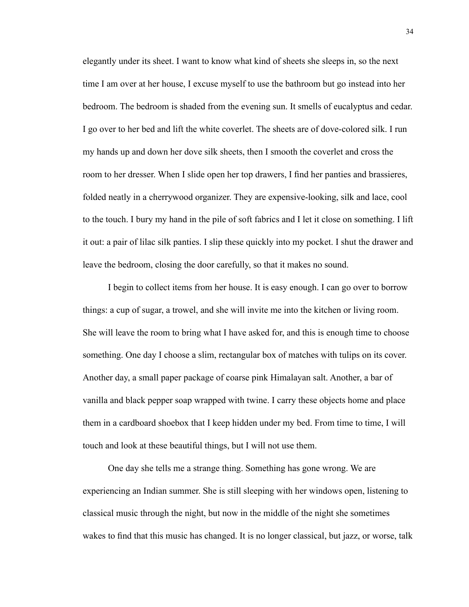elegantly under its sheet. I want to know what kind of sheets she sleeps in, so the next time I am over at her house, I excuse myself to use the bathroom but go instead into her bedroom. The bedroom is shaded from the evening sun. It smells of eucalyptus and cedar. I go over to her bed and lift the white coverlet. The sheets are of dove-colored silk. I run my hands up and down her dove silk sheets, then I smooth the coverlet and cross the room to her dresser. When I slide open her top drawers, I find her panties and brassieres, folded neatly in a cherrywood organizer. They are expensive-looking, silk and lace, cool to the touch. I bury my hand in the pile of soft fabrics and I let it close on something. I lift it out: a pair of lilac silk panties. I slip these quickly into my pocket. I shut the drawer and leave the bedroom, closing the door carefully, so that it makes no sound.

 I begin to collect items from her house. It is easy enough. I can go over to borrow things: a cup of sugar, a trowel, and she will invite me into the kitchen or living room. She will leave the room to bring what I have asked for, and this is enough time to choose something. One day I choose a slim, rectangular box of matches with tulips on its cover. Another day, a small paper package of coarse pink Himalayan salt. Another, a bar of vanilla and black pepper soap wrapped with twine. I carry these objects home and place them in a cardboard shoebox that I keep hidden under my bed. From time to time, I will touch and look at these beautiful things, but I will not use them.

 One day she tells me a strange thing. Something has gone wrong. We are experiencing an Indian summer. She is still sleeping with her windows open, listening to classical music through the night, but now in the middle of the night she sometimes wakes to find that this music has changed. It is no longer classical, but jazz, or worse, talk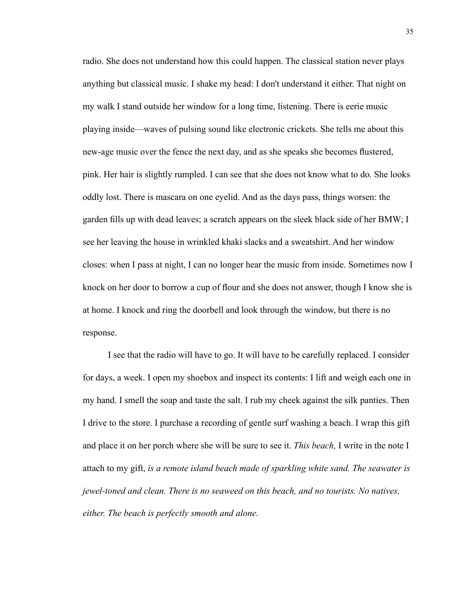radio. She does not understand how this could happen. The classical station never plays anything but classical music. I shake my head: I don't understand it either. That night on my walk I stand outside her window for a long time, listening. There is eerie music playing inside—waves of pulsing sound like electronic crickets. She tells me about this new-age music over the fence the next day, and as she speaks she becomes flustered, pink. Her hair is slightly rumpled. I can see that she does not know what to do. She looks oddly lost. There is mascara on one eyelid. And as the days pass, things worsen: the garden fills up with dead leaves; a scratch appears on the sleek black side of her BMW; I see her leaving the house in wrinkled khaki slacks and a sweatshirt. And her window closes: when I pass at night, I can no longer hear the music from inside. Sometimes now I knock on her door to borrow a cup of flour and she does not answer, though I know she is at home. I knock and ring the doorbell and look through the window, but there is no response.

 I see that the radio will have to go. It will have to be carefully replaced. I consider for days, a week. I open my shoebox and inspect its contents: I lift and weigh each one in my hand. I smell the soap and taste the salt. I rub my cheek against the silk panties. Then I drive to the store. I purchase a recording of gentle surf washing a beach. I wrap this gift and place it on her porch where she will be sure to see it. *This beach,* I write in the note I attach to my gift, *is a remote island beach made of sparkling white sand. The seawater is jewel-toned and clean. There is no seaweed on this beach, and no tourists. No natives, either. The beach is perfectly smooth and alone.*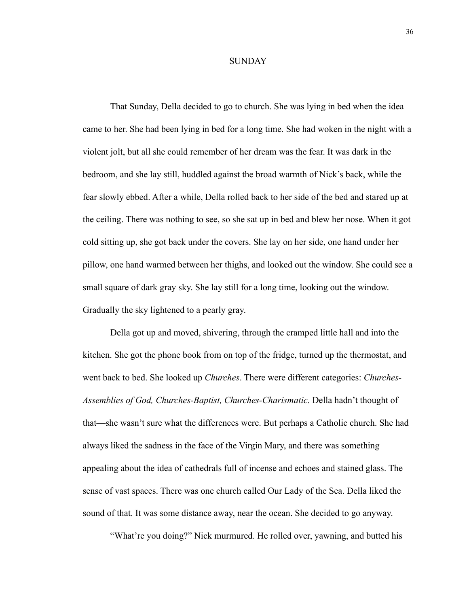## **SUNDAY**

That Sunday, Della decided to go to church. She was lying in bed when the idea came to her. She had been lying in bed for a long time. She had woken in the night with a violent jolt, but all she could remember of her dream was the fear. It was dark in the bedroom, and she lay still, huddled against the broad warmth of Nick's back, while the fear slowly ebbed. After a while, Della rolled back to her side of the bed and stared up at the ceiling. There was nothing to see, so she sat up in bed and blew her nose. When it got cold sitting up, she got back under the covers. She lay on her side, one hand under her pillow, one hand warmed between her thighs, and looked out the window. She could see a small square of dark gray sky. She lay still for a long time, looking out the window. Gradually the sky lightened to a pearly gray.

Della got up and moved, shivering, through the cramped little hall and into the kitchen. She got the phone book from on top of the fridge, turned up the thermostat, and went back to bed. She looked up *Churches*. There were different categories: *Churches-Assemblies of God, Churches-Baptist, Churches-Charismatic*. Della hadn't thought of that—she wasn't sure what the differences were. But perhaps a Catholic church. She had always liked the sadness in the face of the Virgin Mary, and there was something appealing about the idea of cathedrals full of incense and echoes and stained glass. The sense of vast spaces. There was one church called Our Lady of the Sea. Della liked the sound of that. It was some distance away, near the ocean. She decided to go anyway.

"What're you doing?" Nick murmured. He rolled over, yawning, and butted his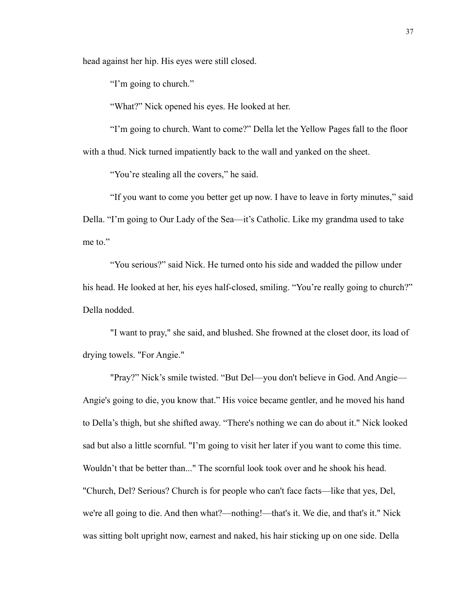head against her hip. His eyes were still closed.

"I'm going to church."

"What?" Nick opened his eyes. He looked at her.

"I'm going to church. Want to come?" Della let the Yellow Pages fall to the floor with a thud. Nick turned impatiently back to the wall and yanked on the sheet.

"You're stealing all the covers," he said.

"If you want to come you better get up now. I have to leave in forty minutes," said Della. "I'm going to Our Lady of the Sea—it's Catholic. Like my grandma used to take me to."

"You serious?" said Nick. He turned onto his side and wadded the pillow under his head. He looked at her, his eyes half-closed, smiling. "You're really going to church?" Della nodded.

"I want to pray," she said, and blushed. She frowned at the closet door, its load of drying towels. "For Angie."

"Pray?" Nick's smile twisted. "But Del—you don't believe in God. And Angie— Angie's going to die, you know that." His voice became gentler, and he moved his hand to Della's thigh, but she shifted away. "There's nothing we can do about it." Nick looked sad but also a little scornful. "I'm going to visit her later if you want to come this time. Wouldn't that be better than..." The scornful look took over and he shook his head. "Church, Del? Serious? Church is for people who can't face facts—like that yes, Del, we're all going to die. And then what?—nothing!—that's it. We die, and that's it." Nick was sitting bolt upright now, earnest and naked, his hair sticking up on one side. Della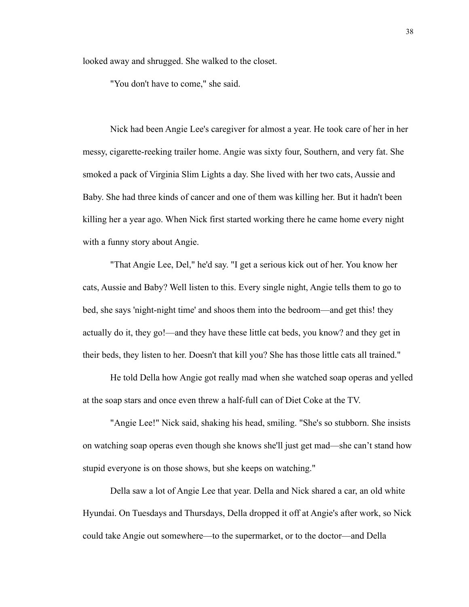looked away and shrugged. She walked to the closet.

"You don't have to come," she said.

Nick had been Angie Lee's caregiver for almost a year. He took care of her in her messy, cigarette-reeking trailer home. Angie was sixty four, Southern, and very fat. She smoked a pack of Virginia Slim Lights a day. She lived with her two cats, Aussie and Baby. She had three kinds of cancer and one of them was killing her. But it hadn't been killing her a year ago. When Nick first started working there he came home every night with a funny story about Angie.

"That Angie Lee, Del," he'd say. "I get a serious kick out of her. You know her cats, Aussie and Baby? Well listen to this. Every single night, Angie tells them to go to bed, she says 'night-night time' and shoos them into the bedroom—and get this! they actually do it, they go!—and they have these little cat beds, you know? and they get in their beds, they listen to her. Doesn't that kill you? She has those little cats all trained."

He told Della how Angie got really mad when she watched soap operas and yelled at the soap stars and once even threw a half-full can of Diet Coke at the TV.

"Angie Lee!" Nick said, shaking his head, smiling. "She's so stubborn. She insists on watching soap operas even though she knows she'll just get mad—she can't stand how stupid everyone is on those shows, but she keeps on watching."

Della saw a lot of Angie Lee that year. Della and Nick shared a car, an old white Hyundai. On Tuesdays and Thursdays, Della dropped it off at Angie's after work, so Nick could take Angie out somewhere—to the supermarket, or to the doctor—and Della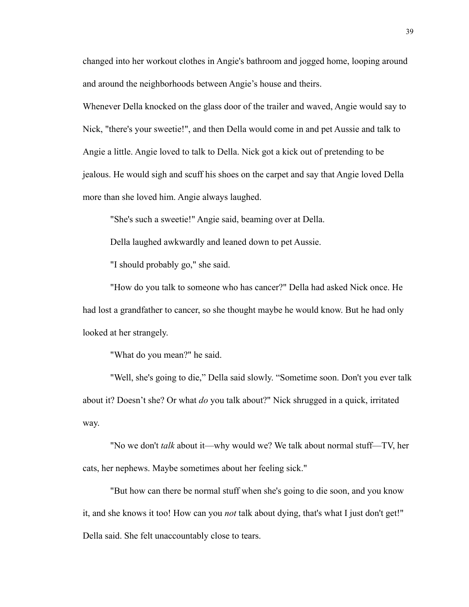changed into her workout clothes in Angie's bathroom and jogged home, looping around and around the neighborhoods between Angie's house and theirs.

Whenever Della knocked on the glass door of the trailer and waved, Angie would say to Nick, "there's your sweetie!", and then Della would come in and pet Aussie and talk to Angie a little. Angie loved to talk to Della. Nick got a kick out of pretending to be jealous. He would sigh and scuff his shoes on the carpet and say that Angie loved Della more than she loved him. Angie always laughed.

"She's such a sweetie!" Angie said, beaming over at Della.

Della laughed awkwardly and leaned down to pet Aussie.

"I should probably go," she said.

"How do you talk to someone who has cancer?" Della had asked Nick once. He had lost a grandfather to cancer, so she thought maybe he would know. But he had only looked at her strangely.

"What do you mean?" he said.

"Well, she's going to die," Della said slowly. "Sometime soon. Don't you ever talk about it? Doesn't she? Or what *do* you talk about?" Nick shrugged in a quick, irritated way.

"No we don't *talk* about it—why would we? We talk about normal stuff—TV, her cats, her nephews. Maybe sometimes about her feeling sick."

"But how can there be normal stuff when she's going to die soon, and you know it, and she knows it too! How can you *not* talk about dying, that's what I just don't get!" Della said. She felt unaccountably close to tears.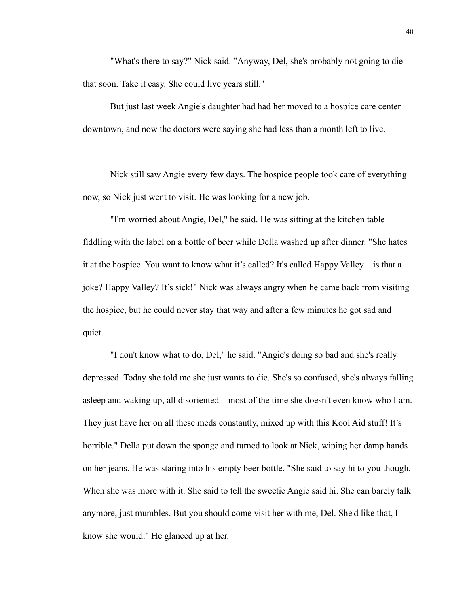"What's there to say?" Nick said. "Anyway, Del, she's probably not going to die that soon. Take it easy. She could live years still."

But just last week Angie's daughter had had her moved to a hospice care center downtown, and now the doctors were saying she had less than a month left to live.

Nick still saw Angie every few days. The hospice people took care of everything now, so Nick just went to visit. He was looking for a new job.

"I'm worried about Angie, Del," he said. He was sitting at the kitchen table fiddling with the label on a bottle of beer while Della washed up after dinner. "She hates it at the hospice. You want to know what it's called? It's called Happy Valley—is that a joke? Happy Valley? It's sick!" Nick was always angry when he came back from visiting the hospice, but he could never stay that way and after a few minutes he got sad and quiet.

"I don't know what to do, Del," he said. "Angie's doing so bad and she's really depressed. Today she told me she just wants to die. She's so confused, she's always falling asleep and waking up, all disoriented—most of the time she doesn't even know who I am. They just have her on all these meds constantly, mixed up with this Kool Aid stuff! It's horrible." Della put down the sponge and turned to look at Nick, wiping her damp hands on her jeans. He was staring into his empty beer bottle. "She said to say hi to you though. When she was more with it. She said to tell the sweetie Angie said hi. She can barely talk anymore, just mumbles. But you should come visit her with me, Del. She'd like that, I know she would." He glanced up at her.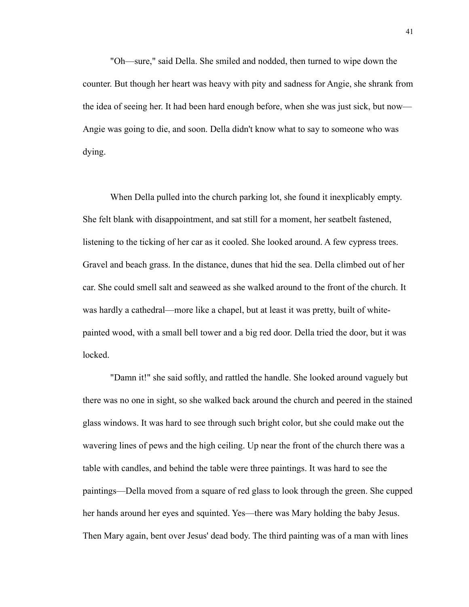"Oh—sure," said Della. She smiled and nodded, then turned to wipe down the counter. But though her heart was heavy with pity and sadness for Angie, she shrank from the idea of seeing her. It had been hard enough before, when she was just sick, but now— Angie was going to die, and soon. Della didn't know what to say to someone who was dying.

When Della pulled into the church parking lot, she found it inexplicably empty. She felt blank with disappointment, and sat still for a moment, her seatbelt fastened, listening to the ticking of her car as it cooled. She looked around. A few cypress trees. Gravel and beach grass. In the distance, dunes that hid the sea. Della climbed out of her car. She could smell salt and seaweed as she walked around to the front of the church. It was hardly a cathedral—more like a chapel, but at least it was pretty, built of whitepainted wood, with a small bell tower and a big red door. Della tried the door, but it was locked.

"Damn it!" she said softly, and rattled the handle. She looked around vaguely but there was no one in sight, so she walked back around the church and peered in the stained glass windows. It was hard to see through such bright color, but she could make out the wavering lines of pews and the high ceiling. Up near the front of the church there was a table with candles, and behind the table were three paintings. It was hard to see the paintings—Della moved from a square of red glass to look through the green. She cupped her hands around her eyes and squinted. Yes—there was Mary holding the baby Jesus. Then Mary again, bent over Jesus' dead body. The third painting was of a man with lines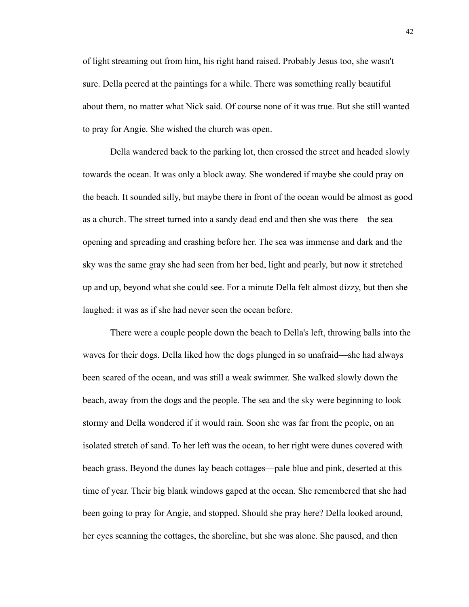of light streaming out from him, his right hand raised. Probably Jesus too, she wasn't sure. Della peered at the paintings for a while. There was something really beautiful about them, no matter what Nick said. Of course none of it was true. But she still wanted to pray for Angie. She wished the church was open.

Della wandered back to the parking lot, then crossed the street and headed slowly towards the ocean. It was only a block away. She wondered if maybe she could pray on the beach. It sounded silly, but maybe there in front of the ocean would be almost as good as a church. The street turned into a sandy dead end and then she was there—the sea opening and spreading and crashing before her. The sea was immense and dark and the sky was the same gray she had seen from her bed, light and pearly, but now it stretched up and up, beyond what she could see. For a minute Della felt almost dizzy, but then she laughed: it was as if she had never seen the ocean before.

There were a couple people down the beach to Della's left, throwing balls into the waves for their dogs. Della liked how the dogs plunged in so unafraid—she had always been scared of the ocean, and was still a weak swimmer. She walked slowly down the beach, away from the dogs and the people. The sea and the sky were beginning to look stormy and Della wondered if it would rain. Soon she was far from the people, on an isolated stretch of sand. To her left was the ocean, to her right were dunes covered with beach grass. Beyond the dunes lay beach cottages—pale blue and pink, deserted at this time of year. Their big blank windows gaped at the ocean. She remembered that she had been going to pray for Angie, and stopped. Should she pray here? Della looked around, her eyes scanning the cottages, the shoreline, but she was alone. She paused, and then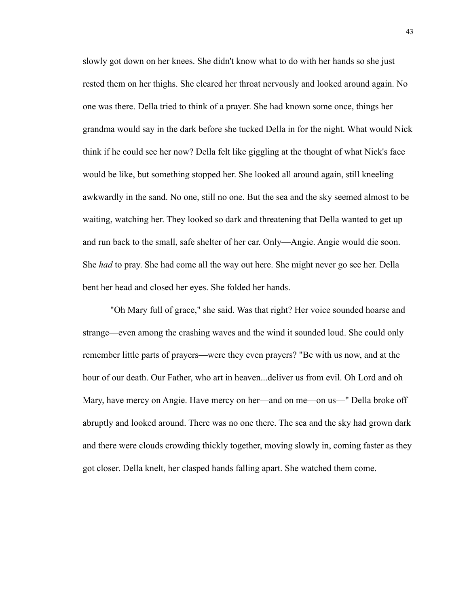slowly got down on her knees. She didn't know what to do with her hands so she just rested them on her thighs. She cleared her throat nervously and looked around again. No one was there. Della tried to think of a prayer. She had known some once, things her grandma would say in the dark before she tucked Della in for the night. What would Nick think if he could see her now? Della felt like giggling at the thought of what Nick's face would be like, but something stopped her. She looked all around again, still kneeling awkwardly in the sand. No one, still no one. But the sea and the sky seemed almost to be waiting, watching her. They looked so dark and threatening that Della wanted to get up and run back to the small, safe shelter of her car. Only—Angie. Angie would die soon. She *had* to pray. She had come all the way out here. She might never go see her. Della bent her head and closed her eyes. She folded her hands.

"Oh Mary full of grace," she said. Was that right? Her voice sounded hoarse and strange—even among the crashing waves and the wind it sounded loud. She could only remember little parts of prayers—were they even prayers? "Be with us now, and at the hour of our death. Our Father, who art in heaven...deliver us from evil. Oh Lord and oh Mary, have mercy on Angie. Have mercy on her—and on me—on us—" Della broke off abruptly and looked around. There was no one there. The sea and the sky had grown dark and there were clouds crowding thickly together, moving slowly in, coming faster as they got closer. Della knelt, her clasped hands falling apart. She watched them come.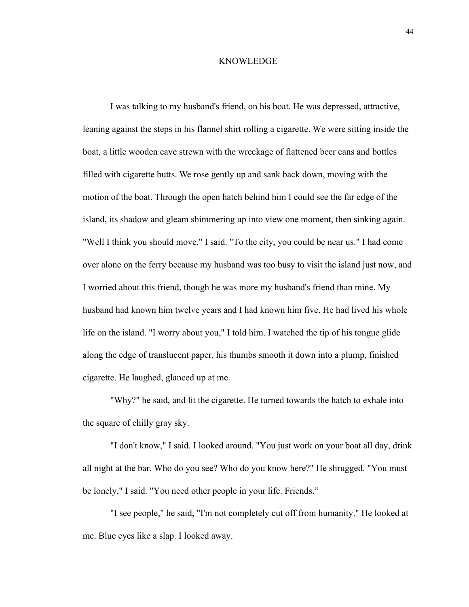## KNOWLEDGE

I was talking to my husband's friend, on his boat. He was depressed, attractive, leaning against the steps in his flannel shirt rolling a cigarette. We were sitting inside the boat, a little wooden cave strewn with the wreckage of flattened beer cans and bottles filled with cigarette butts. We rose gently up and sank back down, moving with the motion of the boat. Through the open hatch behind him I could see the far edge of the island, its shadow and gleam shimmering up into view one moment, then sinking again. "Well I think you should move," I said. "To the city, you could be near us." I had come over alone on the ferry because my husband was too busy to visit the island just now, and I worried about this friend, though he was more my husband's friend than mine. My husband had known him twelve years and I had known him five. He had lived his whole life on the island. "I worry about you," I told him. I watched the tip of his tongue glide along the edge of translucent paper, his thumbs smooth it down into a plump, finished cigarette. He laughed, glanced up at me.

"Why?" he said, and lit the cigarette. He turned towards the hatch to exhale into the square of chilly gray sky.

"I don't know," I said. I looked around. "You just work on your boat all day, drink all night at the bar. Who do you see? Who do you know here?" He shrugged. "You must be lonely," I said. "You need other people in your life. Friends."

"I see people," he said, "I'm not completely cut off from humanity." He looked at me. Blue eyes like a slap. I looked away.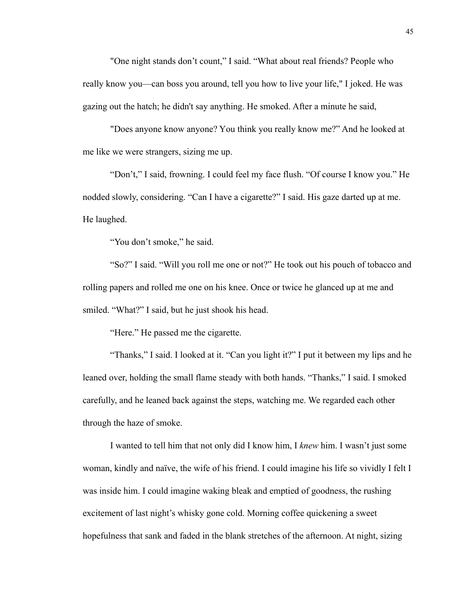"One night stands don't count," I said. "What about real friends? People who really know you—can boss you around, tell you how to live your life," I joked. He was gazing out the hatch; he didn't say anything. He smoked. After a minute he said,

"Does anyone know anyone? You think you really know me?" And he looked at me like we were strangers, sizing me up.

"Don't," I said, frowning. I could feel my face flush. "Of course I know you." He nodded slowly, considering. "Can I have a cigarette?" I said. His gaze darted up at me. He laughed.

"You don't smoke," he said.

"So?" I said. "Will you roll me one or not?" He took out his pouch of tobacco and rolling papers and rolled me one on his knee. Once or twice he glanced up at me and smiled. "What?" I said, but he just shook his head.

"Here." He passed me the cigarette.

"Thanks," I said. I looked at it. "Can you light it?" I put it between my lips and he leaned over, holding the small flame steady with both hands. "Thanks," I said. I smoked carefully, and he leaned back against the steps, watching me. We regarded each other through the haze of smoke.

I wanted to tell him that not only did I know him, I *knew* him. I wasn't just some woman, kindly and naïve, the wife of his friend. I could imagine his life so vividly I felt I was inside him. I could imagine waking bleak and emptied of goodness, the rushing excitement of last night's whisky gone cold. Morning coffee quickening a sweet hopefulness that sank and faded in the blank stretches of the afternoon. At night, sizing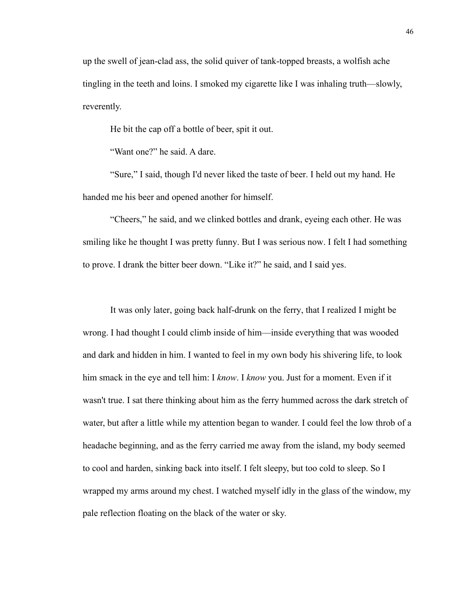up the swell of jean-clad ass, the solid quiver of tank-topped breasts, a wolfish ache tingling in the teeth and loins. I smoked my cigarette like I was inhaling truth—slowly, reverently.

He bit the cap off a bottle of beer, spit it out.

"Want one?" he said. A dare.

"Sure," I said, though I'd never liked the taste of beer. I held out my hand. He handed me his beer and opened another for himself.

"Cheers," he said, and we clinked bottles and drank, eyeing each other. He was smiling like he thought I was pretty funny. But I was serious now. I felt I had something to prove. I drank the bitter beer down. "Like it?" he said, and I said yes.

It was only later, going back half-drunk on the ferry, that I realized I might be wrong. I had thought I could climb inside of him—inside everything that was wooded and dark and hidden in him. I wanted to feel in my own body his shivering life, to look him smack in the eye and tell him: I *know*. I *know* you. Just for a moment. Even if it wasn't true. I sat there thinking about him as the ferry hummed across the dark stretch of water, but after a little while my attention began to wander. I could feel the low throb of a headache beginning, and as the ferry carried me away from the island, my body seemed to cool and harden, sinking back into itself. I felt sleepy, but too cold to sleep. So I wrapped my arms around my chest. I watched myself idly in the glass of the window, my pale reflection floating on the black of the water or sky.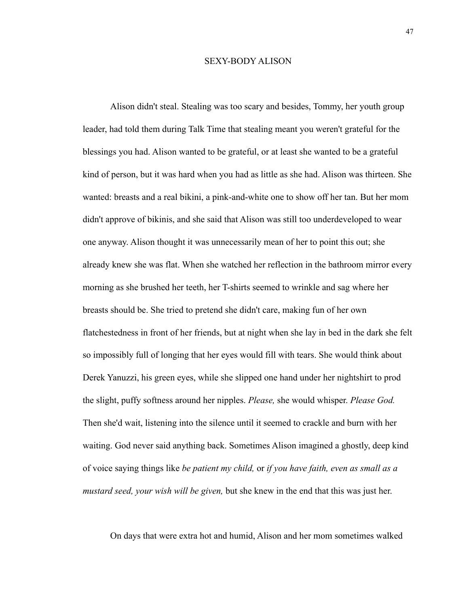# SEXY-BODY ALISON

Alison didn't steal. Stealing was too scary and besides, Tommy, her youth group leader, had told them during Talk Time that stealing meant you weren't grateful for the blessings you had. Alison wanted to be grateful, or at least she wanted to be a grateful kind of person, but it was hard when you had as little as she had. Alison was thirteen. She wanted: breasts and a real bikini, a pink-and-white one to show off her tan. But her mom didn't approve of bikinis, and she said that Alison was still too underdeveloped to wear one anyway. Alison thought it was unnecessarily mean of her to point this out; she already knew she was flat. When she watched her reflection in the bathroom mirror every morning as she brushed her teeth, her T-shirts seemed to wrinkle and sag where her breasts should be. She tried to pretend she didn't care, making fun of her own flatchestedness in front of her friends, but at night when she lay in bed in the dark she felt so impossibly full of longing that her eyes would fill with tears. She would think about Derek Yanuzzi, his green eyes, while she slipped one hand under her nightshirt to prod the slight, puffy softness around her nipples. *Please,* she would whisper. *Please God.*  Then she'd wait, listening into the silence until it seemed to crackle and burn with her waiting. God never said anything back. Sometimes Alison imagined a ghostly, deep kind of voice saying things like *be patient my child,* or *if you have faith, even as small as a mustard seed, your wish will be given,* but she knew in the end that this was just her.

On days that were extra hot and humid, Alison and her mom sometimes walked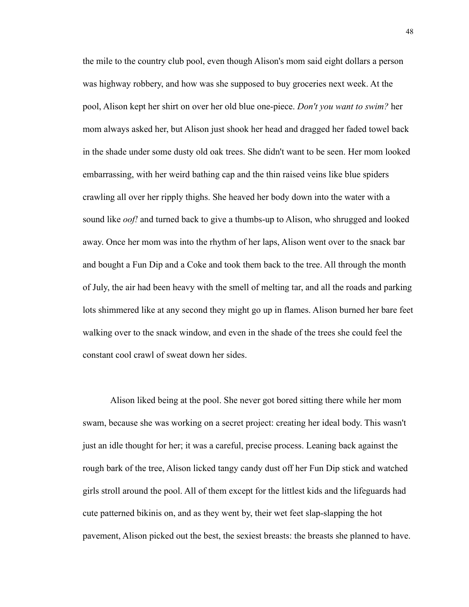the mile to the country club pool, even though Alison's mom said eight dollars a person was highway robbery, and how was she supposed to buy groceries next week. At the pool, Alison kept her shirt on over her old blue one-piece. *Don't you want to swim?* her mom always asked her, but Alison just shook her head and dragged her faded towel back in the shade under some dusty old oak trees. She didn't want to be seen. Her mom looked embarrassing, with her weird bathing cap and the thin raised veins like blue spiders crawling all over her ripply thighs. She heaved her body down into the water with a sound like *oof!* and turned back to give a thumbs-up to Alison, who shrugged and looked away. Once her mom was into the rhythm of her laps, Alison went over to the snack bar and bought a Fun Dip and a Coke and took them back to the tree. All through the month of July, the air had been heavy with the smell of melting tar, and all the roads and parking lots shimmered like at any second they might go up in flames. Alison burned her bare feet walking over to the snack window, and even in the shade of the trees she could feel the constant cool crawl of sweat down her sides.

Alison liked being at the pool. She never got bored sitting there while her mom swam, because she was working on a secret project: creating her ideal body. This wasn't just an idle thought for her; it was a careful, precise process. Leaning back against the rough bark of the tree, Alison licked tangy candy dust off her Fun Dip stick and watched girls stroll around the pool. All of them except for the littlest kids and the lifeguards had cute patterned bikinis on, and as they went by, their wet feet slap-slapping the hot pavement, Alison picked out the best, the sexiest breasts: the breasts she planned to have.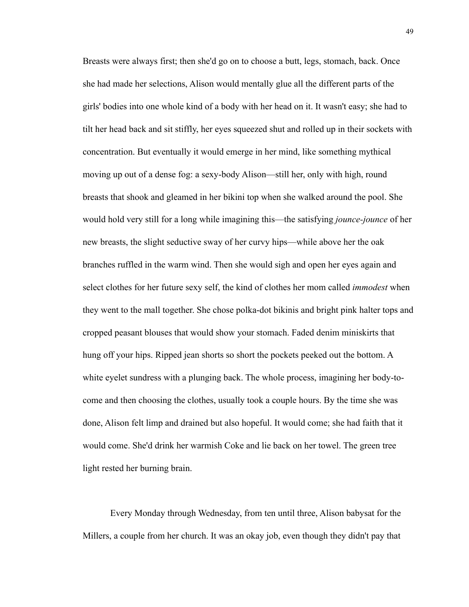Breasts were always first; then she'd go on to choose a butt, legs, stomach, back. Once she had made her selections, Alison would mentally glue all the different parts of the girls' bodies into one whole kind of a body with her head on it. It wasn't easy; she had to tilt her head back and sit stiffly, her eyes squeezed shut and rolled up in their sockets with concentration. But eventually it would emerge in her mind, like something mythical moving up out of a dense fog: a sexy-body Alison—still her, only with high, round breasts that shook and gleamed in her bikini top when she walked around the pool. She would hold very still for a long while imagining this—the satisfying *jounce-jounce* of her new breasts, the slight seductive sway of her curvy hips—while above her the oak branches ruffled in the warm wind. Then she would sigh and open her eyes again and select clothes for her future sexy self, the kind of clothes her mom called *immodest* when they went to the mall together. She chose polka-dot bikinis and bright pink halter tops and cropped peasant blouses that would show your stomach. Faded denim miniskirts that hung off your hips. Ripped jean shorts so short the pockets peeked out the bottom. A white eyelet sundress with a plunging back. The whole process, imagining her body-tocome and then choosing the clothes, usually took a couple hours. By the time she was done, Alison felt limp and drained but also hopeful. It would come; she had faith that it would come. She'd drink her warmish Coke and lie back on her towel. The green tree light rested her burning brain.

Every Monday through Wednesday, from ten until three, Alison babysat for the Millers, a couple from her church. It was an okay job, even though they didn't pay that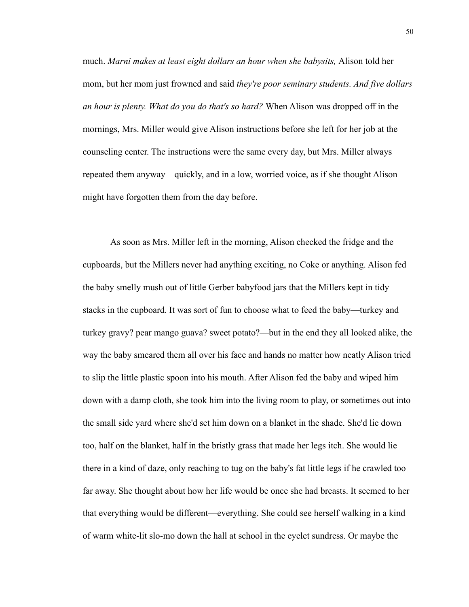much. *Marni makes at least eight dollars an hour when she babysits,* Alison told her mom, but her mom just frowned and said *they're poor seminary students. And five dollars an hour is plenty. What do you do that's so hard?* When Alison was dropped off in the mornings, Mrs. Miller would give Alison instructions before she left for her job at the counseling center. The instructions were the same every day, but Mrs. Miller always repeated them anyway—quickly, and in a low, worried voice, as if she thought Alison might have forgotten them from the day before.

As soon as Mrs. Miller left in the morning, Alison checked the fridge and the cupboards, but the Millers never had anything exciting, no Coke or anything. Alison fed the baby smelly mush out of little Gerber babyfood jars that the Millers kept in tidy stacks in the cupboard. It was sort of fun to choose what to feed the baby—turkey and turkey gravy? pear mango guava? sweet potato?—but in the end they all looked alike, the way the baby smeared them all over his face and hands no matter how neatly Alison tried to slip the little plastic spoon into his mouth. After Alison fed the baby and wiped him down with a damp cloth, she took him into the living room to play, or sometimes out into the small side yard where she'd set him down on a blanket in the shade. She'd lie down too, half on the blanket, half in the bristly grass that made her legs itch. She would lie there in a kind of daze, only reaching to tug on the baby's fat little legs if he crawled too far away. She thought about how her life would be once she had breasts. It seemed to her that everything would be different—everything. She could see herself walking in a kind of warm white-lit slo-mo down the hall at school in the eyelet sundress. Or maybe the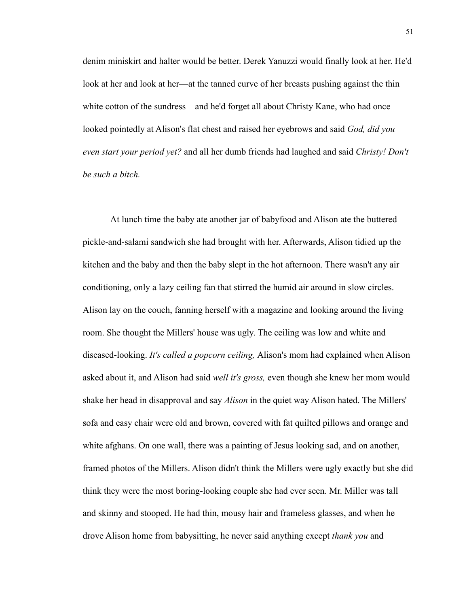denim miniskirt and halter would be better. Derek Yanuzzi would finally look at her. He'd look at her and look at her—at the tanned curve of her breasts pushing against the thin white cotton of the sundress—and he'd forget all about Christy Kane, who had once looked pointedly at Alison's flat chest and raised her eyebrows and said *God, did you even start your period yet?* and all her dumb friends had laughed and said *Christy! Don't be such a bitch.*

At lunch time the baby ate another jar of babyfood and Alison ate the buttered pickle-and-salami sandwich she had brought with her. Afterwards, Alison tidied up the kitchen and the baby and then the baby slept in the hot afternoon. There wasn't any air conditioning, only a lazy ceiling fan that stirred the humid air around in slow circles. Alison lay on the couch, fanning herself with a magazine and looking around the living room. She thought the Millers' house was ugly. The ceiling was low and white and diseased-looking. *It's called a popcorn ceiling,* Alison's mom had explained when Alison asked about it, and Alison had said *well it's gross,* even though she knew her mom would shake her head in disapproval and say *Alison* in the quiet way Alison hated. The Millers' sofa and easy chair were old and brown, covered with fat quilted pillows and orange and white afghans. On one wall, there was a painting of Jesus looking sad, and on another, framed photos of the Millers. Alison didn't think the Millers were ugly exactly but she did think they were the most boring-looking couple she had ever seen. Mr. Miller was tall and skinny and stooped. He had thin, mousy hair and frameless glasses, and when he drove Alison home from babysitting, he never said anything except *thank you* and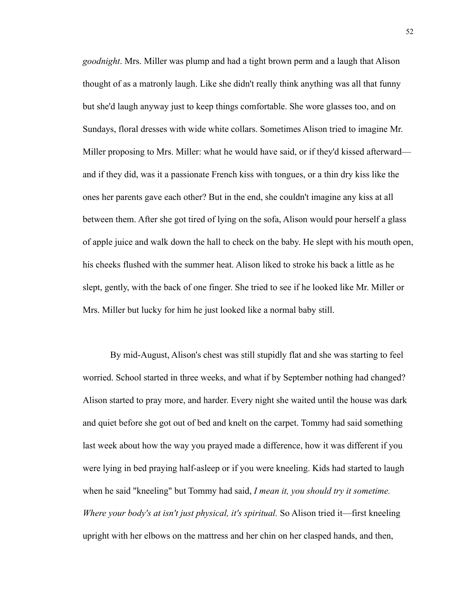*goodnight*. Mrs. Miller was plump and had a tight brown perm and a laugh that Alison thought of as a matronly laugh. Like she didn't really think anything was all that funny but she'd laugh anyway just to keep things comfortable. She wore glasses too, and on Sundays, floral dresses with wide white collars. Sometimes Alison tried to imagine Mr. Miller proposing to Mrs. Miller: what he would have said, or if they'd kissed afterward and if they did, was it a passionate French kiss with tongues, or a thin dry kiss like the ones her parents gave each other? But in the end, she couldn't imagine any kiss at all between them. After she got tired of lying on the sofa, Alison would pour herself a glass of apple juice and walk down the hall to check on the baby. He slept with his mouth open, his cheeks flushed with the summer heat. Alison liked to stroke his back a little as he slept, gently, with the back of one finger. She tried to see if he looked like Mr. Miller or Mrs. Miller but lucky for him he just looked like a normal baby still.

By mid-August, Alison's chest was still stupidly flat and she was starting to feel worried. School started in three weeks, and what if by September nothing had changed? Alison started to pray more, and harder. Every night she waited until the house was dark and quiet before she got out of bed and knelt on the carpet. Tommy had said something last week about how the way you prayed made a difference, how it was different if you were lying in bed praying half-asleep or if you were kneeling. Kids had started to laugh when he said "kneeling" but Tommy had said, *I mean it, you should try it sometime. Where your body's at isn't just physical, it's spiritual.* So Alison tried it—first kneeling upright with her elbows on the mattress and her chin on her clasped hands, and then,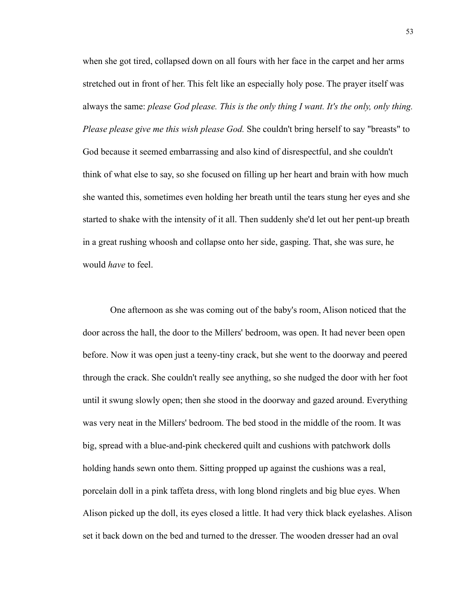when she got tired, collapsed down on all fours with her face in the carpet and her arms stretched out in front of her. This felt like an especially holy pose. The prayer itself was always the same: *please God please. This is the only thing I want. It's the only, only thing. Please please give me this wish please God.* She couldn't bring herself to say "breasts" to God because it seemed embarrassing and also kind of disrespectful, and she couldn't think of what else to say, so she focused on filling up her heart and brain with how much she wanted this, sometimes even holding her breath until the tears stung her eyes and she started to shake with the intensity of it all. Then suddenly she'd let out her pent-up breath in a great rushing whoosh and collapse onto her side, gasping. That, she was sure, he would *have* to feel.

One afternoon as she was coming out of the baby's room, Alison noticed that the door across the hall, the door to the Millers' bedroom, was open. It had never been open before. Now it was open just a teeny-tiny crack, but she went to the doorway and peered through the crack. She couldn't really see anything, so she nudged the door with her foot until it swung slowly open; then she stood in the doorway and gazed around. Everything was very neat in the Millers' bedroom. The bed stood in the middle of the room. It was big, spread with a blue-and-pink checkered quilt and cushions with patchwork dolls holding hands sewn onto them. Sitting propped up against the cushions was a real, porcelain doll in a pink taffeta dress, with long blond ringlets and big blue eyes. When Alison picked up the doll, its eyes closed a little. It had very thick black eyelashes. Alison set it back down on the bed and turned to the dresser. The wooden dresser had an oval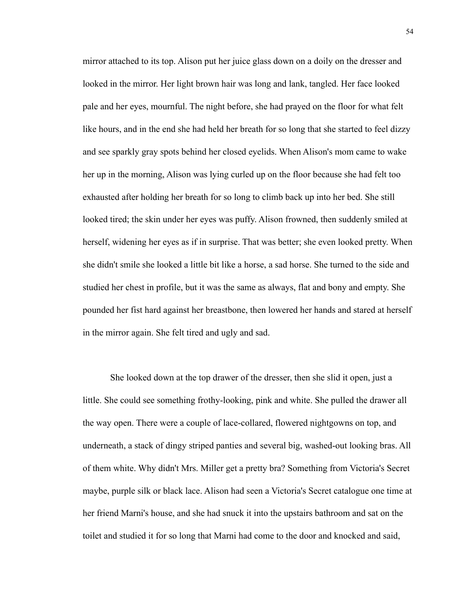mirror attached to its top. Alison put her juice glass down on a doily on the dresser and looked in the mirror. Her light brown hair was long and lank, tangled. Her face looked pale and her eyes, mournful. The night before, she had prayed on the floor for what felt like hours, and in the end she had held her breath for so long that she started to feel dizzy and see sparkly gray spots behind her closed eyelids. When Alison's mom came to wake her up in the morning, Alison was lying curled up on the floor because she had felt too exhausted after holding her breath for so long to climb back up into her bed. She still looked tired; the skin under her eyes was puffy. Alison frowned, then suddenly smiled at herself, widening her eyes as if in surprise. That was better; she even looked pretty. When she didn't smile she looked a little bit like a horse, a sad horse. She turned to the side and studied her chest in profile, but it was the same as always, flat and bony and empty. She pounded her fist hard against her breastbone, then lowered her hands and stared at herself in the mirror again. She felt tired and ugly and sad.

She looked down at the top drawer of the dresser, then she slid it open, just a little. She could see something frothy-looking, pink and white. She pulled the drawer all the way open. There were a couple of lace-collared, flowered nightgowns on top, and underneath, a stack of dingy striped panties and several big, washed-out looking bras. All of them white. Why didn't Mrs. Miller get a pretty bra? Something from Victoria's Secret maybe, purple silk or black lace. Alison had seen a Victoria's Secret catalogue one time at her friend Marni's house, and she had snuck it into the upstairs bathroom and sat on the toilet and studied it for so long that Marni had come to the door and knocked and said,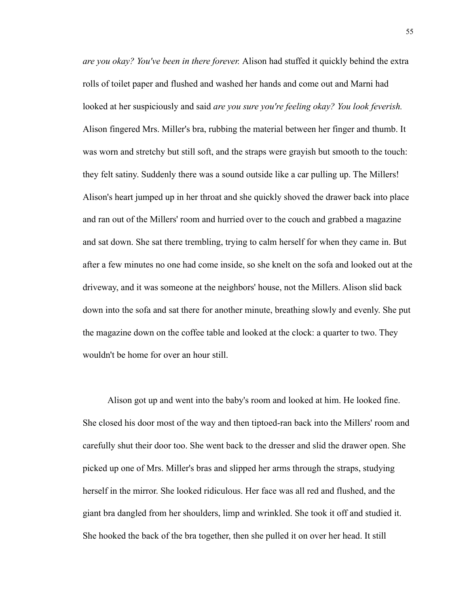*are you okay? You've been in there forever.* Alison had stuffed it quickly behind the extra rolls of toilet paper and flushed and washed her hands and come out and Marni had looked at her suspiciously and said *are you sure you're feeling okay? You look feverish.*  Alison fingered Mrs. Miller's bra, rubbing the material between her finger and thumb. It was worn and stretchy but still soft, and the straps were grayish but smooth to the touch: they felt satiny. Suddenly there was a sound outside like a car pulling up. The Millers! Alison's heart jumped up in her throat and she quickly shoved the drawer back into place and ran out of the Millers' room and hurried over to the couch and grabbed a magazine and sat down. She sat there trembling, trying to calm herself for when they came in. But after a few minutes no one had come inside, so she knelt on the sofa and looked out at the driveway, and it was someone at the neighbors' house, not the Millers. Alison slid back down into the sofa and sat there for another minute, breathing slowly and evenly. She put the magazine down on the coffee table and looked at the clock: a quarter to two. They wouldn't be home for over an hour still.

 Alison got up and went into the baby's room and looked at him. He looked fine. She closed his door most of the way and then tiptoed-ran back into the Millers' room and carefully shut their door too. She went back to the dresser and slid the drawer open. She picked up one of Mrs. Miller's bras and slipped her arms through the straps, studying herself in the mirror. She looked ridiculous. Her face was all red and flushed, and the giant bra dangled from her shoulders, limp and wrinkled. She took it off and studied it. She hooked the back of the bra together, then she pulled it on over her head. It still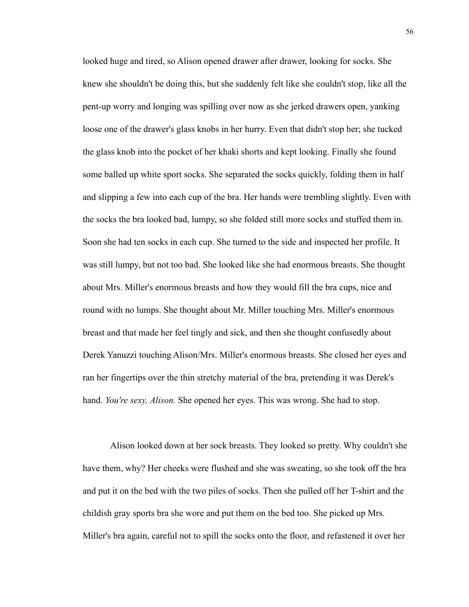looked huge and tired, so Alison opened drawer after drawer, looking for socks. She knew she shouldn't be doing this, but she suddenly felt like she couldn't stop, like all the pent-up worry and longing was spilling over now as she jerked drawers open, yanking loose one of the drawer's glass knobs in her hurry. Even that didn't stop her; she tucked the glass knob into the pocket of her khaki shorts and kept looking. Finally she found some balled up white sport socks. She separated the socks quickly, folding them in half and slipping a few into each cup of the bra. Her hands were trembling slightly. Even with the socks the bra looked bad, lumpy, so she folded still more socks and stuffed them in. Soon she had ten socks in each cup. She turned to the side and inspected her profile. It was still lumpy, but not too bad. She looked like she had enormous breasts. She thought about Mrs. Miller's enormous breasts and how they would fill the bra cups, nice and round with no lumps. She thought about Mr. Miller touching Mrs. Miller's enormous breast and that made her feel tingly and sick, and then she thought confusedly about Derek Yanuzzi touching Alison/Mrs. Miller's enormous breasts. She closed her eyes and ran her fingertips over the thin stretchy material of the bra, pretending it was Derek's hand. *You're sexy, Alison.* She opened her eyes. This was wrong. She had to stop.

Alison looked down at her sock breasts. They looked so pretty. Why couldn't she have them, why? Her cheeks were flushed and she was sweating, so she took off the bra and put it on the bed with the two piles of socks. Then she pulled off her T-shirt and the childish gray sports bra she wore and put them on the bed too. She picked up Mrs. Miller's bra again, careful not to spill the socks onto the floor, and refastened it over her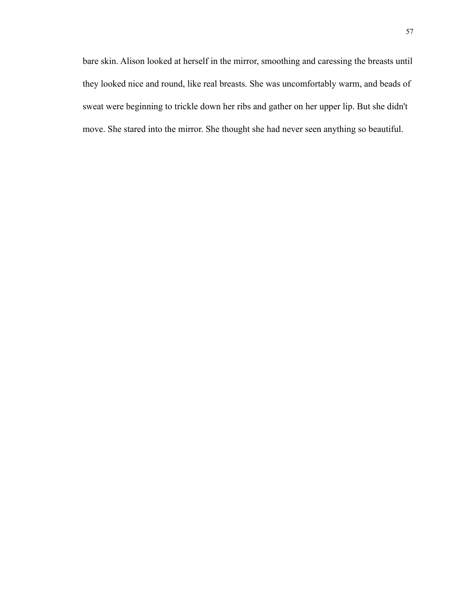bare skin. Alison looked at herself in the mirror, smoothing and caressing the breasts until they looked nice and round, like real breasts. She was uncomfortably warm, and beads of sweat were beginning to trickle down her ribs and gather on her upper lip. But she didn't move. She stared into the mirror. She thought she had never seen anything so beautiful.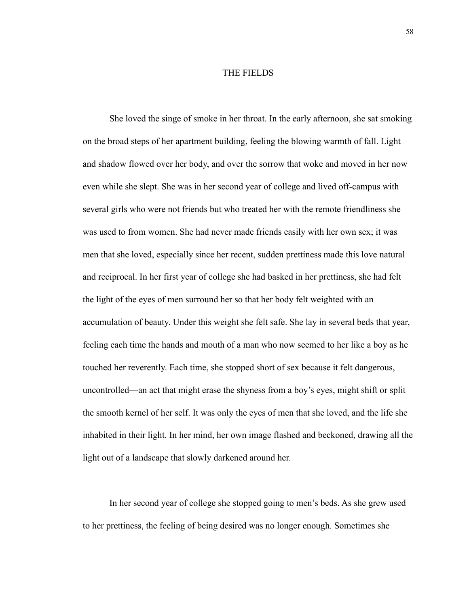## THE FIELDS

She loved the singe of smoke in her throat. In the early afternoon, she sat smoking on the broad steps of her apartment building, feeling the blowing warmth of fall. Light and shadow flowed over her body, and over the sorrow that woke and moved in her now even while she slept. She was in her second year of college and lived off-campus with several girls who were not friends but who treated her with the remote friendliness she was used to from women. She had never made friends easily with her own sex; it was men that she loved, especially since her recent, sudden prettiness made this love natural and reciprocal. In her first year of college she had basked in her prettiness, she had felt the light of the eyes of men surround her so that her body felt weighted with an accumulation of beauty. Under this weight she felt safe. She lay in several beds that year, feeling each time the hands and mouth of a man who now seemed to her like a boy as he touched her reverently. Each time, she stopped short of sex because it felt dangerous, uncontrolled—an act that might erase the shyness from a boy's eyes, might shift or split the smooth kernel of her self. It was only the eyes of men that she loved, and the life she inhabited in their light. In her mind, her own image flashed and beckoned, drawing all the light out of a landscape that slowly darkened around her.

In her second year of college she stopped going to men's beds. As she grew used to her prettiness, the feeling of being desired was no longer enough. Sometimes she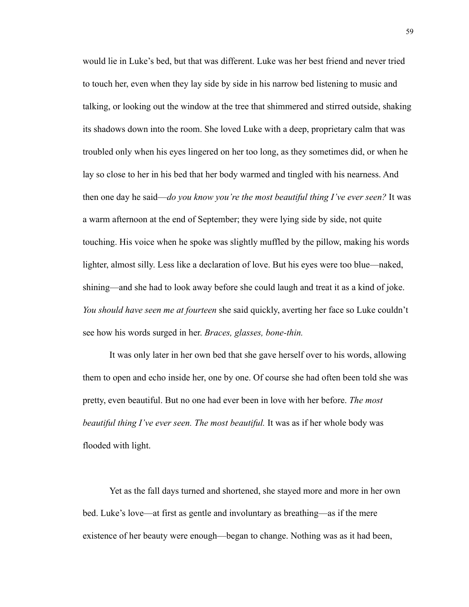would lie in Luke's bed, but that was different. Luke was her best friend and never tried to touch her, even when they lay side by side in his narrow bed listening to music and talking, or looking out the window at the tree that shimmered and stirred outside, shaking its shadows down into the room. She loved Luke with a deep, proprietary calm that was troubled only when his eyes lingered on her too long, as they sometimes did, or when he lay so close to her in his bed that her body warmed and tingled with his nearness. And then one day he said—*do you know you're the most beautiful thing I've ever seen?* It was a warm afternoon at the end of September; they were lying side by side, not quite touching. His voice when he spoke was slightly muffled by the pillow, making his words lighter, almost silly. Less like a declaration of love. But his eyes were too blue—naked, shining—and she had to look away before she could laugh and treat it as a kind of joke. *You should have seen me at fourteen* she said quickly, averting her face so Luke couldn't see how his words surged in her. *Braces, glasses, bone-thin.*

It was only later in her own bed that she gave herself over to his words, allowing them to open and echo inside her, one by one. Of course she had often been told she was pretty, even beautiful. But no one had ever been in love with her before. *The most beautiful thing I've ever seen. The most beautiful.* It was as if her whole body was flooded with light.

Yet as the fall days turned and shortened, she stayed more and more in her own bed. Luke's love—at first as gentle and involuntary as breathing—as if the mere existence of her beauty were enough—began to change. Nothing was as it had been,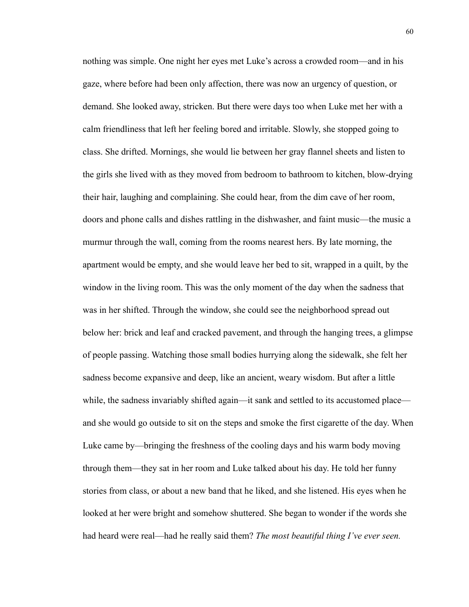nothing was simple. One night her eyes met Luke's across a crowded room—and in his gaze, where before had been only affection, there was now an urgency of question, or demand. She looked away, stricken. But there were days too when Luke met her with a calm friendliness that left her feeling bored and irritable. Slowly, she stopped going to class. She drifted. Mornings, she would lie between her gray flannel sheets and listen to the girls she lived with as they moved from bedroom to bathroom to kitchen, blow-drying their hair, laughing and complaining. She could hear, from the dim cave of her room, doors and phone calls and dishes rattling in the dishwasher, and faint music—the music a murmur through the wall, coming from the rooms nearest hers. By late morning, the apartment would be empty, and she would leave her bed to sit, wrapped in a quilt, by the window in the living room. This was the only moment of the day when the sadness that was in her shifted. Through the window, she could see the neighborhood spread out below her: brick and leaf and cracked pavement, and through the hanging trees, a glimpse of people passing. Watching those small bodies hurrying along the sidewalk, she felt her sadness become expansive and deep, like an ancient, weary wisdom. But after a little while, the sadness invariably shifted again—it sank and settled to its accustomed place and she would go outside to sit on the steps and smoke the first cigarette of the day. When Luke came by—bringing the freshness of the cooling days and his warm body moving through them—they sat in her room and Luke talked about his day. He told her funny stories from class, or about a new band that he liked, and she listened. His eyes when he looked at her were bright and somehow shuttered. She began to wonder if the words she had heard were real—had he really said them? *The most beautiful thing I've ever seen.*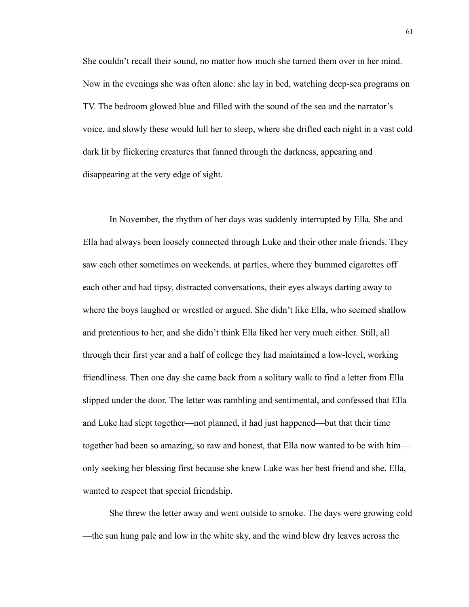She couldn't recall their sound, no matter how much she turned them over in her mind. Now in the evenings she was often alone: she lay in bed, watching deep-sea programs on TV. The bedroom glowed blue and filled with the sound of the sea and the narrator's voice, and slowly these would lull her to sleep, where she drifted each night in a vast cold dark lit by flickering creatures that fanned through the darkness, appearing and disappearing at the very edge of sight.

In November, the rhythm of her days was suddenly interrupted by Ella. She and Ella had always been loosely connected through Luke and their other male friends. They saw each other sometimes on weekends, at parties, where they bummed cigarettes off each other and had tipsy, distracted conversations, their eyes always darting away to where the boys laughed or wrestled or argued. She didn't like Ella, who seemed shallow and pretentious to her, and she didn't think Ella liked her very much either. Still, all through their first year and a half of college they had maintained a low-level, working friendliness. Then one day she came back from a solitary walk to find a letter from Ella slipped under the door. The letter was rambling and sentimental, and confessed that Ella and Luke had slept together—not planned, it had just happened—but that their time together had been so amazing, so raw and honest, that Ella now wanted to be with him only seeking her blessing first because she knew Luke was her best friend and she, Ella, wanted to respect that special friendship.

She threw the letter away and went outside to smoke. The days were growing cold —the sun hung pale and low in the white sky, and the wind blew dry leaves across the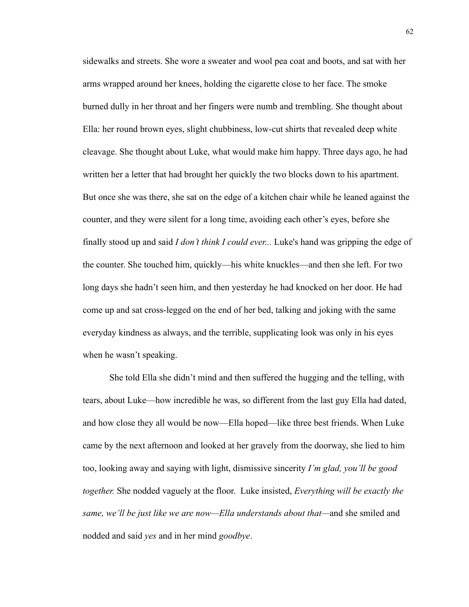sidewalks and streets. She wore a sweater and wool pea coat and boots, and sat with her arms wrapped around her knees, holding the cigarette close to her face. The smoke burned dully in her throat and her fingers were numb and trembling. She thought about Ella: her round brown eyes, slight chubbiness, low-cut shirts that revealed deep white cleavage. She thought about Luke, what would make him happy. Three days ago, he had written her a letter that had brought her quickly the two blocks down to his apartment. But once she was there, she sat on the edge of a kitchen chair while he leaned against the counter, and they were silent for a long time, avoiding each other's eyes, before she finally stood up and said *I don't think I could ever...* Luke's hand was gripping the edge of the counter. She touched him, quickly—his white knuckles—and then she left. For two long days she hadn't seen him, and then yesterday he had knocked on her door. He had come up and sat cross-legged on the end of her bed, talking and joking with the same everyday kindness as always, and the terrible, supplicating look was only in his eyes when he wasn't speaking.

She told Ella she didn't mind and then suffered the hugging and the telling, with tears, about Luke—how incredible he was, so different from the last guy Ella had dated, and how close they all would be now—Ella hoped—like three best friends. When Luke came by the next afternoon and looked at her gravely from the doorway, she lied to him too, looking away and saying with light, dismissive sincerity *I'm glad, you'll be good together.* She nodded vaguely at the floor. Luke insisted, *Everything will be exactly the same, we'll be just like we are now—Ella understands about that—*and she smiled and nodded and said *yes* and in her mind *goodbye*.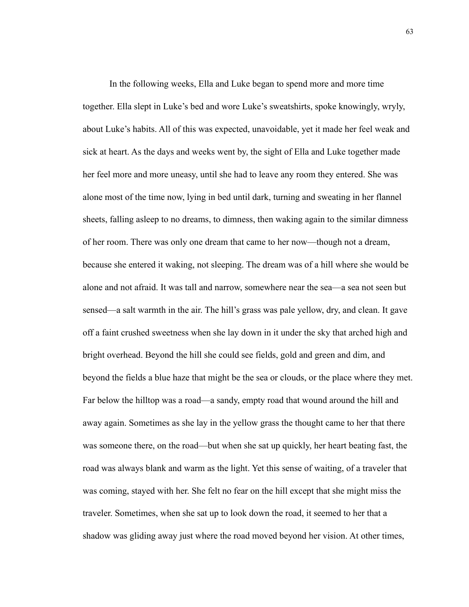In the following weeks, Ella and Luke began to spend more and more time together. Ella slept in Luke's bed and wore Luke's sweatshirts, spoke knowingly, wryly, about Luke's habits. All of this was expected, unavoidable, yet it made her feel weak and sick at heart. As the days and weeks went by, the sight of Ella and Luke together made her feel more and more uneasy, until she had to leave any room they entered. She was alone most of the time now, lying in bed until dark, turning and sweating in her flannel sheets, falling asleep to no dreams, to dimness, then waking again to the similar dimness of her room. There was only one dream that came to her now—though not a dream, because she entered it waking, not sleeping. The dream was of a hill where she would be alone and not afraid. It was tall and narrow, somewhere near the sea—a sea not seen but sensed—a salt warmth in the air. The hill's grass was pale yellow, dry, and clean. It gave off a faint crushed sweetness when she lay down in it under the sky that arched high and bright overhead. Beyond the hill she could see fields, gold and green and dim, and beyond the fields a blue haze that might be the sea or clouds, or the place where they met. Far below the hilltop was a road—a sandy, empty road that wound around the hill and away again. Sometimes as she lay in the yellow grass the thought came to her that there was someone there, on the road—but when she sat up quickly, her heart beating fast, the road was always blank and warm as the light. Yet this sense of waiting, of a traveler that was coming, stayed with her. She felt no fear on the hill except that she might miss the traveler. Sometimes, when she sat up to look down the road, it seemed to her that a shadow was gliding away just where the road moved beyond her vision. At other times,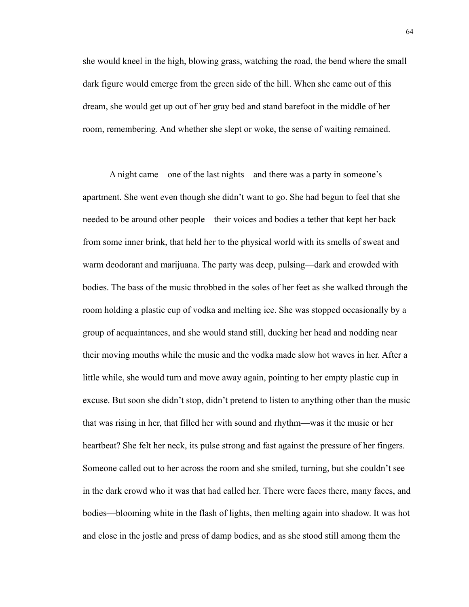she would kneel in the high, blowing grass, watching the road, the bend where the small dark figure would emerge from the green side of the hill. When she came out of this dream, she would get up out of her gray bed and stand barefoot in the middle of her room, remembering. And whether she slept or woke, the sense of waiting remained.

A night came—one of the last nights—and there was a party in someone's apartment. She went even though she didn't want to go. She had begun to feel that she needed to be around other people—their voices and bodies a tether that kept her back from some inner brink, that held her to the physical world with its smells of sweat and warm deodorant and marijuana. The party was deep, pulsing—dark and crowded with bodies. The bass of the music throbbed in the soles of her feet as she walked through the room holding a plastic cup of vodka and melting ice. She was stopped occasionally by a group of acquaintances, and she would stand still, ducking her head and nodding near their moving mouths while the music and the vodka made slow hot waves in her. After a little while, she would turn and move away again, pointing to her empty plastic cup in excuse. But soon she didn't stop, didn't pretend to listen to anything other than the music that was rising in her, that filled her with sound and rhythm—was it the music or her heartbeat? She felt her neck, its pulse strong and fast against the pressure of her fingers. Someone called out to her across the room and she smiled, turning, but she couldn't see in the dark crowd who it was that had called her. There were faces there, many faces, and bodies—blooming white in the flash of lights, then melting again into shadow. It was hot and close in the jostle and press of damp bodies, and as she stood still among them the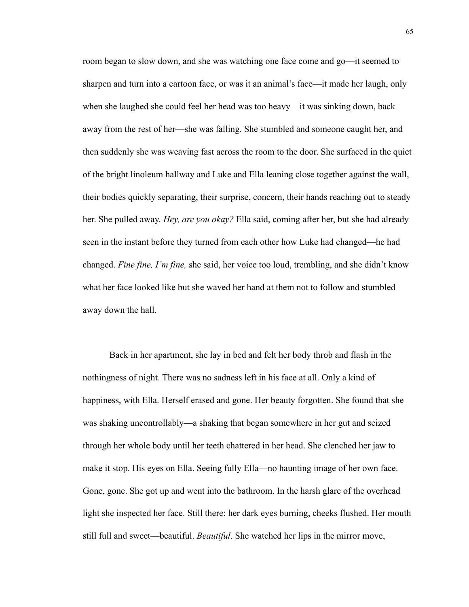room began to slow down, and she was watching one face come and go—it seemed to sharpen and turn into a cartoon face, or was it an animal's face—it made her laugh, only when she laughed she could feel her head was too heavy—it was sinking down, back away from the rest of her—she was falling. She stumbled and someone caught her, and then suddenly she was weaving fast across the room to the door. She surfaced in the quiet of the bright linoleum hallway and Luke and Ella leaning close together against the wall, their bodies quickly separating, their surprise, concern, their hands reaching out to steady her. She pulled away. *Hey, are you okay?* Ella said, coming after her, but she had already seen in the instant before they turned from each other how Luke had changed—he had changed. *Fine fine, I'm fine,* she said, her voice too loud, trembling, and she didn't know what her face looked like but she waved her hand at them not to follow and stumbled away down the hall.

Back in her apartment, she lay in bed and felt her body throb and flash in the nothingness of night. There was no sadness left in his face at all. Only a kind of happiness, with Ella. Herself erased and gone. Her beauty forgotten. She found that she was shaking uncontrollably—a shaking that began somewhere in her gut and seized through her whole body until her teeth chattered in her head. She clenched her jaw to make it stop. His eyes on Ella. Seeing fully Ella—no haunting image of her own face. Gone, gone. She got up and went into the bathroom. In the harsh glare of the overhead light she inspected her face. Still there: her dark eyes burning, cheeks flushed. Her mouth still full and sweet—beautiful. *Beautiful*. She watched her lips in the mirror move,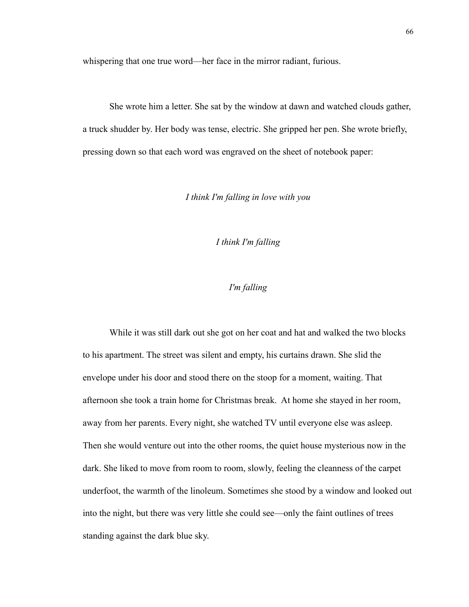whispering that one true word—her face in the mirror radiant, furious.

She wrote him a letter. She sat by the window at dawn and watched clouds gather, a truck shudder by. Her body was tense, electric. She gripped her pen. She wrote briefly, pressing down so that each word was engraved on the sheet of notebook paper:

*I think I'm falling in love with you*

*I think I'm falling*

# *I'm falling*

While it was still dark out she got on her coat and hat and walked the two blocks to his apartment. The street was silent and empty, his curtains drawn. She slid the envelope under his door and stood there on the stoop for a moment, waiting. That afternoon she took a train home for Christmas break. At home she stayed in her room, away from her parents. Every night, she watched TV until everyone else was asleep. Then she would venture out into the other rooms, the quiet house mysterious now in the dark. She liked to move from room to room, slowly, feeling the cleanness of the carpet underfoot, the warmth of the linoleum. Sometimes she stood by a window and looked out into the night, but there was very little she could see—only the faint outlines of trees standing against the dark blue sky.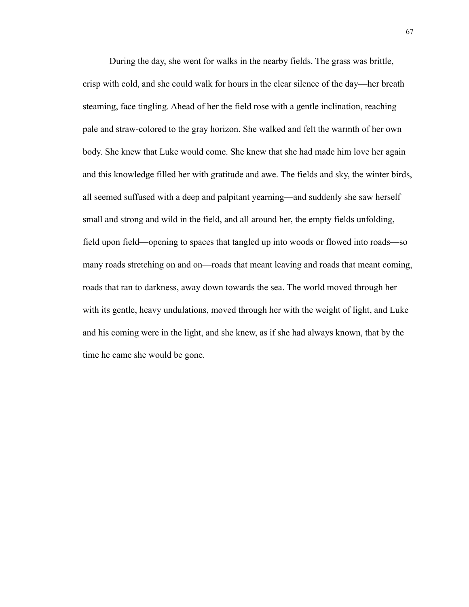During the day, she went for walks in the nearby fields. The grass was brittle, crisp with cold, and she could walk for hours in the clear silence of the day—her breath steaming, face tingling. Ahead of her the field rose with a gentle inclination, reaching pale and straw-colored to the gray horizon. She walked and felt the warmth of her own body. She knew that Luke would come. She knew that she had made him love her again and this knowledge filled her with gratitude and awe. The fields and sky, the winter birds, all seemed suffused with a deep and palpitant yearning—and suddenly she saw herself small and strong and wild in the field, and all around her, the empty fields unfolding, field upon field—opening to spaces that tangled up into woods or flowed into roads—so many roads stretching on and on—roads that meant leaving and roads that meant coming, roads that ran to darkness, away down towards the sea. The world moved through her with its gentle, heavy undulations, moved through her with the weight of light, and Luke and his coming were in the light, and she knew, as if she had always known, that by the time he came she would be gone.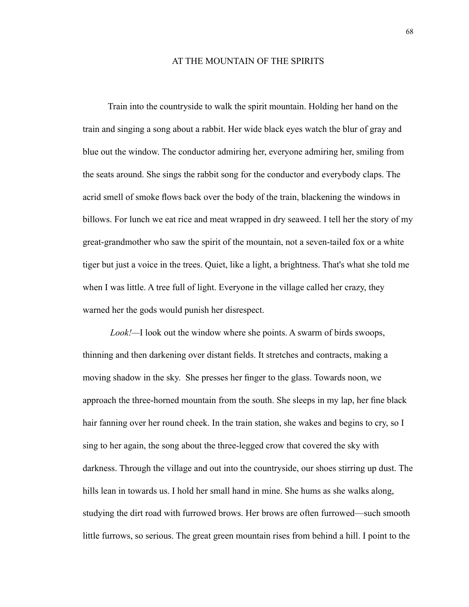## AT THE MOUNTAIN OF THE SPIRITS

 Train into the countryside to walk the spirit mountain. Holding her hand on the train and singing a song about a rabbit. Her wide black eyes watch the blur of gray and blue out the window. The conductor admiring her, everyone admiring her, smiling from the seats around. She sings the rabbit song for the conductor and everybody claps. The acrid smell of smoke flows back over the body of the train, blackening the windows in billows. For lunch we eat rice and meat wrapped in dry seaweed. I tell her the story of my great-grandmother who saw the spirit of the mountain, not a seven-tailed fox or a white tiger but just a voice in the trees. Quiet, like a light, a brightness. That's what she told me when I was little. A tree full of light. Everyone in the village called her crazy, they warned her the gods would punish her disrespect.

*Look!—*I look out the window where she points. A swarm of birds swoops, thinning and then darkening over distant fields. It stretches and contracts, making a moving shadow in the sky. She presses her finger to the glass. Towards noon, we approach the three-horned mountain from the south. She sleeps in my lap, her fine black hair fanning over her round cheek. In the train station, she wakes and begins to cry, so I sing to her again, the song about the three-legged crow that covered the sky with darkness. Through the village and out into the countryside, our shoes stirring up dust. The hills lean in towards us. I hold her small hand in mine. She hums as she walks along, studying the dirt road with furrowed brows. Her brows are often furrowed—such smooth little furrows, so serious. The great green mountain rises from behind a hill. I point to the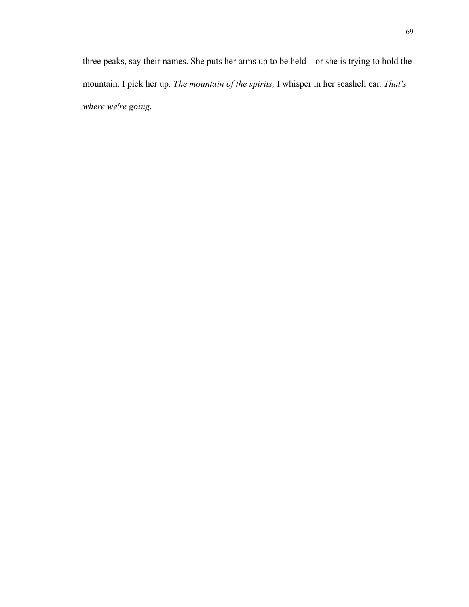three peaks, say their names. She puts her arms up to be held—or she is trying to hold the mountain. I pick her up. *The mountain of the spirits,* I whisper in her seashell ear. *That's where we're going.*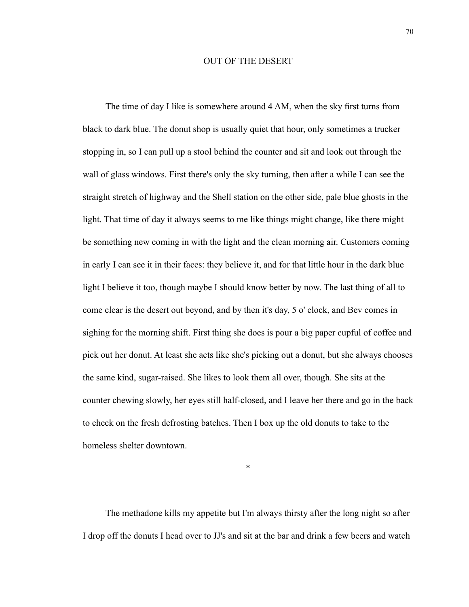## OUT OF THE DESERT

 The time of day I like is somewhere around 4 AM, when the sky first turns from black to dark blue. The donut shop is usually quiet that hour, only sometimes a trucker stopping in, so I can pull up a stool behind the counter and sit and look out through the wall of glass windows. First there's only the sky turning, then after a while I can see the straight stretch of highway and the Shell station on the other side, pale blue ghosts in the light. That time of day it always seems to me like things might change, like there might be something new coming in with the light and the clean morning air. Customers coming in early I can see it in their faces: they believe it, and for that little hour in the dark blue light I believe it too, though maybe I should know better by now. The last thing of all to come clear is the desert out beyond, and by then it's day, 5 o' clock, and Bev comes in sighing for the morning shift. First thing she does is pour a big paper cupful of coffee and pick out her donut. At least she acts like she's picking out a donut, but she always chooses the same kind, sugar-raised. She likes to look them all over, though. She sits at the counter chewing slowly, her eyes still half-closed, and I leave her there and go in the back to check on the fresh defrosting batches. Then I box up the old donuts to take to the homeless shelter downtown.

\*

 The methadone kills my appetite but I'm always thirsty after the long night so after I drop off the donuts I head over to JJ's and sit at the bar and drink a few beers and watch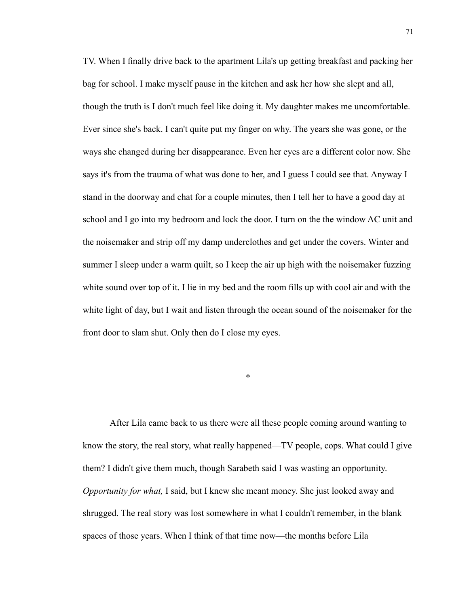TV. When I finally drive back to the apartment Lila's up getting breakfast and packing her bag for school. I make myself pause in the kitchen and ask her how she slept and all, though the truth is I don't much feel like doing it. My daughter makes me uncomfortable. Ever since she's back. I can't quite put my finger on why. The years she was gone, or the ways she changed during her disappearance. Even her eyes are a different color now. She says it's from the trauma of what was done to her, and I guess I could see that. Anyway I stand in the doorway and chat for a couple minutes, then I tell her to have a good day at school and I go into my bedroom and lock the door. I turn on the the window AC unit and the noisemaker and strip off my damp underclothes and get under the covers. Winter and summer I sleep under a warm quilt, so I keep the air up high with the noisemaker fuzzing white sound over top of it. I lie in my bed and the room fills up with cool air and with the white light of day, but I wait and listen through the ocean sound of the noisemaker for the front door to slam shut. Only then do I close my eyes.

\*

 After Lila came back to us there were all these people coming around wanting to know the story, the real story, what really happened—TV people, cops. What could I give them? I didn't give them much, though Sarabeth said I was wasting an opportunity. *Opportunity for what,* I said, but I knew she meant money. She just looked away and shrugged. The real story was lost somewhere in what I couldn't remember, in the blank spaces of those years. When I think of that time now—the months before Lila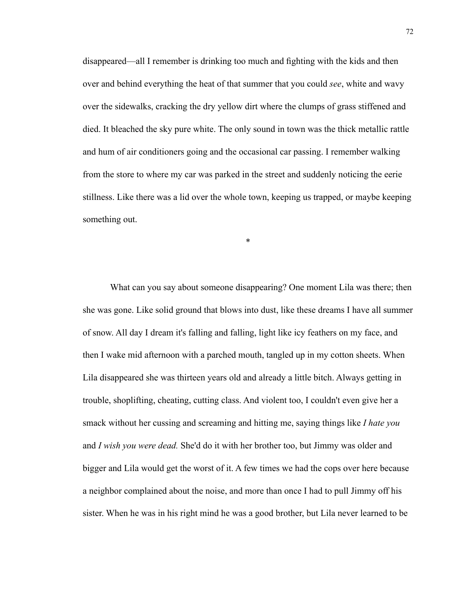disappeared—all I remember is drinking too much and fighting with the kids and then over and behind everything the heat of that summer that you could *see*, white and wavy over the sidewalks, cracking the dry yellow dirt where the clumps of grass stiffened and died. It bleached the sky pure white. The only sound in town was the thick metallic rattle and hum of air conditioners going and the occasional car passing. I remember walking from the store to where my car was parked in the street and suddenly noticing the eerie stillness. Like there was a lid over the whole town, keeping us trapped, or maybe keeping something out.

\*

What can you say about someone disappearing? One moment Lila was there; then she was gone. Like solid ground that blows into dust, like these dreams I have all summer of snow. All day I dream it's falling and falling, light like icy feathers on my face, and then I wake mid afternoon with a parched mouth, tangled up in my cotton sheets. When Lila disappeared she was thirteen years old and already a little bitch. Always getting in trouble, shoplifting, cheating, cutting class. And violent too, I couldn't even give her a smack without her cussing and screaming and hitting me, saying things like *I hate you*  and *I wish you were dead.* She'd do it with her brother too, but Jimmy was older and bigger and Lila would get the worst of it. A few times we had the cops over here because a neighbor complained about the noise, and more than once I had to pull Jimmy off his sister. When he was in his right mind he was a good brother, but Lila never learned to be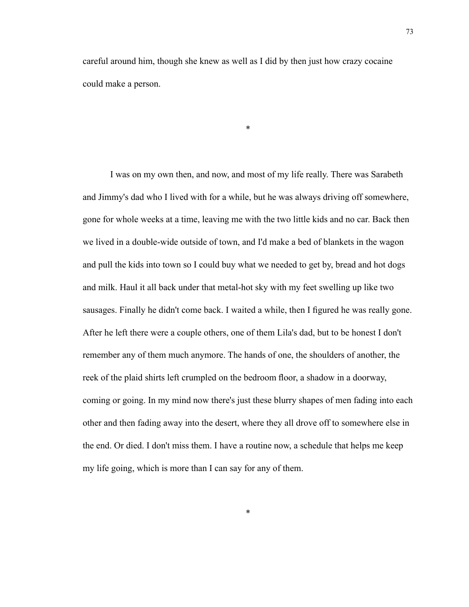careful around him, though she knew as well as I did by then just how crazy cocaine could make a person.

\*

 I was on my own then, and now, and most of my life really. There was Sarabeth and Jimmy's dad who I lived with for a while, but he was always driving off somewhere, gone for whole weeks at a time, leaving me with the two little kids and no car. Back then we lived in a double-wide outside of town, and I'd make a bed of blankets in the wagon and pull the kids into town so I could buy what we needed to get by, bread and hot dogs and milk. Haul it all back under that metal-hot sky with my feet swelling up like two sausages. Finally he didn't come back. I waited a while, then I figured he was really gone. After he left there were a couple others, one of them Lila's dad, but to be honest I don't remember any of them much anymore. The hands of one, the shoulders of another, the reek of the plaid shirts left crumpled on the bedroom floor, a shadow in a doorway, coming or going. In my mind now there's just these blurry shapes of men fading into each other and then fading away into the desert, where they all drove off to somewhere else in the end. Or died. I don't miss them. I have a routine now, a schedule that helps me keep my life going, which is more than I can say for any of them.

\*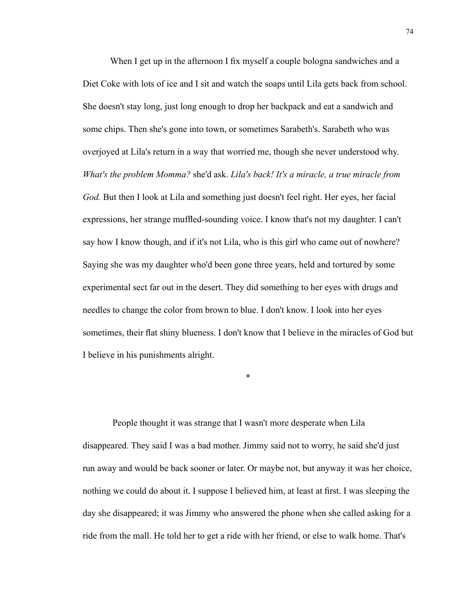When I get up in the afternoon I fix myself a couple bologna sandwiches and a Diet Coke with lots of ice and I sit and watch the soaps until Lila gets back from school. She doesn't stay long, just long enough to drop her backpack and eat a sandwich and some chips. Then she's gone into town, or sometimes Sarabeth's. Sarabeth who was overjoyed at Lila's return in a way that worried me, though she never understood why. *What's the problem Momma?* she'd ask. *Lila's back! It's a miracle, a true miracle from God.* But then I look at Lila and something just doesn't feel right. Her eyes, her facial expressions, her strange muffled-sounding voice. I know that's not my daughter. I can't say how I know though, and if it's not Lila, who is this girl who came out of nowhere? Saying she was my daughter who'd been gone three years, held and tortured by some experimental sect far out in the desert. They did something to her eyes with drugs and needles to change the color from brown to blue. I don't know. I look into her eyes sometimes, their flat shiny blueness. I don't know that I believe in the miracles of God but I believe in his punishments alright.

\*

 People thought it was strange that I wasn't more desperate when Lila disappeared. They said I was a bad mother. Jimmy said not to worry, he said she'd just run away and would be back sooner or later. Or maybe not, but anyway it was her choice, nothing we could do about it. I suppose I believed him, at least at first. I was sleeping the day she disappeared; it was Jimmy who answered the phone when she called asking for a ride from the mall. He told her to get a ride with her friend, or else to walk home. That's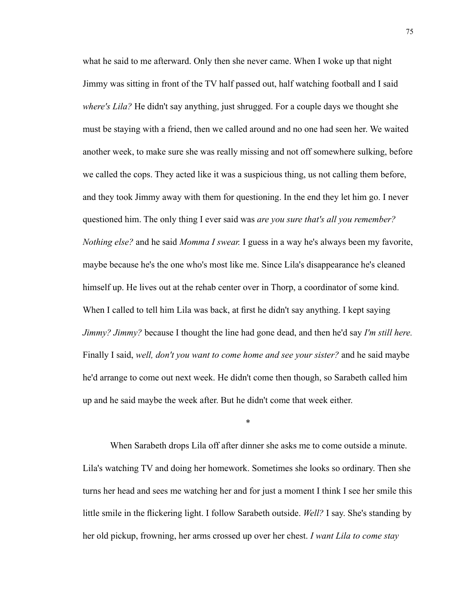what he said to me afterward. Only then she never came. When I woke up that night Jimmy was sitting in front of the TV half passed out, half watching football and I said *where's Lila?* He didn't say anything, just shrugged. For a couple days we thought she must be staying with a friend, then we called around and no one had seen her. We waited another week, to make sure she was really missing and not off somewhere sulking, before we called the cops. They acted like it was a suspicious thing, us not calling them before, and they took Jimmy away with them for questioning. In the end they let him go. I never questioned him. The only thing I ever said was *are you sure that's all you remember? Nothing else?* and he said *Momma I swear.* I guess in a way he's always been my favorite, maybe because he's the one who's most like me. Since Lila's disappearance he's cleaned himself up. He lives out at the rehab center over in Thorp, a coordinator of some kind. When I called to tell him Lila was back, at first he didn't say anything. I kept saying *Jimmy? Jimmy?* because I thought the line had gone dead, and then he'd say *I'm still here.*  Finally I said, *well, don't you want to come home and see your sister?* and he said maybe he'd arrange to come out next week. He didn't come then though, so Sarabeth called him up and he said maybe the week after. But he didn't come that week either.

 When Sarabeth drops Lila off after dinner she asks me to come outside a minute. Lila's watching TV and doing her homework. Sometimes she looks so ordinary. Then she turns her head and sees me watching her and for just a moment I think I see her smile this little smile in the flickering light. I follow Sarabeth outside. *Well?* I say. She's standing by her old pickup, frowning, her arms crossed up over her chest. *I want Lila to come stay* 

\*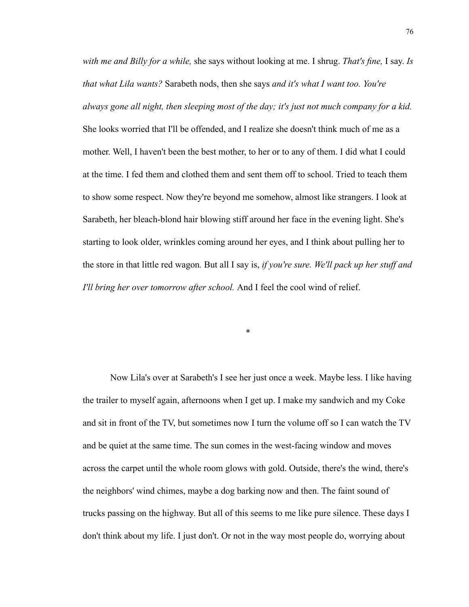*with me and Billy for a while,* she says without looking at me. I shrug. *That's fine,* I say. *Is that what Lila wants?* Sarabeth nods, then she says *and it's what I want too. You're always gone all night, then sleeping most of the day; it's just not much company for a kid.*  She looks worried that I'll be offended, and I realize she doesn't think much of me as a mother. Well, I haven't been the best mother, to her or to any of them. I did what I could at the time. I fed them and clothed them and sent them off to school. Tried to teach them to show some respect. Now they're beyond me somehow, almost like strangers. I look at Sarabeth, her bleach-blond hair blowing stiff around her face in the evening light. She's starting to look older, wrinkles coming around her eyes, and I think about pulling her to the store in that little red wagon*.* But all I say is, *if you're sure. We'll pack up her stuff and I'll bring her over tomorrow after school.* And I feel the cool wind of relief.

 Now Lila's over at Sarabeth's I see her just once a week. Maybe less. I like having the trailer to myself again, afternoons when I get up. I make my sandwich and my Coke and sit in front of the TV, but sometimes now I turn the volume off so I can watch the TV and be quiet at the same time. The sun comes in the west-facing window and moves across the carpet until the whole room glows with gold. Outside, there's the wind, there's the neighbors' wind chimes, maybe a dog barking now and then. The faint sound of trucks passing on the highway. But all of this seems to me like pure silence. These days I don't think about my life. I just don't. Or not in the way most people do, worrying about

\*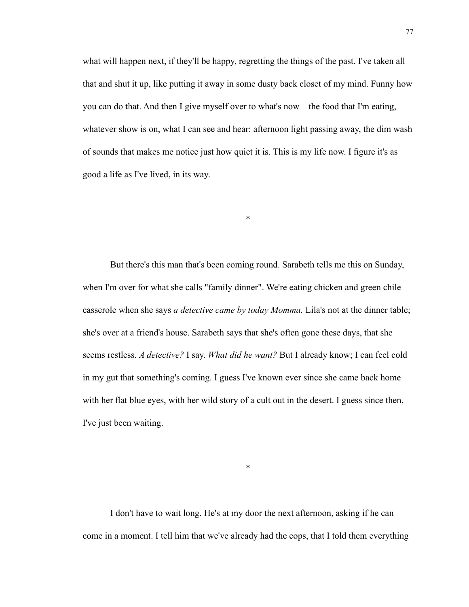what will happen next, if they'll be happy, regretting the things of the past. I've taken all that and shut it up, like putting it away in some dusty back closet of my mind. Funny how you can do that. And then I give myself over to what's now—the food that I'm eating, whatever show is on, what I can see and hear: afternoon light passing away, the dim wash of sounds that makes me notice just how quiet it is. This is my life now. I figure it's as good a life as I've lived, in its way.

\*

 But there's this man that's been coming round. Sarabeth tells me this on Sunday, when I'm over for what she calls "family dinner". We're eating chicken and green chile casserole when she says *a detective came by today Momma.* Lila's not at the dinner table; she's over at a friend's house. Sarabeth says that she's often gone these days, that she seems restless. *A detective?* I say. *What did he want?* But I already know; I can feel cold in my gut that something's coming. I guess I've known ever since she came back home with her flat blue eyes, with her wild story of a cult out in the desert. I guess since then, I've just been waiting.

\*

 I don't have to wait long. He's at my door the next afternoon, asking if he can come in a moment. I tell him that we've already had the cops, that I told them everything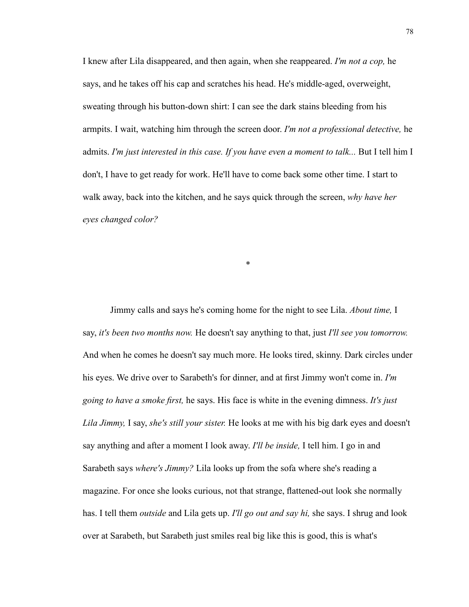I knew after Lila disappeared, and then again, when she reappeared. *I'm not a cop,* he says, and he takes off his cap and scratches his head. He's middle-aged, overweight, sweating through his button-down shirt: I can see the dark stains bleeding from his armpits. I wait, watching him through the screen door. *I'm not a professional detective,* he admits. *I'm just interested in this case. If you have even a moment to talk...* But I tell him I don't, I have to get ready for work. He'll have to come back some other time. I start to walk away, back into the kitchen, and he says quick through the screen, *why have her eyes changed color?*

\*

 Jimmy calls and says he's coming home for the night to see Lila. *About time,* I say, *it's been two months now.* He doesn't say anything to that, just *I'll see you tomorrow.*  And when he comes he doesn't say much more. He looks tired, skinny. Dark circles under his eyes. We drive over to Sarabeth's for dinner, and at first Jimmy won't come in. *I'm going to have a smoke first,* he says. His face is white in the evening dimness. *It's just Lila Jimmy,* I say, *she's still your sister.* He looks at me with his big dark eyes and doesn't say anything and after a moment I look away. *I'll be inside,* I tell him. I go in and Sarabeth says *where's Jimmy?* Lila looks up from the sofa where she's reading a magazine. For once she looks curious, not that strange, flattened-out look she normally has. I tell them *outside* and Lila gets up. *I'll go out and say hi,* she says. I shrug and look over at Sarabeth, but Sarabeth just smiles real big like this is good, this is what's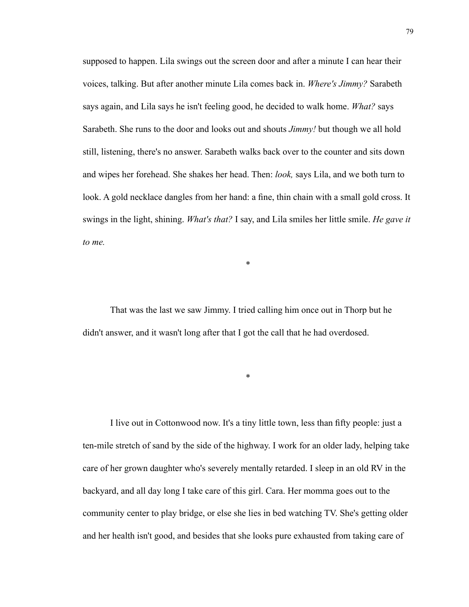supposed to happen. Lila swings out the screen door and after a minute I can hear their voices, talking. But after another minute Lila comes back in. *Where's Jimmy?* Sarabeth says again, and Lila says he isn't feeling good, he decided to walk home. *What?* says Sarabeth. She runs to the door and looks out and shouts *Jimmy!* but though we all hold still, listening, there's no answer. Sarabeth walks back over to the counter and sits down and wipes her forehead. She shakes her head. Then: *look,* says Lila, and we both turn to look. A gold necklace dangles from her hand: a fine, thin chain with a small gold cross. It swings in the light, shining. *What's that?* I say, and Lila smiles her little smile. *He gave it to me.*

 That was the last we saw Jimmy. I tried calling him once out in Thorp but he didn't answer, and it wasn't long after that I got the call that he had overdosed.

\*

\*

 I live out in Cottonwood now. It's a tiny little town, less than fifty people: just a ten-mile stretch of sand by the side of the highway. I work for an older lady, helping take care of her grown daughter who's severely mentally retarded. I sleep in an old RV in the backyard, and all day long I take care of this girl. Cara. Her momma goes out to the community center to play bridge, or else she lies in bed watching TV. She's getting older and her health isn't good, and besides that she looks pure exhausted from taking care of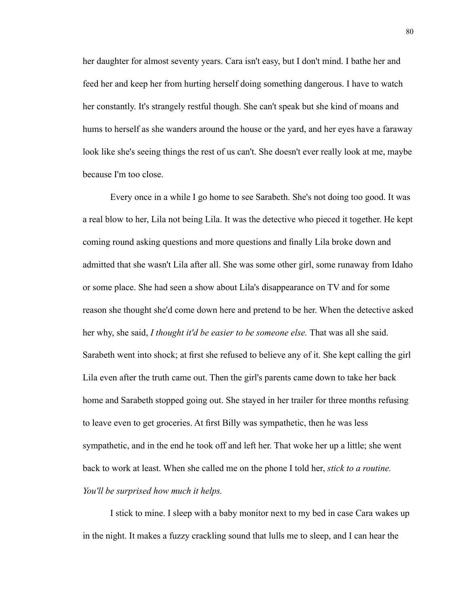her daughter for almost seventy years. Cara isn't easy, but I don't mind. I bathe her and feed her and keep her from hurting herself doing something dangerous. I have to watch her constantly. It's strangely restful though. She can't speak but she kind of moans and hums to herself as she wanders around the house or the yard, and her eyes have a faraway look like she's seeing things the rest of us can't. She doesn't ever really look at me, maybe because I'm too close.

 Every once in a while I go home to see Sarabeth. She's not doing too good. It was a real blow to her, Lila not being Lila. It was the detective who pieced it together. He kept coming round asking questions and more questions and finally Lila broke down and admitted that she wasn't Lila after all. She was some other girl, some runaway from Idaho or some place. She had seen a show about Lila's disappearance on TV and for some reason she thought she'd come down here and pretend to be her. When the detective asked her why, she said, *I thought it'd be easier to be someone else.* That was all she said. Sarabeth went into shock; at first she refused to believe any of it. She kept calling the girl Lila even after the truth came out. Then the girl's parents came down to take her back home and Sarabeth stopped going out. She stayed in her trailer for three months refusing to leave even to get groceries. At first Billy was sympathetic, then he was less sympathetic, and in the end he took off and left her. That woke her up a little; she went back to work at least. When she called me on the phone I told her, *stick to a routine. You'll be surprised how much it helps.* 

 I stick to mine. I sleep with a baby monitor next to my bed in case Cara wakes up in the night. It makes a fuzzy crackling sound that lulls me to sleep, and I can hear the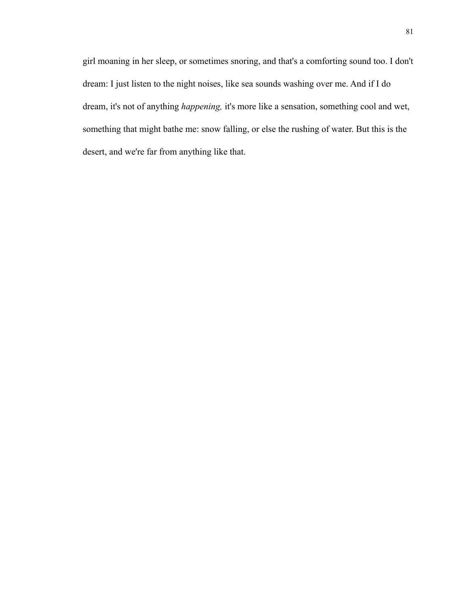girl moaning in her sleep, or sometimes snoring, and that's a comforting sound too. I don't dream: I just listen to the night noises, like sea sounds washing over me. And if I do dream, it's not of anything *happening,* it's more like a sensation, something cool and wet, something that might bathe me: snow falling, or else the rushing of water. But this is the desert, and we're far from anything like that.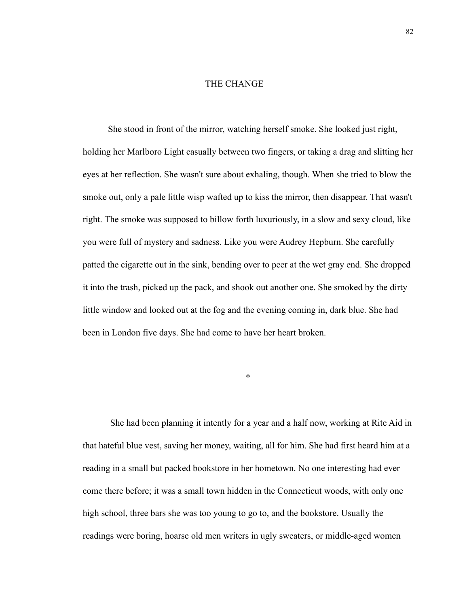## THE CHANGE

 She stood in front of the mirror, watching herself smoke. She looked just right, holding her Marlboro Light casually between two fingers, or taking a drag and slitting her eyes at her reflection. She wasn't sure about exhaling, though. When she tried to blow the smoke out, only a pale little wisp wafted up to kiss the mirror, then disappear. That wasn't right. The smoke was supposed to billow forth luxuriously, in a slow and sexy cloud, like you were full of mystery and sadness. Like you were Audrey Hepburn. She carefully patted the cigarette out in the sink, bending over to peer at the wet gray end. She dropped it into the trash, picked up the pack, and shook out another one. She smoked by the dirty little window and looked out at the fog and the evening coming in, dark blue. She had been in London five days. She had come to have her heart broken.

\*

She had been planning it intently for a year and a half now, working at Rite Aid in that hateful blue vest, saving her money, waiting, all for him. She had first heard him at a reading in a small but packed bookstore in her hometown. No one interesting had ever come there before; it was a small town hidden in the Connecticut woods, with only one high school, three bars she was too young to go to, and the bookstore. Usually the readings were boring, hoarse old men writers in ugly sweaters, or middle-aged women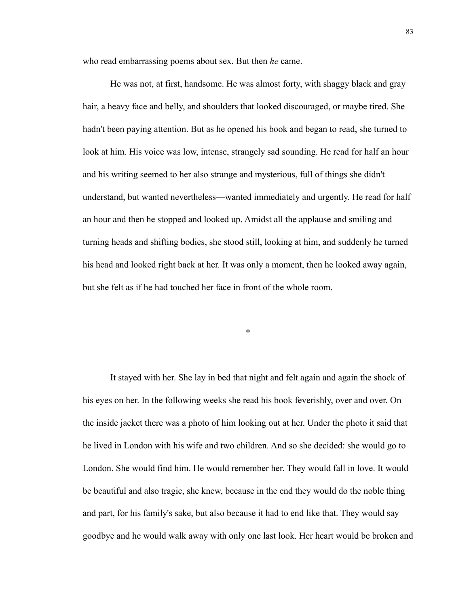who read embarrassing poems about sex. But then *he* came.

He was not, at first, handsome. He was almost forty, with shaggy black and gray hair, a heavy face and belly, and shoulders that looked discouraged, or maybe tired. She hadn't been paying attention. But as he opened his book and began to read, she turned to look at him. His voice was low, intense, strangely sad sounding. He read for half an hour and his writing seemed to her also strange and mysterious, full of things she didn't understand, but wanted nevertheless—wanted immediately and urgently. He read for half an hour and then he stopped and looked up. Amidst all the applause and smiling and turning heads and shifting bodies, she stood still, looking at him, and suddenly he turned his head and looked right back at her. It was only a moment, then he looked away again, but she felt as if he had touched her face in front of the whole room.

\*

It stayed with her. She lay in bed that night and felt again and again the shock of his eyes on her. In the following weeks she read his book feverishly, over and over. On the inside jacket there was a photo of him looking out at her. Under the photo it said that he lived in London with his wife and two children. And so she decided: she would go to London. She would find him. He would remember her. They would fall in love. It would be beautiful and also tragic, she knew, because in the end they would do the noble thing and part, for his family's sake, but also because it had to end like that. They would say goodbye and he would walk away with only one last look. Her heart would be broken and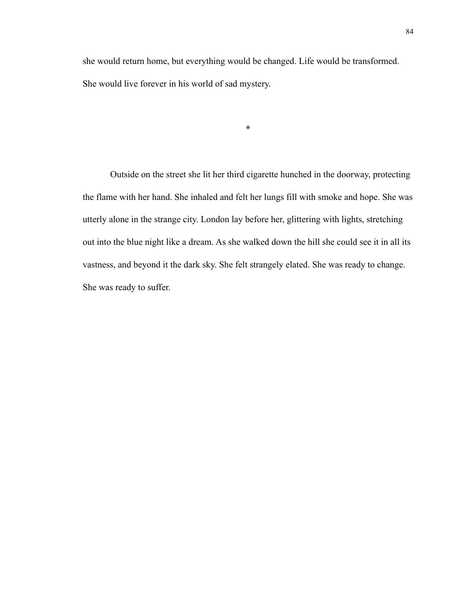she would return home, but everything would be changed. Life would be transformed. She would live forever in his world of sad mystery.

\*

Outside on the street she lit her third cigarette hunched in the doorway, protecting the flame with her hand. She inhaled and felt her lungs fill with smoke and hope. She was utterly alone in the strange city. London lay before her, glittering with lights, stretching out into the blue night like a dream. As she walked down the hill she could see it in all its vastness, and beyond it the dark sky. She felt strangely elated. She was ready to change. She was ready to suffer.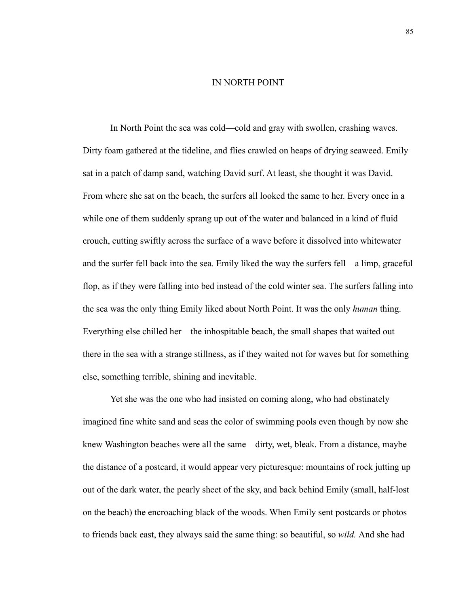## IN NORTH POINT

In North Point the sea was cold—cold and gray with swollen, crashing waves. Dirty foam gathered at the tideline, and flies crawled on heaps of drying seaweed. Emily sat in a patch of damp sand, watching David surf. At least, she thought it was David. From where she sat on the beach, the surfers all looked the same to her. Every once in a while one of them suddenly sprang up out of the water and balanced in a kind of fluid crouch, cutting swiftly across the surface of a wave before it dissolved into whitewater and the surfer fell back into the sea. Emily liked the way the surfers fell––a limp, graceful flop, as if they were falling into bed instead of the cold winter sea. The surfers falling into the sea was the only thing Emily liked about North Point. It was the only *human* thing. Everything else chilled her––the inhospitable beach, the small shapes that waited out there in the sea with a strange stillness, as if they waited not for waves but for something else, something terrible, shining and inevitable.

Yet she was the one who had insisted on coming along, who had obstinately imagined fine white sand and seas the color of swimming pools even though by now she knew Washington beaches were all the same––dirty, wet, bleak. From a distance, maybe the distance of a postcard, it would appear very picturesque: mountains of rock jutting up out of the dark water, the pearly sheet of the sky, and back behind Emily (small, half-lost on the beach) the encroaching black of the woods. When Emily sent postcards or photos to friends back east, they always said the same thing: so beautiful, so *wild.* And she had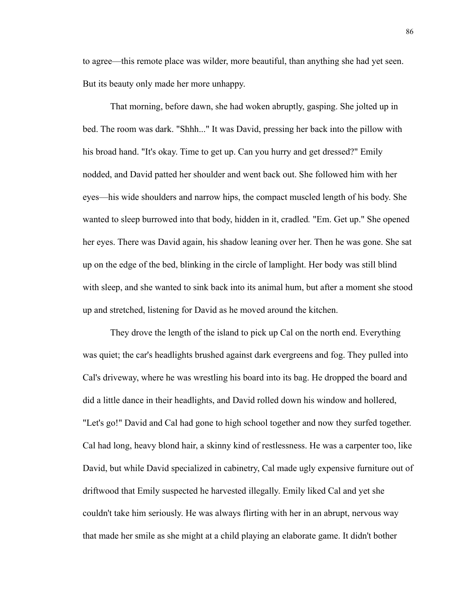to agree––this remote place was wilder, more beautiful, than anything she had yet seen. But its beauty only made her more unhappy.

That morning, before dawn, she had woken abruptly, gasping. She jolted up in bed. The room was dark. "Shhh..." It was David, pressing her back into the pillow with his broad hand. "It's okay. Time to get up. Can you hurry and get dressed?" Emily nodded, and David patted her shoulder and went back out. She followed him with her eyes––his wide shoulders and narrow hips, the compact muscled length of his body. She wanted to sleep burrowed into that body, hidden in it, cradled*.* "Em. Get up." She opened her eyes. There was David again, his shadow leaning over her. Then he was gone. She sat up on the edge of the bed, blinking in the circle of lamplight. Her body was still blind with sleep, and she wanted to sink back into its animal hum, but after a moment she stood up and stretched, listening for David as he moved around the kitchen.

They drove the length of the island to pick up Cal on the north end. Everything was quiet; the car's headlights brushed against dark evergreens and fog. They pulled into Cal's driveway, where he was wrestling his board into its bag. He dropped the board and did a little dance in their headlights, and David rolled down his window and hollered, "Let's go!" David and Cal had gone to high school together and now they surfed together. Cal had long, heavy blond hair, a skinny kind of restlessness. He was a carpenter too, like David, but while David specialized in cabinetry, Cal made ugly expensive furniture out of driftwood that Emily suspected he harvested illegally. Emily liked Cal and yet she couldn't take him seriously. He was always flirting with her in an abrupt, nervous way that made her smile as she might at a child playing an elaborate game. It didn't bother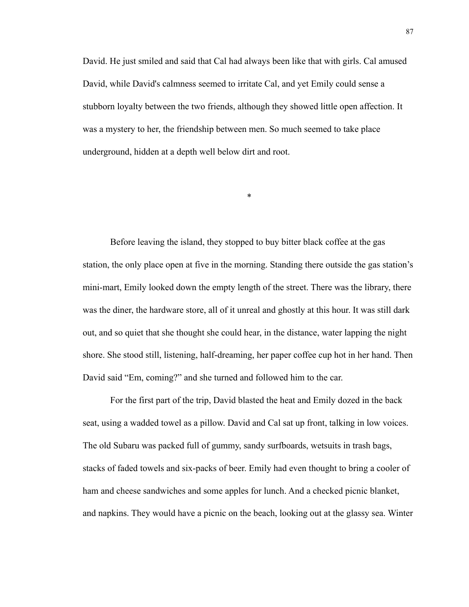David. He just smiled and said that Cal had always been like that with girls. Cal amused David, while David's calmness seemed to irritate Cal, and yet Emily could sense a stubborn loyalty between the two friends, although they showed little open affection. It was a mystery to her, the friendship between men. So much seemed to take place underground, hidden at a depth well below dirt and root.

\*

Before leaving the island, they stopped to buy bitter black coffee at the gas station, the only place open at five in the morning. Standing there outside the gas station's mini-mart, Emily looked down the empty length of the street. There was the library, there was the diner, the hardware store, all of it unreal and ghostly at this hour. It was still dark out, and so quiet that she thought she could hear, in the distance, water lapping the night shore. She stood still, listening, half-dreaming, her paper coffee cup hot in her hand. Then David said "Em, coming?" and she turned and followed him to the car.

For the first part of the trip, David blasted the heat and Emily dozed in the back seat, using a wadded towel as a pillow. David and Cal sat up front, talking in low voices. The old Subaru was packed full of gummy, sandy surfboards, wetsuits in trash bags, stacks of faded towels and six-packs of beer. Emily had even thought to bring a cooler of ham and cheese sandwiches and some apples for lunch. And a checked picnic blanket, and napkins. They would have a picnic on the beach, looking out at the glassy sea. Winter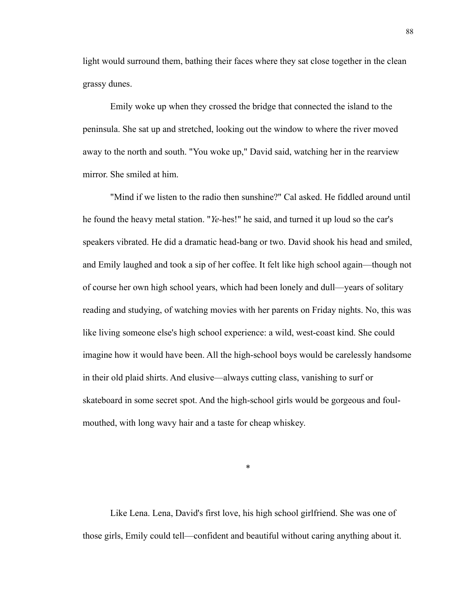light would surround them, bathing their faces where they sat close together in the clean grassy dunes.

Emily woke up when they crossed the bridge that connected the island to the peninsula. She sat up and stretched, looking out the window to where the river moved away to the north and south. "You woke up," David said, watching her in the rearview mirror. She smiled at him.

"Mind if we listen to the radio then sunshine?" Cal asked. He fiddled around until he found the heavy metal station. "*Ye-*hes!" he said, and turned it up loud so the car's speakers vibrated. He did a dramatic head-bang or two. David shook his head and smiled, and Emily laughed and took a sip of her coffee. It felt like high school again—though not of course her own high school years, which had been lonely and dull––years of solitary reading and studying, of watching movies with her parents on Friday nights. No, this was like living someone else's high school experience: a wild, west-coast kind. She could imagine how it would have been. All the high-school boys would be carelessly handsome in their old plaid shirts. And elusive—always cutting class, vanishing to surf or skateboard in some secret spot. And the high-school girls would be gorgeous and foulmouthed, with long wavy hair and a taste for cheap whiskey.

\*

Like Lena. Lena, David's first love, his high school girlfriend. She was one of those girls, Emily could tell—confident and beautiful without caring anything about it.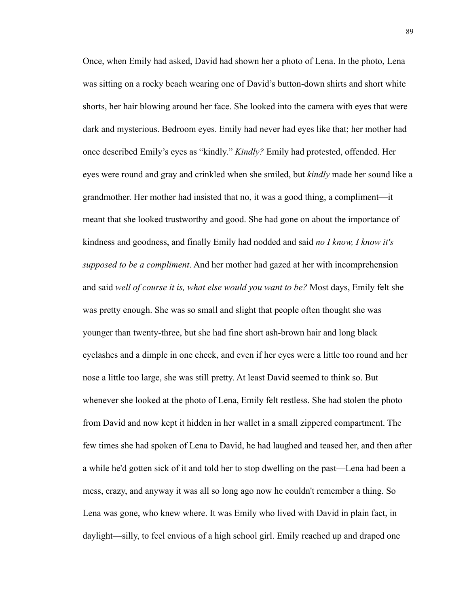Once, when Emily had asked, David had shown her a photo of Lena. In the photo, Lena was sitting on a rocky beach wearing one of David's button-down shirts and short white shorts, her hair blowing around her face. She looked into the camera with eyes that were dark and mysterious. Bedroom eyes. Emily had never had eyes like that; her mother had once described Emily's eyes as "kindly." *Kindly?* Emily had protested, offended. Her eyes were round and gray and crinkled when she smiled, but *kindly* made her sound like a grandmother. Her mother had insisted that no, it was a good thing, a compliment—it meant that she looked trustworthy and good. She had gone on about the importance of kindness and goodness, and finally Emily had nodded and said *no I know, I know it's supposed to be a compliment*. And her mother had gazed at her with incomprehension and said *well of course it is, what else would you want to be?* Most days, Emily felt she was pretty enough. She was so small and slight that people often thought she was younger than twenty-three, but she had fine short ash-brown hair and long black eyelashes and a dimple in one cheek, and even if her eyes were a little too round and her nose a little too large, she was still pretty. At least David seemed to think so. But whenever she looked at the photo of Lena, Emily felt restless. She had stolen the photo from David and now kept it hidden in her wallet in a small zippered compartment. The few times she had spoken of Lena to David, he had laughed and teased her, and then after a while he'd gotten sick of it and told her to stop dwelling on the past—Lena had been a mess, crazy, and anyway it was all so long ago now he couldn't remember a thing. So Lena was gone, who knew where. It was Emily who lived with David in plain fact, in daylight—silly, to feel envious of a high school girl. Emily reached up and draped one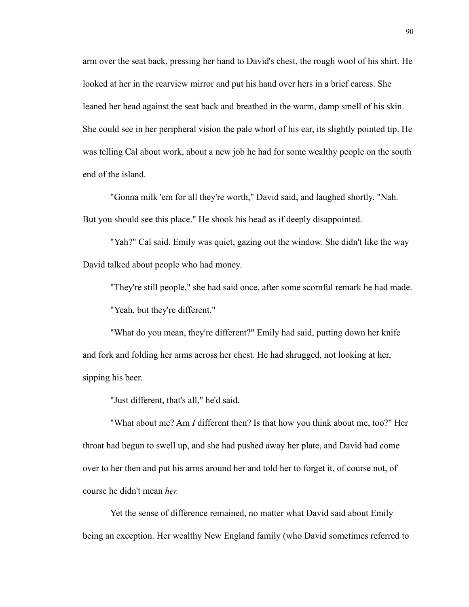arm over the seat back, pressing her hand to David's chest, the rough wool of his shirt. He looked at her in the rearview mirror and put his hand over hers in a brief caress. She leaned her head against the seat back and breathed in the warm, damp smell of his skin. She could see in her peripheral vision the pale whorl of his ear, its slightly pointed tip. He was telling Cal about work, about a new job he had for some wealthy people on the south end of the island.

"Gonna milk 'em for all they're worth," David said, and laughed shortly. "Nah. But you should see this place." He shook his head as if deeply disappointed.

"Yah?" Cal said. Emily was quiet, gazing out the window. She didn't like the way David talked about people who had money.

"They're still people," she had said once, after some scornful remark he had made. "Yeah, but they're different."

"What do you mean, they're different?" Emily had said, putting down her knife and fork and folding her arms across her chest. He had shrugged, not looking at her, sipping his beer.

"Just different, that's all," he'd said.

"What about me? Am *I* different then? Is that how you think about me, too?" Her throat had begun to swell up, and she had pushed away her plate, and David had come over to her then and put his arms around her and told her to forget it, of course not, of course he didn't mean *her.*

Yet the sense of difference remained, no matter what David said about Emily being an exception. Her wealthy New England family (who David sometimes referred to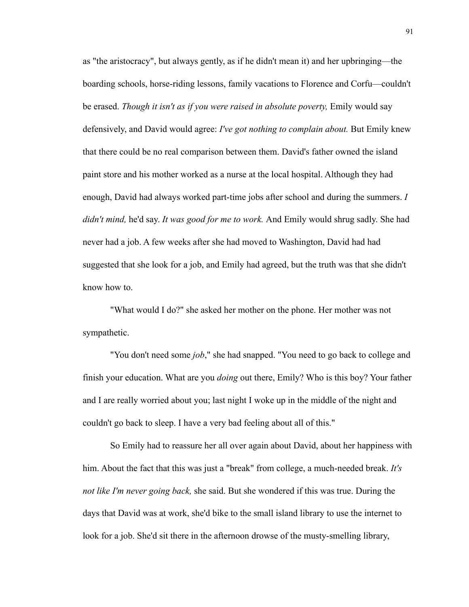as "the aristocracy", but always gently, as if he didn't mean it) and her upbringing—the boarding schools, horse-riding lessons, family vacations to Florence and Corfu—couldn't be erased. *Though it isn't as if you were raised in absolute poverty*, Emily would say defensively, and David would agree: *I've got nothing to complain about.* But Emily knew that there could be no real comparison between them. David's father owned the island paint store and his mother worked as a nurse at the local hospital. Although they had enough, David had always worked part-time jobs after school and during the summers. *I didn't mind,* he'd say. *It was good for me to work.* And Emily would shrug sadly. She had never had a job. A few weeks after she had moved to Washington, David had had suggested that she look for a job, and Emily had agreed, but the truth was that she didn't know how to.

"What would I do?" she asked her mother on the phone. Her mother was not sympathetic.

"You don't need some *job*," she had snapped. "You need to go back to college and finish your education. What are you *doing* out there, Emily? Who is this boy? Your father and I are really worried about you; last night I woke up in the middle of the night and couldn't go back to sleep. I have a very bad feeling about all of this."

So Emily had to reassure her all over again about David, about her happiness with him. About the fact that this was just a "break" from college, a much-needed break. *It's not like I'm never going back,* she said. But she wondered if this was true. During the days that David was at work, she'd bike to the small island library to use the internet to look for a job. She'd sit there in the afternoon drowse of the musty-smelling library,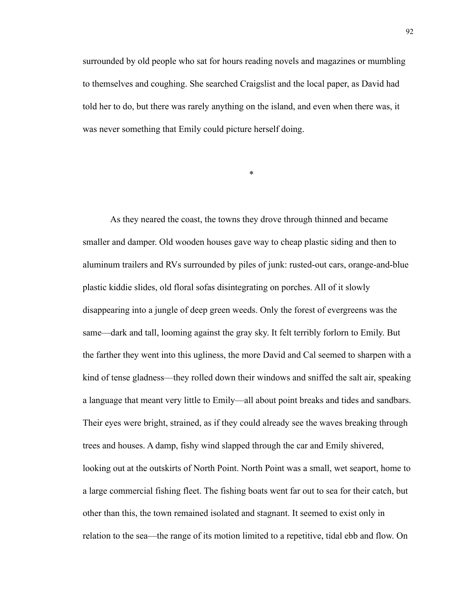surrounded by old people who sat for hours reading novels and magazines or mumbling to themselves and coughing. She searched Craigslist and the local paper, as David had told her to do, but there was rarely anything on the island, and even when there was, it was never something that Emily could picture herself doing.

\*

As they neared the coast, the towns they drove through thinned and became smaller and damper. Old wooden houses gave way to cheap plastic siding and then to aluminum trailers and RVs surrounded by piles of junk: rusted-out cars, orange-and-blue plastic kiddie slides, old floral sofas disintegrating on porches. All of it slowly disappearing into a jungle of deep green weeds. Only the forest of evergreens was the same—dark and tall, looming against the gray sky. It felt terribly forlorn to Emily. But the farther they went into this ugliness, the more David and Cal seemed to sharpen with a kind of tense gladness—they rolled down their windows and sniffed the salt air, speaking a language that meant very little to Emily—all about point breaks and tides and sandbars. Their eyes were bright, strained, as if they could already see the waves breaking through trees and houses. A damp, fishy wind slapped through the car and Emily shivered, looking out at the outskirts of North Point. North Point was a small, wet seaport, home to a large commercial fishing fleet. The fishing boats went far out to sea for their catch, but other than this, the town remained isolated and stagnant. It seemed to exist only in relation to the sea––the range of its motion limited to a repetitive, tidal ebb and flow. On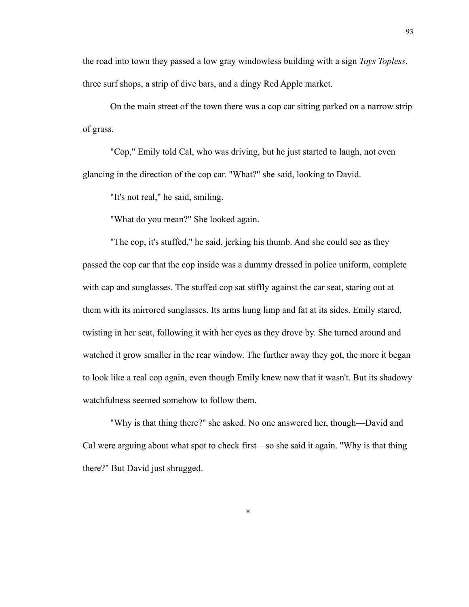the road into town they passed a low gray windowless building with a sign *Toys Topless*, three surf shops, a strip of dive bars, and a dingy Red Apple market.

On the main street of the town there was a cop car sitting parked on a narrow strip of grass.

"Cop," Emily told Cal, who was driving, but he just started to laugh, not even glancing in the direction of the cop car. "What?" she said, looking to David.

"It's not real," he said, smiling.

"What do you mean?" She looked again.

"The cop, it's stuffed," he said, jerking his thumb. And she could see as they passed the cop car that the cop inside was a dummy dressed in police uniform, complete with cap and sunglasses. The stuffed cop sat stiffly against the car seat, staring out at them with its mirrored sunglasses. Its arms hung limp and fat at its sides. Emily stared, twisting in her seat, following it with her eyes as they drove by. She turned around and watched it grow smaller in the rear window. The further away they got, the more it began to look like a real cop again, even though Emily knew now that it wasn't. But its shadowy watchfulness seemed somehow to follow them.

"Why is that thing there?" she asked. No one answered her, though––David and Cal were arguing about what spot to check first––so she said it again. "Why is that thing there?" But David just shrugged.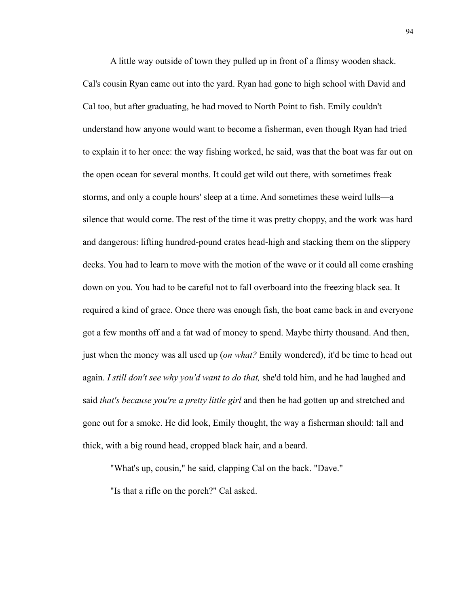A little way outside of town they pulled up in front of a flimsy wooden shack. Cal's cousin Ryan came out into the yard. Ryan had gone to high school with David and Cal too, but after graduating, he had moved to North Point to fish. Emily couldn't understand how anyone would want to become a fisherman, even though Ryan had tried to explain it to her once: the way fishing worked, he said, was that the boat was far out on the open ocean for several months. It could get wild out there, with sometimes freak storms, and only a couple hours' sleep at a time. And sometimes these weird lulls—a silence that would come. The rest of the time it was pretty choppy, and the work was hard and dangerous: lifting hundred-pound crates head-high and stacking them on the slippery decks. You had to learn to move with the motion of the wave or it could all come crashing down on you. You had to be careful not to fall overboard into the freezing black sea. It required a kind of grace. Once there was enough fish, the boat came back in and everyone got a few months off and a fat wad of money to spend. Maybe thirty thousand. And then, just when the money was all used up (*on what?* Emily wondered), it'd be time to head out again. *I still don't see why you'd want to do that,* she'd told him, and he had laughed and said *that's because you're a pretty little girl* and then he had gotten up and stretched and gone out for a smoke. He did look, Emily thought, the way a fisherman should: tall and thick, with a big round head, cropped black hair, and a beard.

"What's up, cousin," he said, clapping Cal on the back. "Dave."

"Is that a rifle on the porch?" Cal asked.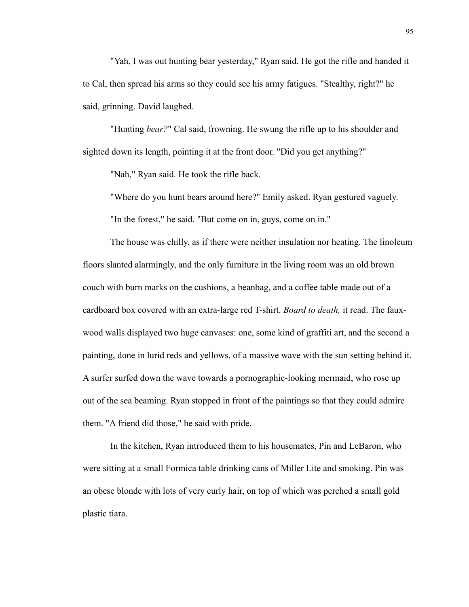"Yah, I was out hunting bear yesterday," Ryan said. He got the rifle and handed it to Cal, then spread his arms so they could see his army fatigues. "Stealthy, right?" he said, grinning. David laughed.

"Hunting *bear?*" Cal said, frowning. He swung the rifle up to his shoulder and sighted down its length, pointing it at the front door. "Did you get anything?"

"Nah," Ryan said. He took the rifle back.

"Where do you hunt bears around here?" Emily asked. Ryan gestured vaguely.

"In the forest," he said. "But come on in, guys, come on in."

The house was chilly, as if there were neither insulation nor heating. The linoleum floors slanted alarmingly, and the only furniture in the living room was an old brown couch with burn marks on the cushions, a beanbag, and a coffee table made out of a cardboard box covered with an extra-large red T-shirt. *Board to death,* it read. The fauxwood walls displayed two huge canvases: one, some kind of graffiti art, and the second a painting, done in lurid reds and yellows, of a massive wave with the sun setting behind it. A surfer surfed down the wave towards a pornographic-looking mermaid, who rose up out of the sea beaming. Ryan stopped in front of the paintings so that they could admire them. "A friend did those," he said with pride.

In the kitchen, Ryan introduced them to his housemates, Pin and LeBaron, who were sitting at a small Formica table drinking cans of Miller Lite and smoking. Pin was an obese blonde with lots of very curly hair, on top of which was perched a small gold plastic tiara.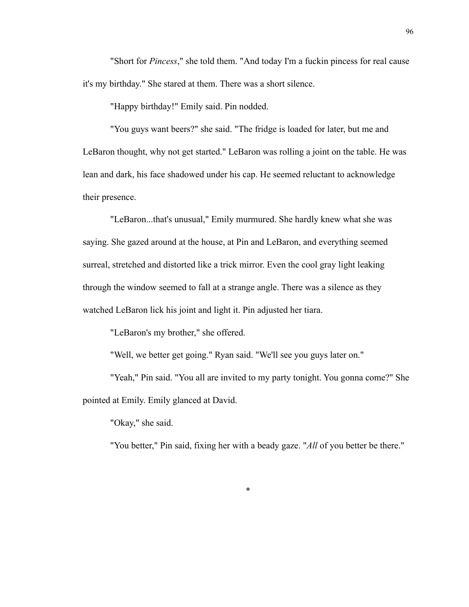"Short for *Pincess*," she told them. "And today I'm a fuckin pincess for real cause it's my birthday." She stared at them. There was a short silence.

"Happy birthday!" Emily said. Pin nodded.

"You guys want beers?" she said. "The fridge is loaded for later, but me and LeBaron thought, why not get started." LeBaron was rolling a joint on the table. He was lean and dark, his face shadowed under his cap. He seemed reluctant to acknowledge their presence.

"LeBaron...that's unusual," Emily murmured. She hardly knew what she was saying. She gazed around at the house, at Pin and LeBaron, and everything seemed surreal, stretched and distorted like a trick mirror. Even the cool gray light leaking through the window seemed to fall at a strange angle. There was a silence as they watched LeBaron lick his joint and light it. Pin adjusted her tiara.

"LeBaron's my brother," she offered.

"Well, we better get going." Ryan said. "We'll see you guys later on."

"Yeah," Pin said. "You all are invited to my party tonight. You gonna come?" She pointed at Emily. Emily glanced at David.

"Okay," she said.

"You better," Pin said, fixing her with a beady gaze. "*All* of you better be there."

\*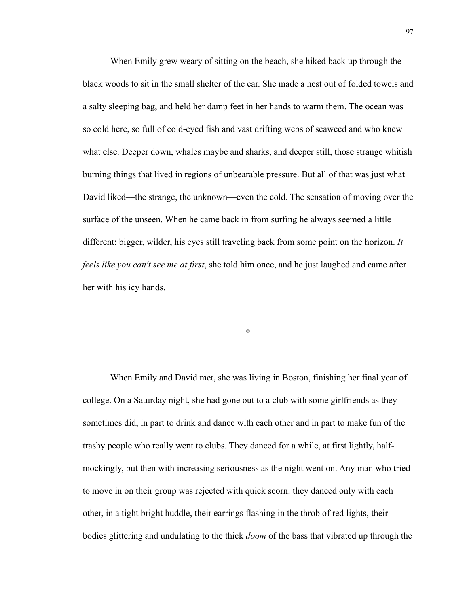When Emily grew weary of sitting on the beach, she hiked back up through the black woods to sit in the small shelter of the car. She made a nest out of folded towels and a salty sleeping bag, and held her damp feet in her hands to warm them. The ocean was so cold here, so full of cold-eyed fish and vast drifting webs of seaweed and who knew what else. Deeper down, whales maybe and sharks, and deeper still, those strange whitish burning things that lived in regions of unbearable pressure. But all of that was just what David liked—the strange, the unknown—even the cold. The sensation of moving over the surface of the unseen. When he came back in from surfing he always seemed a little different: bigger, wilder, his eyes still traveling back from some point on the horizon. *It feels like you can't see me at first*, she told him once, and he just laughed and came after her with his icy hands.

When Emily and David met, she was living in Boston, finishing her final year of college. On a Saturday night, she had gone out to a club with some girlfriends as they sometimes did, in part to drink and dance with each other and in part to make fun of the trashy people who really went to clubs. They danced for a while, at first lightly, halfmockingly, but then with increasing seriousness as the night went on. Any man who tried to move in on their group was rejected with quick scorn: they danced only with each other, in a tight bright huddle, their earrings flashing in the throb of red lights, their bodies glittering and undulating to the thick *doom* of the bass that vibrated up through the

\*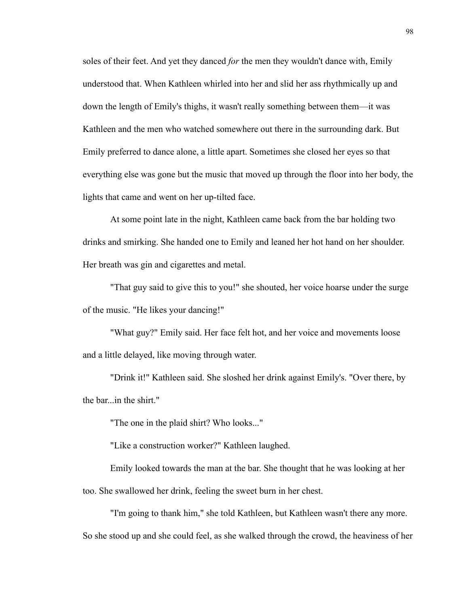soles of their feet. And yet they danced *for* the men they wouldn't dance with, Emily understood that. When Kathleen whirled into her and slid her ass rhythmically up and down the length of Emily's thighs, it wasn't really something between them––it was Kathleen and the men who watched somewhere out there in the surrounding dark. But Emily preferred to dance alone, a little apart. Sometimes she closed her eyes so that everything else was gone but the music that moved up through the floor into her body, the lights that came and went on her up-tilted face.

At some point late in the night, Kathleen came back from the bar holding two drinks and smirking. She handed one to Emily and leaned her hot hand on her shoulder. Her breath was gin and cigarettes and metal.

"That guy said to give this to you!" she shouted, her voice hoarse under the surge of the music. "He likes your dancing!"

"What guy?" Emily said. Her face felt hot, and her voice and movements loose and a little delayed, like moving through water.

"Drink it!" Kathleen said. She sloshed her drink against Emily's. "Over there, by the bar...in the shirt."

"The one in the plaid shirt? Who looks..."

"Like a construction worker?" Kathleen laughed.

Emily looked towards the man at the bar. She thought that he was looking at her too. She swallowed her drink, feeling the sweet burn in her chest.

"I'm going to thank him," she told Kathleen, but Kathleen wasn't there any more. So she stood up and she could feel, as she walked through the crowd, the heaviness of her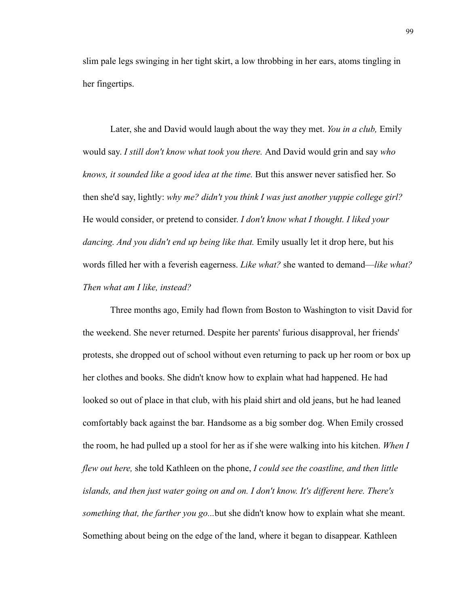slim pale legs swinging in her tight skirt, a low throbbing in her ears, atoms tingling in her fingertips.

Later, she and David would laugh about the way they met. *You in a club,* Emily would say. *I still don't know what took you there.* And David would grin and say *who knows, it sounded like a good idea at the time.* But this answer never satisfied her. So then she'd say, lightly: *why me? didn't you think I was just another yuppie college girl?*  He would consider, or pretend to consider. *I don't know what I thought. I liked your dancing. And you didn't end up being like that.* Emily usually let it drop here, but his words filled her with a feverish eagerness. *Like what?* she wanted to demand––*like what? Then what am I like, instead?* 

Three months ago, Emily had flown from Boston to Washington to visit David for the weekend. She never returned. Despite her parents' furious disapproval, her friends' protests, she dropped out of school without even returning to pack up her room or box up her clothes and books. She didn't know how to explain what had happened. He had looked so out of place in that club, with his plaid shirt and old jeans, but he had leaned comfortably back against the bar. Handsome as a big somber dog. When Emily crossed the room, he had pulled up a stool for her as if she were walking into his kitchen. *When I flew out here,* she told Kathleen on the phone, *I could see the coastline, and then little islands, and then just water going on and on. I don't know. It's different here. There's something that, the farther you go...*but she didn't know how to explain what she meant. Something about being on the edge of the land, where it began to disappear. Kathleen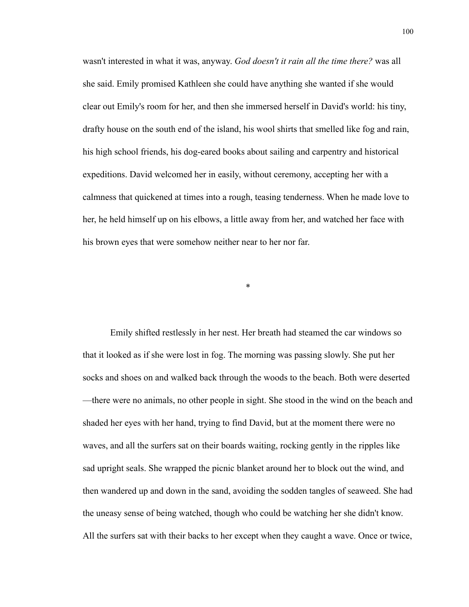wasn't interested in what it was, anyway. *God doesn't it rain all the time there?* was all she said. Emily promised Kathleen she could have anything she wanted if she would clear out Emily's room for her, and then she immersed herself in David's world: his tiny, drafty house on the south end of the island, his wool shirts that smelled like fog and rain, his high school friends, his dog-eared books about sailing and carpentry and historical expeditions. David welcomed her in easily, without ceremony, accepting her with a calmness that quickened at times into a rough, teasing tenderness. When he made love to her, he held himself up on his elbows, a little away from her, and watched her face with his brown eyes that were somehow neither near to her nor far.

\*

Emily shifted restlessly in her nest. Her breath had steamed the car windows so that it looked as if she were lost in fog. The morning was passing slowly. She put her socks and shoes on and walked back through the woods to the beach. Both were deserted —there were no animals, no other people in sight. She stood in the wind on the beach and shaded her eyes with her hand, trying to find David, but at the moment there were no waves, and all the surfers sat on their boards waiting, rocking gently in the ripples like sad upright seals. She wrapped the picnic blanket around her to block out the wind, and then wandered up and down in the sand, avoiding the sodden tangles of seaweed. She had the uneasy sense of being watched, though who could be watching her she didn't know. All the surfers sat with their backs to her except when they caught a wave. Once or twice,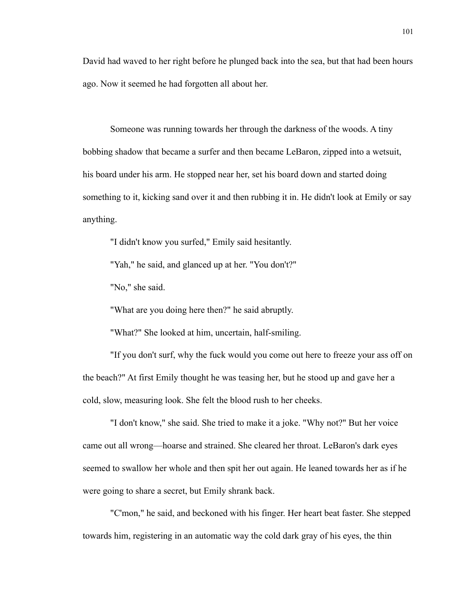David had waved to her right before he plunged back into the sea, but that had been hours ago. Now it seemed he had forgotten all about her.

Someone was running towards her through the darkness of the woods. A tiny bobbing shadow that became a surfer and then became LeBaron, zipped into a wetsuit, his board under his arm. He stopped near her, set his board down and started doing something to it, kicking sand over it and then rubbing it in. He didn't look at Emily or say anything.

"I didn't know you surfed," Emily said hesitantly.

"Yah," he said, and glanced up at her. "You don't?"

"No," she said.

"What are you doing here then?" he said abruptly.

"What?" She looked at him, uncertain, half-smiling.

"If you don't surf, why the fuck would you come out here to freeze your ass off on the beach?" At first Emily thought he was teasing her, but he stood up and gave her a cold, slow, measuring look. She felt the blood rush to her cheeks.

"I don't know," she said. She tried to make it a joke. "Why not?" But her voice came out all wrong––hoarse and strained. She cleared her throat. LeBaron's dark eyes seemed to swallow her whole and then spit her out again. He leaned towards her as if he were going to share a secret, but Emily shrank back.

"C'mon," he said, and beckoned with his finger. Her heart beat faster. She stepped towards him, registering in an automatic way the cold dark gray of his eyes, the thin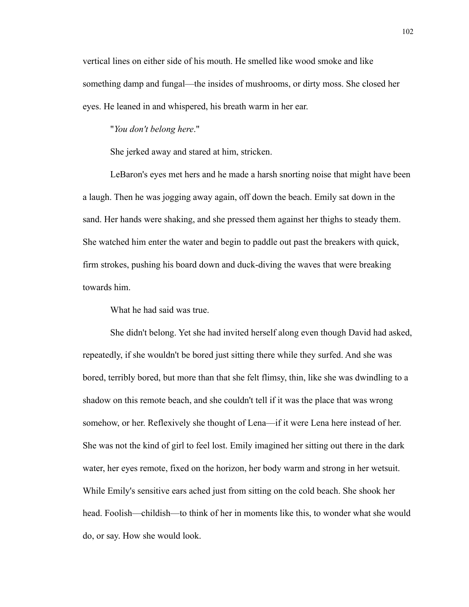vertical lines on either side of his mouth. He smelled like wood smoke and like something damp and fungal––the insides of mushrooms, or dirty moss. She closed her eyes. He leaned in and whispered, his breath warm in her ear.

## "*You don't belong here*."

She jerked away and stared at him, stricken.

LeBaron's eyes met hers and he made a harsh snorting noise that might have been a laugh. Then he was jogging away again, off down the beach. Emily sat down in the sand. Her hands were shaking, and she pressed them against her thighs to steady them. She watched him enter the water and begin to paddle out past the breakers with quick, firm strokes, pushing his board down and duck-diving the waves that were breaking towards him.

What he had said was true.

She didn't belong. Yet she had invited herself along even though David had asked, repeatedly, if she wouldn't be bored just sitting there while they surfed. And she was bored, terribly bored, but more than that she felt flimsy, thin, like she was dwindling to a shadow on this remote beach, and she couldn't tell if it was the place that was wrong somehow, or her. Reflexively she thought of Lena––if it were Lena here instead of her. She was not the kind of girl to feel lost. Emily imagined her sitting out there in the dark water, her eyes remote, fixed on the horizon, her body warm and strong in her wetsuit. While Emily's sensitive ears ached just from sitting on the cold beach. She shook her head. Foolish––childish––to think of her in moments like this, to wonder what she would do, or say. How she would look.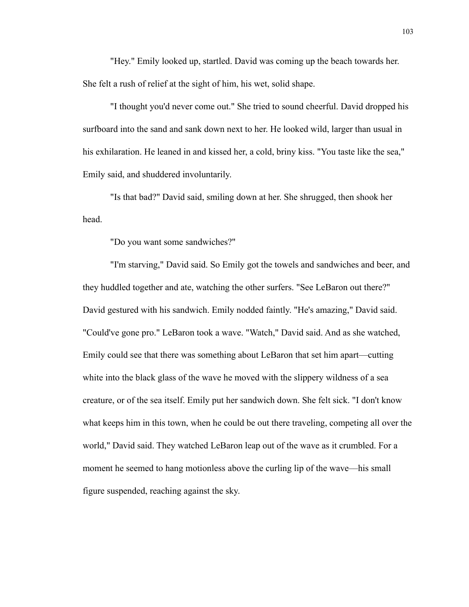"Hey." Emily looked up, startled. David was coming up the beach towards her. She felt a rush of relief at the sight of him, his wet, solid shape.

"I thought you'd never come out." She tried to sound cheerful. David dropped his surfboard into the sand and sank down next to her. He looked wild, larger than usual in his exhilaration. He leaned in and kissed her, a cold, briny kiss. "You taste like the sea," Emily said, and shuddered involuntarily.

"Is that bad?" David said, smiling down at her. She shrugged, then shook her head.

"Do you want some sandwiches?"

"I'm starving," David said. So Emily got the towels and sandwiches and beer, and they huddled together and ate, watching the other surfers. "See LeBaron out there?" David gestured with his sandwich. Emily nodded faintly. "He's amazing," David said. "Could've gone pro." LeBaron took a wave. "Watch," David said. And as she watched, Emily could see that there was something about LeBaron that set him apart––cutting white into the black glass of the wave he moved with the slippery wildness of a sea creature, or of the sea itself. Emily put her sandwich down. She felt sick. "I don't know what keeps him in this town, when he could be out there traveling, competing all over the world," David said. They watched LeBaron leap out of the wave as it crumbled. For a moment he seemed to hang motionless above the curling lip of the wave––his small figure suspended, reaching against the sky.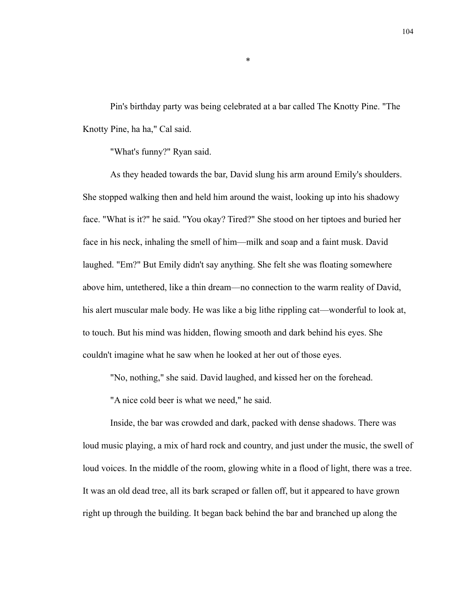Pin's birthday party was being celebrated at a bar called The Knotty Pine. "The Knotty Pine, ha ha," Cal said.

"What's funny?" Ryan said.

As they headed towards the bar, David slung his arm around Emily's shoulders. She stopped walking then and held him around the waist, looking up into his shadowy face. "What is it?" he said. "You okay? Tired?" She stood on her tiptoes and buried her face in his neck, inhaling the smell of him––milk and soap and a faint musk. David laughed. "Em?" But Emily didn't say anything. She felt she was floating somewhere above him, untethered, like a thin dream––no connection to the warm reality of David, his alert muscular male body. He was like a big lithe rippling cat—wonderful to look at, to touch. But his mind was hidden, flowing smooth and dark behind his eyes. She couldn't imagine what he saw when he looked at her out of those eyes.

"No, nothing," she said. David laughed, and kissed her on the forehead.

"A nice cold beer is what we need," he said.

Inside, the bar was crowded and dark, packed with dense shadows. There was loud music playing, a mix of hard rock and country, and just under the music, the swell of loud voices. In the middle of the room, glowing white in a flood of light, there was a tree. It was an old dead tree, all its bark scraped or fallen off, but it appeared to have grown right up through the building. It began back behind the bar and branched up along the

\*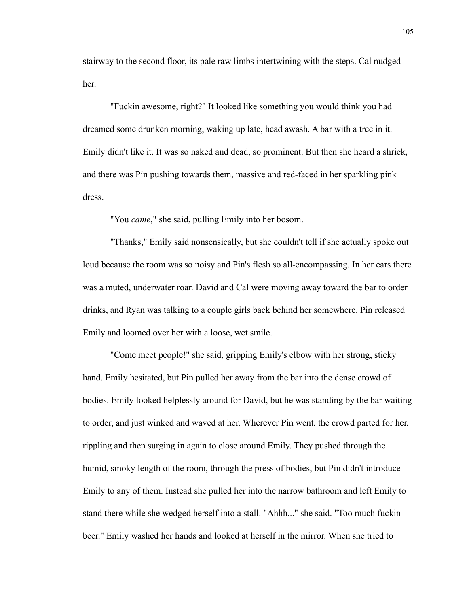stairway to the second floor, its pale raw limbs intertwining with the steps. Cal nudged her.

"Fuckin awesome, right?" It looked like something you would think you had dreamed some drunken morning, waking up late, head awash. A bar with a tree in it. Emily didn't like it. It was so naked and dead, so prominent. But then she heard a shriek, and there was Pin pushing towards them, massive and red-faced in her sparkling pink dress.

"You *came*," she said, pulling Emily into her bosom.

"Thanks," Emily said nonsensically, but she couldn't tell if she actually spoke out loud because the room was so noisy and Pin's flesh so all-encompassing. In her ears there was a muted, underwater roar. David and Cal were moving away toward the bar to order drinks, and Ryan was talking to a couple girls back behind her somewhere. Pin released Emily and loomed over her with a loose, wet smile.

"Come meet people!" she said, gripping Emily's elbow with her strong, sticky hand. Emily hesitated, but Pin pulled her away from the bar into the dense crowd of bodies. Emily looked helplessly around for David, but he was standing by the bar waiting to order, and just winked and waved at her. Wherever Pin went, the crowd parted for her, rippling and then surging in again to close around Emily. They pushed through the humid, smoky length of the room, through the press of bodies, but Pin didn't introduce Emily to any of them. Instead she pulled her into the narrow bathroom and left Emily to stand there while she wedged herself into a stall. "Ahhh..." she said. "Too much fuckin beer." Emily washed her hands and looked at herself in the mirror. When she tried to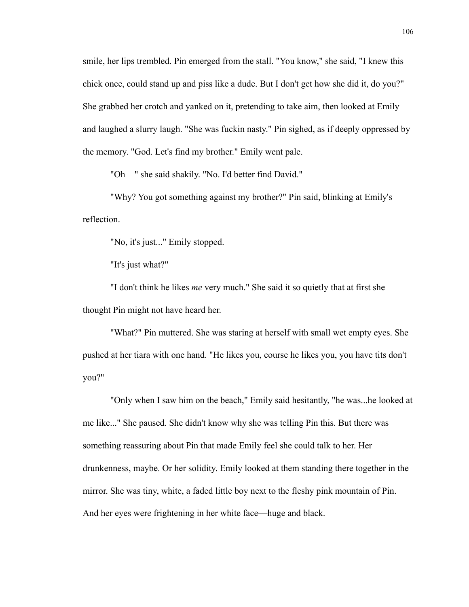smile, her lips trembled. Pin emerged from the stall. "You know," she said, "I knew this chick once, could stand up and piss like a dude. But I don't get how she did it, do you?" She grabbed her crotch and yanked on it, pretending to take aim, then looked at Emily and laughed a slurry laugh. "She was fuckin nasty." Pin sighed, as if deeply oppressed by the memory. "God. Let's find my brother." Emily went pale.

"Oh––" she said shakily. "No. I'd better find David."

"Why? You got something against my brother?" Pin said, blinking at Emily's reflection.

"No, it's just..." Emily stopped.

"It's just what?"

"I don't think he likes *me* very much." She said it so quietly that at first she thought Pin might not have heard her.

"What?" Pin muttered. She was staring at herself with small wet empty eyes. She pushed at her tiara with one hand. "He likes you, course he likes you, you have tits don't you?"

"Only when I saw him on the beach," Emily said hesitantly, "he was...he looked at me like..." She paused. She didn't know why she was telling Pin this. But there was something reassuring about Pin that made Emily feel she could talk to her. Her drunkenness, maybe. Or her solidity. Emily looked at them standing there together in the mirror. She was tiny, white, a faded little boy next to the fleshy pink mountain of Pin. And her eyes were frightening in her white face—huge and black.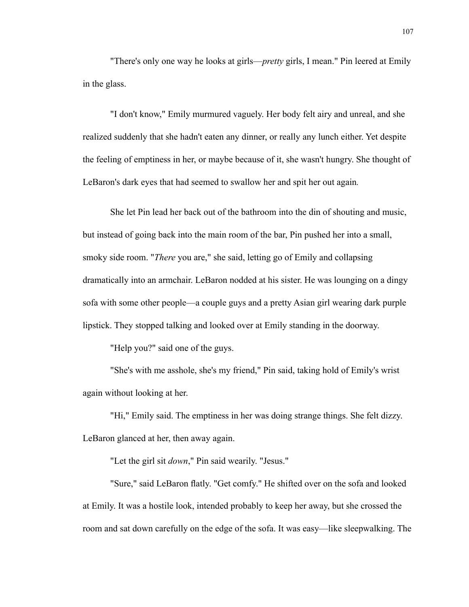"There's only one way he looks at girls––*pretty* girls, I mean." Pin leered at Emily in the glass.

"I don't know," Emily murmured vaguely. Her body felt airy and unreal, and she realized suddenly that she hadn't eaten any dinner, or really any lunch either. Yet despite the feeling of emptiness in her, or maybe because of it, she wasn't hungry. She thought of LeBaron's dark eyes that had seemed to swallow her and spit her out again*.*

She let Pin lead her back out of the bathroom into the din of shouting and music, but instead of going back into the main room of the bar, Pin pushed her into a small, smoky side room. "*There* you are," she said, letting go of Emily and collapsing dramatically into an armchair. LeBaron nodded at his sister. He was lounging on a dingy sofa with some other people––a couple guys and a pretty Asian girl wearing dark purple lipstick. They stopped talking and looked over at Emily standing in the doorway.

"Help you?" said one of the guys.

 "She's with me asshole, she's my friend," Pin said, taking hold of Emily's wrist again without looking at her.

"Hi," Emily said. The emptiness in her was doing strange things. She felt dizzy. LeBaron glanced at her, then away again.

"Let the girl sit *down*," Pin said wearily. "Jesus."

"Sure," said LeBaron flatly. "Get comfy." He shifted over on the sofa and looked at Emily. It was a hostile look, intended probably to keep her away, but she crossed the room and sat down carefully on the edge of the sofa. It was easy––like sleepwalking. The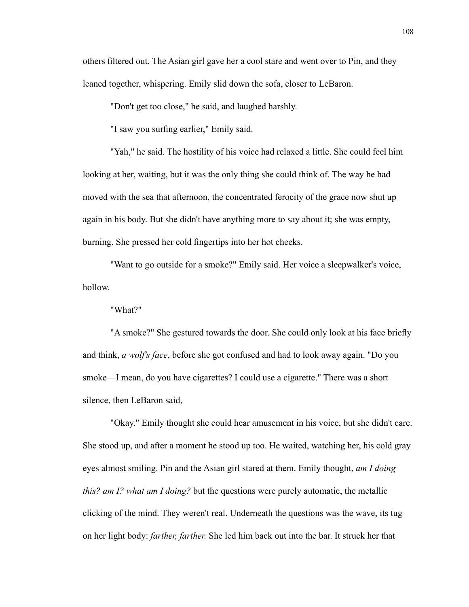others filtered out. The Asian girl gave her a cool stare and went over to Pin, and they leaned together, whispering. Emily slid down the sofa, closer to LeBaron.

"Don't get too close," he said, and laughed harshly.

"I saw you surfing earlier," Emily said.

"Yah," he said. The hostility of his voice had relaxed a little. She could feel him looking at her, waiting, but it was the only thing she could think of. The way he had moved with the sea that afternoon, the concentrated ferocity of the grace now shut up again in his body. But she didn't have anything more to say about it; she was empty, burning. She pressed her cold fingertips into her hot cheeks.

"Want to go outside for a smoke?" Emily said. Her voice a sleepwalker's voice, hollow.

"What?"

"A smoke?" She gestured towards the door. She could only look at his face briefly and think, *a wolf's face*, before she got confused and had to look away again. "Do you smoke––I mean, do you have cigarettes? I could use a cigarette." There was a short silence, then LeBaron said,

"Okay." Emily thought she could hear amusement in his voice, but she didn't care. She stood up, and after a moment he stood up too. He waited, watching her, his cold gray eyes almost smiling. Pin and the Asian girl stared at them. Emily thought, *am I doing this? am I? what am I doing?* but the questions were purely automatic, the metallic clicking of the mind. They weren't real. Underneath the questions was the wave, its tug on her light body: *farther, farther.* She led him back out into the bar. It struck her that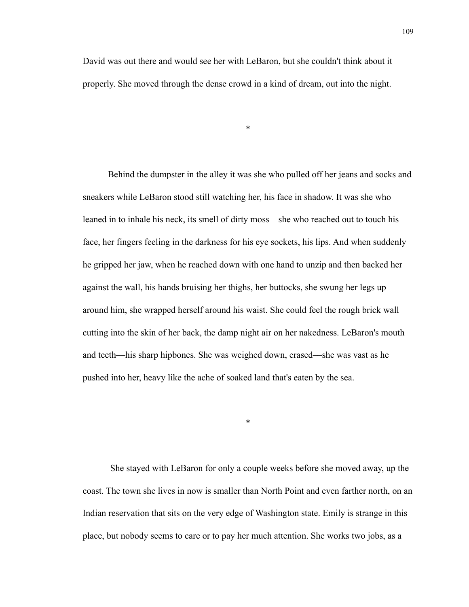David was out there and would see her with LeBaron, but she couldn't think about it properly. She moved through the dense crowd in a kind of dream, out into the night.

\*

 Behind the dumpster in the alley it was she who pulled off her jeans and socks and sneakers while LeBaron stood still watching her, his face in shadow. It was she who leaned in to inhale his neck, its smell of dirty moss––she who reached out to touch his face, her fingers feeling in the darkness for his eye sockets, his lips. And when suddenly he gripped her jaw, when he reached down with one hand to unzip and then backed her against the wall, his hands bruising her thighs, her buttocks, she swung her legs up around him, she wrapped herself around his waist. She could feel the rough brick wall cutting into the skin of her back, the damp night air on her nakedness. LeBaron's mouth and teeth––his sharp hipbones. She was weighed down, erased––she was vast as he pushed into her, heavy like the ache of soaked land that's eaten by the sea.

She stayed with LeBaron for only a couple weeks before she moved away, up the coast. The town she lives in now is smaller than North Point and even farther north, on an Indian reservation that sits on the very edge of Washington state. Emily is strange in this place, but nobody seems to care or to pay her much attention. She works two jobs, as a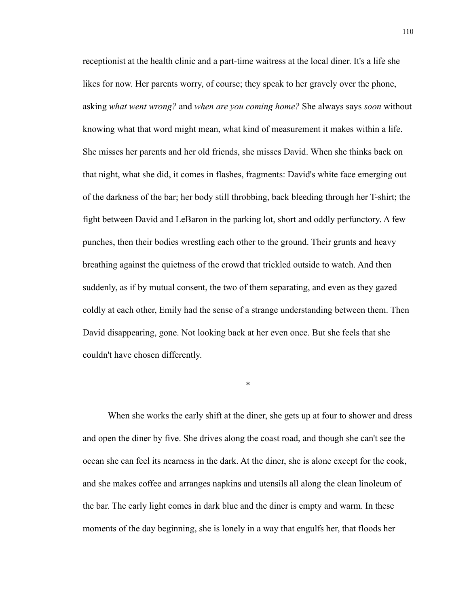receptionist at the health clinic and a part-time waitress at the local diner. It's a life she likes for now. Her parents worry, of course; they speak to her gravely over the phone, asking *what went wrong?* and *when are you coming home?* She always says *soon* without knowing what that word might mean, what kind of measurement it makes within a life. She misses her parents and her old friends, she misses David. When she thinks back on that night, what she did, it comes in flashes, fragments: David's white face emerging out of the darkness of the bar; her body still throbbing, back bleeding through her T-shirt; the fight between David and LeBaron in the parking lot, short and oddly perfunctory. A few punches, then their bodies wrestling each other to the ground. Their grunts and heavy breathing against the quietness of the crowd that trickled outside to watch. And then suddenly, as if by mutual consent, the two of them separating, and even as they gazed coldly at each other, Emily had the sense of a strange understanding between them. Then David disappearing, gone. Not looking back at her even once. But she feels that she couldn't have chosen differently.

\*

 When she works the early shift at the diner, she gets up at four to shower and dress and open the diner by five. She drives along the coast road, and though she can't see the ocean she can feel its nearness in the dark. At the diner, she is alone except for the cook, and she makes coffee and arranges napkins and utensils all along the clean linoleum of the bar. The early light comes in dark blue and the diner is empty and warm. In these moments of the day beginning, she is lonely in a way that engulfs her, that floods her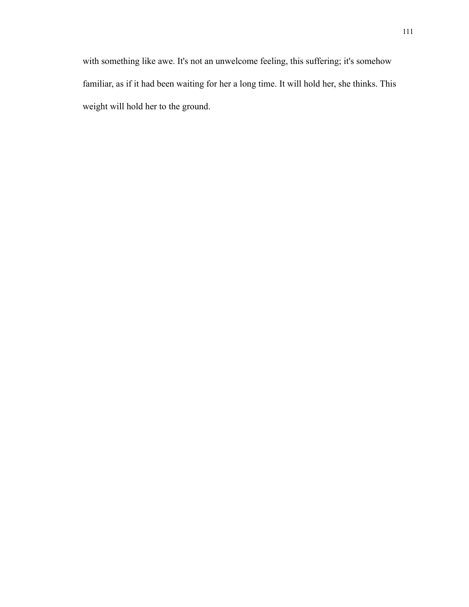with something like awe. It's not an unwelcome feeling, this suffering; it's somehow familiar, as if it had been waiting for her a long time. It will hold her, she thinks. This weight will hold her to the ground.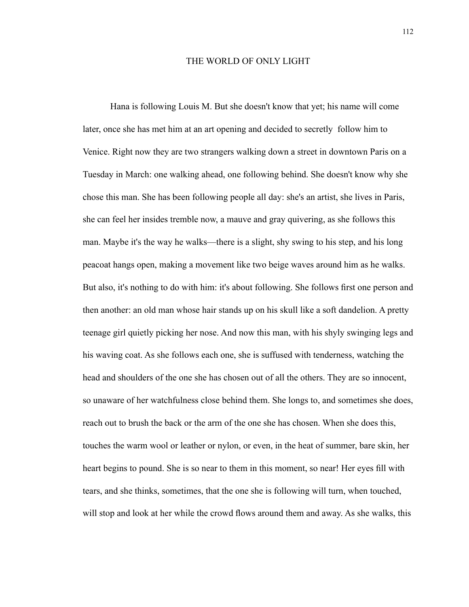## THE WORLD OF ONLY LIGHT

Hana is following Louis M. But she doesn't know that yet; his name will come later, once she has met him at an art opening and decided to secretly follow him to Venice. Right now they are two strangers walking down a street in downtown Paris on a Tuesday in March: one walking ahead, one following behind. She doesn't know why she chose this man. She has been following people all day: she's an artist, she lives in Paris, she can feel her insides tremble now, a mauve and gray quivering, as she follows this man. Maybe it's the way he walks—there is a slight, shy swing to his step, and his long peacoat hangs open, making a movement like two beige waves around him as he walks. But also, it's nothing to do with him: it's about following. She follows first one person and then another: an old man whose hair stands up on his skull like a soft dandelion. A pretty teenage girl quietly picking her nose. And now this man, with his shyly swinging legs and his waving coat. As she follows each one, she is suffused with tenderness, watching the head and shoulders of the one she has chosen out of all the others. They are so innocent, so unaware of her watchfulness close behind them. She longs to, and sometimes she does, reach out to brush the back or the arm of the one she has chosen. When she does this, touches the warm wool or leather or nylon, or even, in the heat of summer, bare skin, her heart begins to pound. She is so near to them in this moment, so near! Her eyes fill with tears, and she thinks, sometimes, that the one she is following will turn, when touched, will stop and look at her while the crowd flows around them and away. As she walks, this

112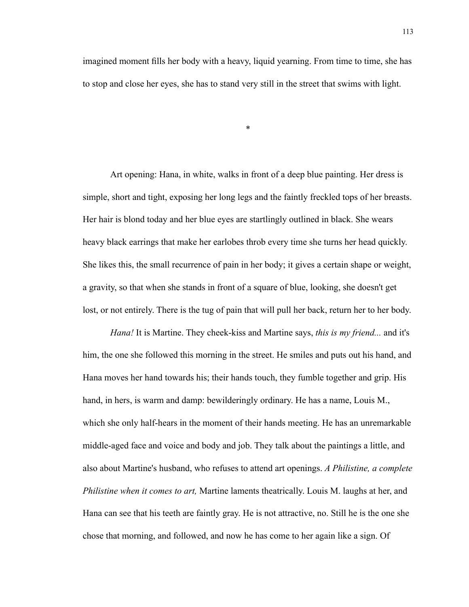imagined moment fills her body with a heavy, liquid yearning. From time to time, she has to stop and close her eyes, she has to stand very still in the street that swims with light.

\*

Art opening: Hana, in white, walks in front of a deep blue painting. Her dress is simple, short and tight, exposing her long legs and the faintly freckled tops of her breasts. Her hair is blond today and her blue eyes are startlingly outlined in black. She wears heavy black earrings that make her earlobes throb every time she turns her head quickly. She likes this, the small recurrence of pain in her body; it gives a certain shape or weight, a gravity, so that when she stands in front of a square of blue, looking, she doesn't get lost, or not entirely. There is the tug of pain that will pull her back, return her to her body.

*Hana!* It is Martine. They cheek-kiss and Martine says, *this is my friend...* and it's him, the one she followed this morning in the street. He smiles and puts out his hand, and Hana moves her hand towards his; their hands touch, they fumble together and grip. His hand, in hers, is warm and damp: bewilderingly ordinary. He has a name, Louis M., which she only half-hears in the moment of their hands meeting. He has an unremarkable middle-aged face and voice and body and job. They talk about the paintings a little, and also about Martine's husband, who refuses to attend art openings. *A Philistine, a complete Philistine when it comes to art,* Martine laments theatrically. Louis M. laughs at her, and Hana can see that his teeth are faintly gray. He is not attractive, no. Still he is the one she chose that morning, and followed, and now he has come to her again like a sign. Of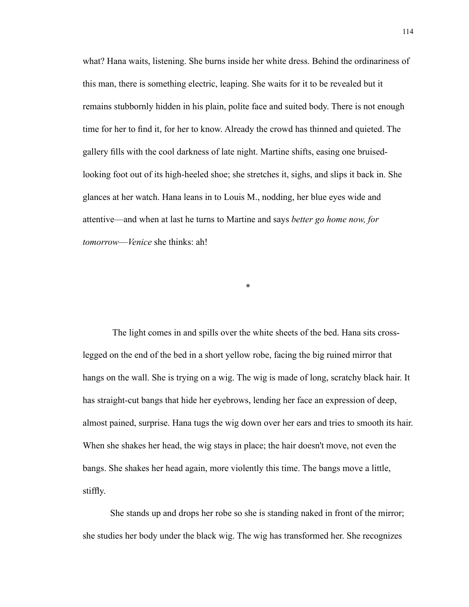what? Hana waits, listening. She burns inside her white dress. Behind the ordinariness of this man, there is something electric, leaping. She waits for it to be revealed but it remains stubbornly hidden in his plain, polite face and suited body. There is not enough time for her to find it, for her to know. Already the crowd has thinned and quieted. The gallery fills with the cool darkness of late night. Martine shifts, easing one bruisedlooking foot out of its high-heeled shoe; she stretches it, sighs, and slips it back in. She glances at her watch. Hana leans in to Louis M., nodding, her blue eyes wide and attentive––and when at last he turns to Martine and says *better go home now, for tomorrow*––*Venice* she thinks: ah!

 The light comes in and spills over the white sheets of the bed. Hana sits crosslegged on the end of the bed in a short yellow robe, facing the big ruined mirror that hangs on the wall. She is trying on a wig. The wig is made of long, scratchy black hair. It has straight-cut bangs that hide her eyebrows, lending her face an expression of deep, almost pained, surprise. Hana tugs the wig down over her ears and tries to smooth its hair. When she shakes her head, the wig stays in place; the hair doesn't move, not even the bangs. She shakes her head again, more violently this time. The bangs move a little, stiffly.

\*

She stands up and drops her robe so she is standing naked in front of the mirror; she studies her body under the black wig. The wig has transformed her. She recognizes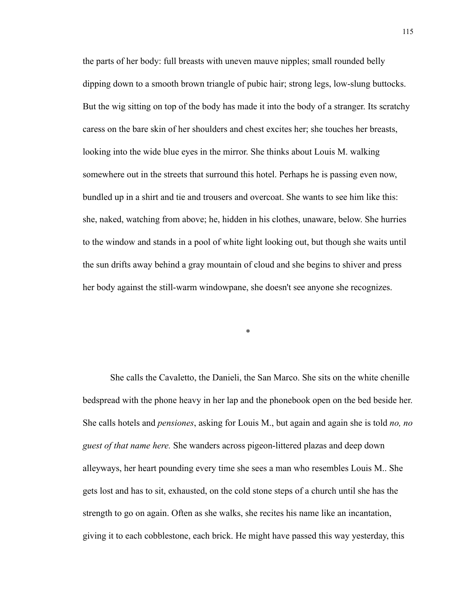the parts of her body: full breasts with uneven mauve nipples; small rounded belly dipping down to a smooth brown triangle of pubic hair; strong legs, low-slung buttocks. But the wig sitting on top of the body has made it into the body of a stranger. Its scratchy caress on the bare skin of her shoulders and chest excites her; she touches her breasts, looking into the wide blue eyes in the mirror. She thinks about Louis M. walking somewhere out in the streets that surround this hotel. Perhaps he is passing even now, bundled up in a shirt and tie and trousers and overcoat. She wants to see him like this: she, naked, watching from above; he, hidden in his clothes, unaware, below. She hurries to the window and stands in a pool of white light looking out, but though she waits until the sun drifts away behind a gray mountain of cloud and she begins to shiver and press her body against the still-warm windowpane, she doesn't see anyone she recognizes.

She calls the Cavaletto, the Danieli, the San Marco. She sits on the white chenille bedspread with the phone heavy in her lap and the phonebook open on the bed beside her. She calls hotels and *pensiones*, asking for Louis M., but again and again she is told *no, no guest of that name here.* She wanders across pigeon-littered plazas and deep down alleyways, her heart pounding every time she sees a man who resembles Louis M.. She gets lost and has to sit, exhausted, on the cold stone steps of a church until she has the strength to go on again. Often as she walks, she recites his name like an incantation, giving it to each cobblestone, each brick. He might have passed this way yesterday, this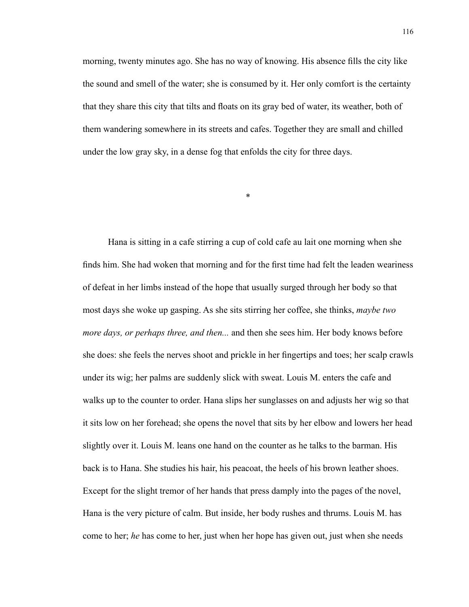morning, twenty minutes ago. She has no way of knowing. His absence fills the city like the sound and smell of the water; she is consumed by it. Her only comfort is the certainty that they share this city that tilts and floats on its gray bed of water, its weather, both of them wandering somewhere in its streets and cafes. Together they are small and chilled under the low gray sky, in a dense fog that enfolds the city for three days.

\*

 Hana is sitting in a cafe stirring a cup of cold cafe au lait one morning when she finds him. She had woken that morning and for the first time had felt the leaden weariness of defeat in her limbs instead of the hope that usually surged through her body so that most days she woke up gasping. As she sits stirring her coffee, she thinks, *maybe two more days, or perhaps three, and then...* and then she sees him. Her body knows before she does: she feels the nerves shoot and prickle in her fingertips and toes; her scalp crawls under its wig; her palms are suddenly slick with sweat. Louis M. enters the cafe and walks up to the counter to order. Hana slips her sunglasses on and adjusts her wig so that it sits low on her forehead; she opens the novel that sits by her elbow and lowers her head slightly over it. Louis M. leans one hand on the counter as he talks to the barman. His back is to Hana. She studies his hair, his peacoat, the heels of his brown leather shoes. Except for the slight tremor of her hands that press damply into the pages of the novel, Hana is the very picture of calm. But inside, her body rushes and thrums. Louis M. has come to her; *he* has come to her, just when her hope has given out, just when she needs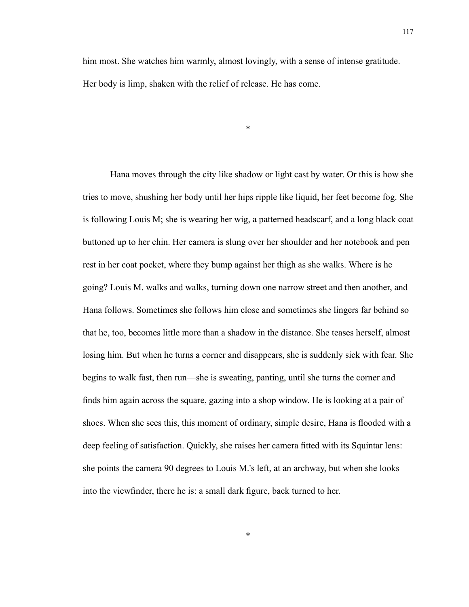him most. She watches him warmly, almost lovingly, with a sense of intense gratitude. Her body is limp, shaken with the relief of release. He has come.

\*

Hana moves through the city like shadow or light cast by water. Or this is how she tries to move, shushing her body until her hips ripple like liquid, her feet become fog. She is following Louis M; she is wearing her wig, a patterned headscarf, and a long black coat buttoned up to her chin. Her camera is slung over her shoulder and her notebook and pen rest in her coat pocket, where they bump against her thigh as she walks. Where is he going? Louis M. walks and walks, turning down one narrow street and then another, and Hana follows. Sometimes she follows him close and sometimes she lingers far behind so that he, too, becomes little more than a shadow in the distance. She teases herself, almost losing him. But when he turns a corner and disappears, she is suddenly sick with fear. She begins to walk fast, then run––she is sweating, panting, until she turns the corner and finds him again across the square, gazing into a shop window. He is looking at a pair of shoes. When she sees this, this moment of ordinary, simple desire, Hana is flooded with a deep feeling of satisfaction. Quickly, she raises her camera fitted with its Squintar lens: she points the camera 90 degrees to Louis M.'s left, at an archway, but when she looks into the viewfinder, there he is: a small dark figure, back turned to her.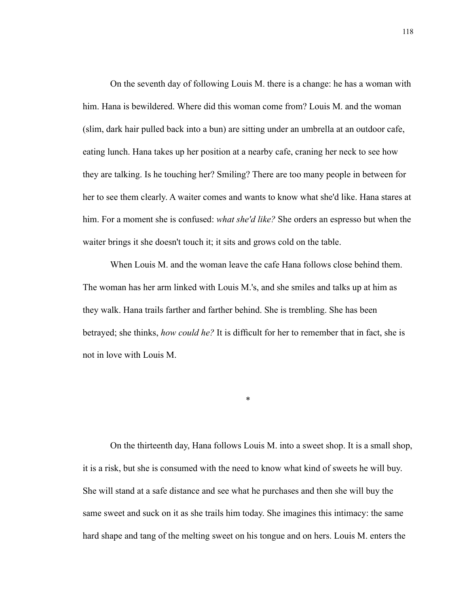On the seventh day of following Louis M. there is a change: he has a woman with him. Hana is bewildered. Where did this woman come from? Louis M. and the woman (slim, dark hair pulled back into a bun) are sitting under an umbrella at an outdoor cafe, eating lunch. Hana takes up her position at a nearby cafe, craning her neck to see how they are talking. Is he touching her? Smiling? There are too many people in between for her to see them clearly. A waiter comes and wants to know what she'd like. Hana stares at him. For a moment she is confused: *what she'd like?* She orders an espresso but when the waiter brings it she doesn't touch it; it sits and grows cold on the table.

When Louis M. and the woman leave the cafe Hana follows close behind them. The woman has her arm linked with Louis M.'s, and she smiles and talks up at him as they walk. Hana trails farther and farther behind. She is trembling. She has been betrayed; she thinks, *how could he?* It is difficult for her to remember that in fact, she is not in love with Louis M.

On the thirteenth day, Hana follows Louis M. into a sweet shop. It is a small shop, it is a risk, but she is consumed with the need to know what kind of sweets he will buy. She will stand at a safe distance and see what he purchases and then she will buy the same sweet and suck on it as she trails him today. She imagines this intimacy: the same hard shape and tang of the melting sweet on his tongue and on hers. Louis M. enters the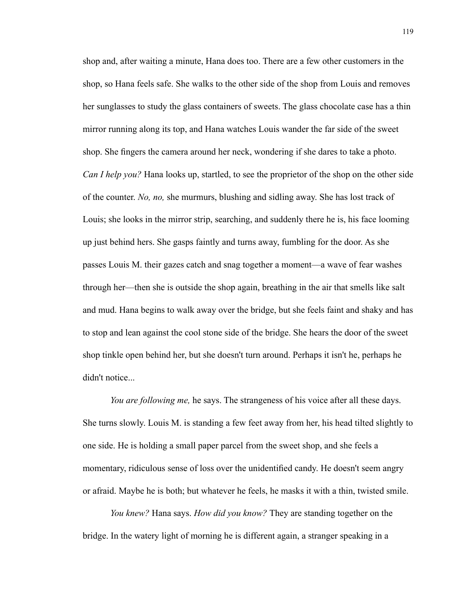shop and, after waiting a minute, Hana does too. There are a few other customers in the shop, so Hana feels safe. She walks to the other side of the shop from Louis and removes her sunglasses to study the glass containers of sweets. The glass chocolate case has a thin mirror running along its top, and Hana watches Louis wander the far side of the sweet shop. She fingers the camera around her neck, wondering if she dares to take a photo. *Can I help you?* Hana looks up, startled, to see the proprietor of the shop on the other side of the counter. *No, no,* she murmurs, blushing and sidling away. She has lost track of Louis; she looks in the mirror strip, searching, and suddenly there he is, his face looming up just behind hers. She gasps faintly and turns away, fumbling for the door. As she passes Louis M. their gazes catch and snag together a moment––a wave of fear washes through her––then she is outside the shop again, breathing in the air that smells like salt and mud. Hana begins to walk away over the bridge, but she feels faint and shaky and has to stop and lean against the cool stone side of the bridge. She hears the door of the sweet shop tinkle open behind her, but she doesn't turn around. Perhaps it isn't he, perhaps he didn't notice...

*You are following me,* he says. The strangeness of his voice after all these days. She turns slowly. Louis M. is standing a few feet away from her, his head tilted slightly to one side. He is holding a small paper parcel from the sweet shop, and she feels a momentary, ridiculous sense of loss over the unidentified candy. He doesn't seem angry or afraid. Maybe he is both; but whatever he feels, he masks it with a thin, twisted smile.

*You knew?* Hana says. *How did you know?* They are standing together on the bridge. In the watery light of morning he is different again, a stranger speaking in a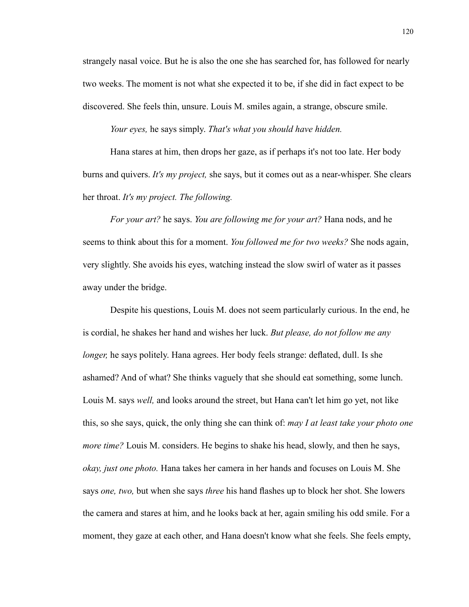strangely nasal voice. But he is also the one she has searched for, has followed for nearly two weeks. The moment is not what she expected it to be, if she did in fact expect to be discovered. She feels thin, unsure. Louis M. smiles again, a strange, obscure smile.

*Your eyes,* he says simply. *That's what you should have hidden.* 

Hana stares at him, then drops her gaze, as if perhaps it's not too late. Her body burns and quivers. *It's my project,* she says, but it comes out as a near-whisper. She clears her throat. *It's my project. The following.* 

 *For your art?* he says. *You are following me for your art?* Hana nods, and he seems to think about this for a moment. *You followed me for two weeks?* She nods again, very slightly. She avoids his eyes, watching instead the slow swirl of water as it passes away under the bridge.

 Despite his questions, Louis M. does not seem particularly curious. In the end, he is cordial, he shakes her hand and wishes her luck. *But please, do not follow me any longer*, he says politely. Hana agrees. Her body feels strange: deflated, dull. Is she ashamed? And of what? She thinks vaguely that she should eat something, some lunch. Louis M. says *well,* and looks around the street, but Hana can't let him go yet, not like this, so she says, quick, the only thing she can think of: *may I at least take your photo one more time?* Louis M. considers. He begins to shake his head, slowly, and then he says, *okay, just one photo.* Hana takes her camera in her hands and focuses on Louis M. She says *one, two,* but when she says *three* his hand flashes up to block her shot. She lowers the camera and stares at him, and he looks back at her, again smiling his odd smile. For a moment, they gaze at each other, and Hana doesn't know what she feels. She feels empty,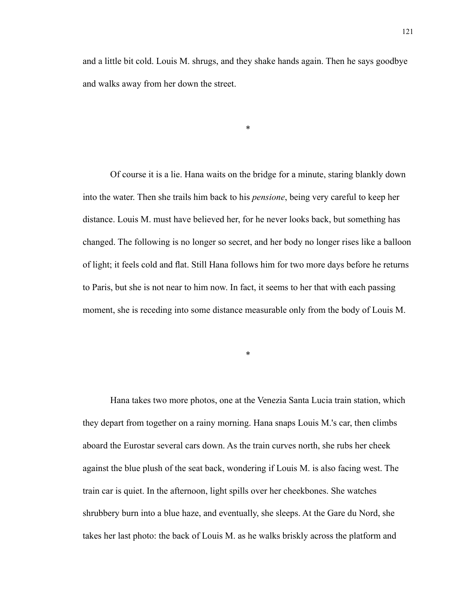\*

 Of course it is a lie. Hana waits on the bridge for a minute, staring blankly down into the water. Then she trails him back to his *pensione*, being very careful to keep her distance. Louis M. must have believed her, for he never looks back, but something has changed. The following is no longer so secret, and her body no longer rises like a balloon of light; it feels cold and flat. Still Hana follows him for two more days before he returns to Paris, but she is not near to him now. In fact, it seems to her that with each passing moment, she is receding into some distance measurable only from the body of Louis M.

\*

 Hana takes two more photos, one at the Venezia Santa Lucia train station, which they depart from together on a rainy morning. Hana snaps Louis M.'s car, then climbs aboard the Eurostar several cars down. As the train curves north, she rubs her cheek against the blue plush of the seat back, wondering if Louis M. is also facing west. The train car is quiet. In the afternoon, light spills over her cheekbones. She watches shrubbery burn into a blue haze, and eventually, she sleeps. At the Gare du Nord, she takes her last photo: the back of Louis M. as he walks briskly across the platform and